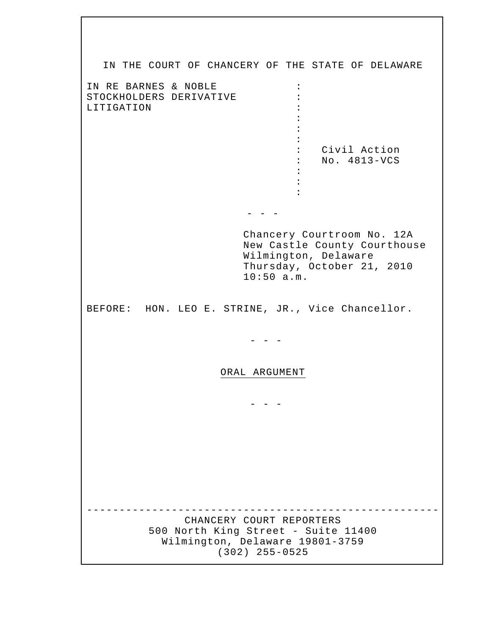IN THE COURT OF CHANCERY OF THE STATE OF DELAWARE IN RE BARNES & NOBLE : STOCKHOLDERS DERIVATIVE LITIGATION : the contract of the contract of the contract of the contract of the contract of the contract of the contract of the contract of the contract of the contract of the contract of the contract of the contract of the contract of the contract of the contract of the contract of the contract of the contract of the contract of the contract of : Civil Action : No. 4813-VCS the contract of the contract of the contract of the contract of the contract of the contract of the contract of the contract of the contract of the contract of the contract of the contract of the contract of the contract of the contract of the contract of the contract of the contract of the contract of the contract of the contract of  $-$  Chancery Courtroom No. 12A New Castle County Courthouse Wilmington, Delaware Thursday, October 21, 2010 10:50 a.m. BEFORE: HON. LEO E. STRINE, JR., Vice Chancellor. - - - ORAL ARGUMENT  $-$ ------------------------------------------------------ CHANCERY COURT REPORTERS 500 North King Street - Suite 11400 Wilmington, Delaware 19801-3759 (302) 255-0525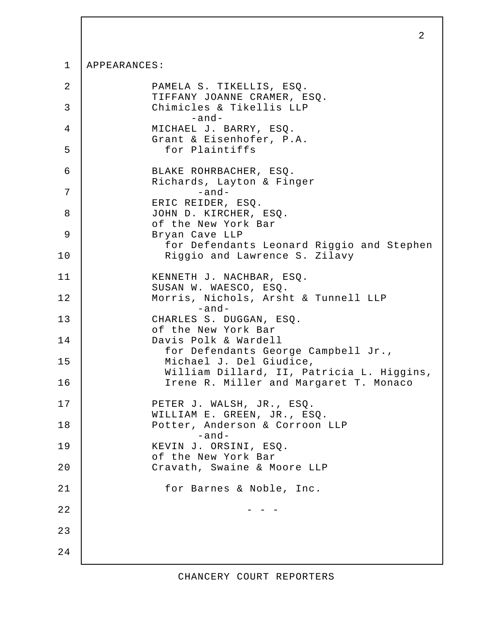## 1 APPEARANCES:

| 2      | PAMELA S. TIKELLIS, ESQ.<br>TIFFANY JOANNE CRAMER, ESQ.              |
|--------|----------------------------------------------------------------------|
| 3      | Chimicles & Tikellis LLP<br>$-and-$                                  |
| 4      | MICHAEL J. BARRY, ESQ.<br>Grant & Eisenhofer, P.A.                   |
| 5      | for Plaintiffs                                                       |
| 6      | BLAKE ROHRBACHER, ESQ.<br>Richards, Layton & Finger                  |
| 7      | $-and-$<br>ERIC REIDER, ESQ.                                         |
| 8      | JOHN D. KIRCHER, ESQ.<br>of the New York Bar                         |
| 9      | Bryan Cave LLP<br>for Defendants Leonard Riggio and Stephen          |
| 10     | Riggio and Lawrence S. Zilavy                                        |
| 11     | KENNETH J. NACHBAR, ESQ.<br>SUSAN W. WAESCO, ESQ.                    |
| 12     | Morris, Nichols, Arsht & Tunnell LLP<br>$-and-$                      |
| 13     | CHARLES S. DUGGAN, ESQ.<br>of the New York Bar                       |
| 14     | Davis Polk & Wardell<br>for Defendants George Campbell Jr.,          |
| 15     | Michael J. Del Giudice,<br>William Dillard, II, Patricia L. Higgins, |
| 16     | Irene R. Miller and Margaret T. Monaco                               |
| 17     | PETER J. WALSH, JR., ESQ.<br>WILLIAM E. GREEN, JR., ESQ.             |
| 18     | Potter, Anderson & Corroon LLP<br>-and-                              |
| 19     | KEVIN J. ORSINI, ESQ.<br>of the New York Bar                         |
| 20     | Cravath, Swaine & Moore LLP                                          |
| $2\,1$ | for Barnes & Noble, Inc.                                             |
| 22     |                                                                      |
| 23     |                                                                      |
| 24     |                                                                      |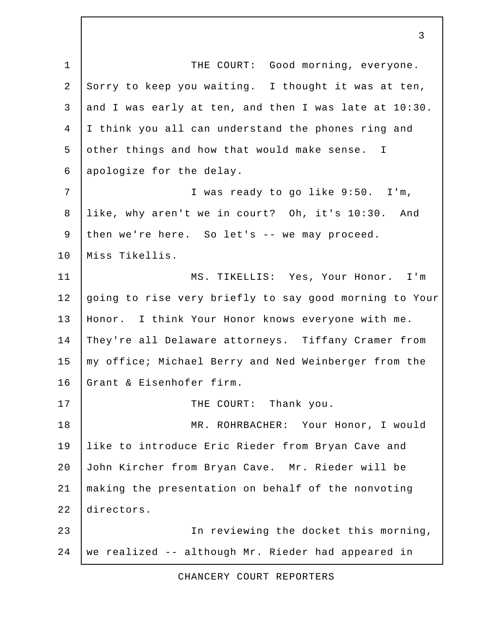1 | THE COURT: Good morning, everyone. 2 Sorry to keep you waiting. I thought it was at ten, 3 and I was early at ten, and then I was late at  $10:30$ . 4 I think you all can understand the phones ring and 5 other things and how that would make sense. I 6 apologize for the delay. 7 I was ready to go like 9:50. I'm, 8 like, why aren't we in court? Oh, it's 10:30. And 9 then we're here. So let's -- we may proceed. 10 Miss Tikellis. 11 MS. TIKELLIS: Yes, Your Honor. I'm 12 going to rise very briefly to say good morning to Your 13 | Honor. I think Your Honor knows everyone with me. 14 They're all Delaware attorneys. Tiffany Cramer from 15 | my office; Michael Berry and Ned Weinberger from the 16 Grant & Eisenhofer firm. 17 | THE COURT: Thank you. 18 MR. ROHRBACHER: Your Honor, I would 19 like to introduce Eric Rieder from Bryan Cave and 20 John Kircher from Bryan Cave. Mr. Rieder will be 21 making the presentation on behalf of the nonvoting 22 directors. 23 In reviewing the docket this morning, 24 we realized -- although Mr. Rieder had appeared in

CHANCERY COURT REPORTERS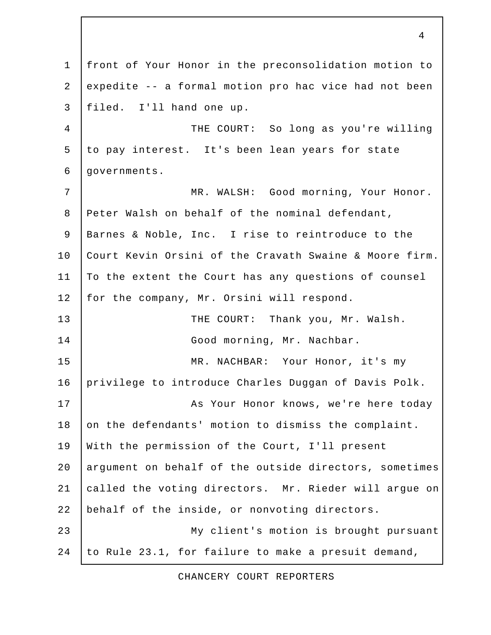1 front of Your Honor in the preconsolidation motion to 2 expedite -- a formal motion pro hac vice had not been 3 filed. I'll hand one up. 4 THE COURT: So long as you're willing 5 to pay interest. It's been lean years for state 6 governments. 7 MR. WALSH: Good morning, Your Honor. 8 Peter Walsh on behalf of the nominal defendant, 9 Barnes & Noble, Inc. I rise to reintroduce to the 10 Court Kevin Orsini of the Cravath Swaine & Moore firm. 11 To the extent the Court has any questions of counsel 12 | for the company, Mr. Orsini will respond. 13 THE COURT: Thank you, Mr. Walsh. 14 Good morning, Mr. Nachbar. 15 MR. NACHBAR: Your Honor, it's my 16 privilege to introduce Charles Duggan of Davis Polk. 17 | Reserve Manager Honor knows, we're here today 18 on the defendants' motion to dismiss the complaint. 19 With the permission of the Court, I'll present 20 argument on behalf of the outside directors, sometimes 21 called the voting directors. Mr. Rieder will argue on 22 behalf of the inside, or nonvoting directors. 23 | My client's motion is brought pursuant 24 to Rule 23.1, for failure to make a presuit demand,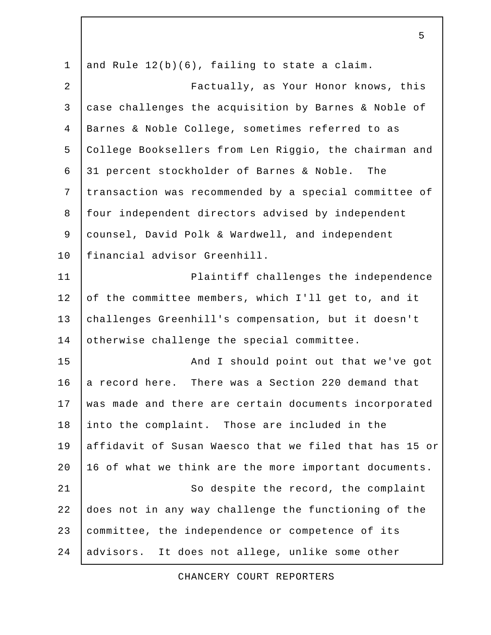1 and Rule  $12(b)(6)$ , failing to state a claim. 2 Factually, as Your Honor knows, this 3 case challenges the acquisition by Barnes & Noble of 4 Barnes & Noble College, sometimes referred to as 5 College Booksellers from Len Riggio, the chairman and 6 31 percent stockholder of Barnes & Noble. The 7 transaction was recommended by a special committee of 8 | four independent directors advised by independent 9 counsel, David Polk & Wardwell, and independent 10 financial advisor Greenhill. 11 | Plaintiff challenges the independence 12 of the committee members, which I'll get to, and it 13 challenges Greenhill's compensation, but it doesn't 14 otherwise challenge the special committee. 15 | And I should point out that we've got 16 a record here. There was a Section 220 demand that 17 was made and there are certain documents incorporated 18 into the complaint. Those are included in the 19 affidavit of Susan Waesco that we filed that has 15 or 20 | 16 of what we think are the more important documents. 21 | So despite the record, the complaint 22 does not in any way challenge the functioning of the 23 committee, the independence or competence of its 24 advisors. It does not allege, unlike some other

5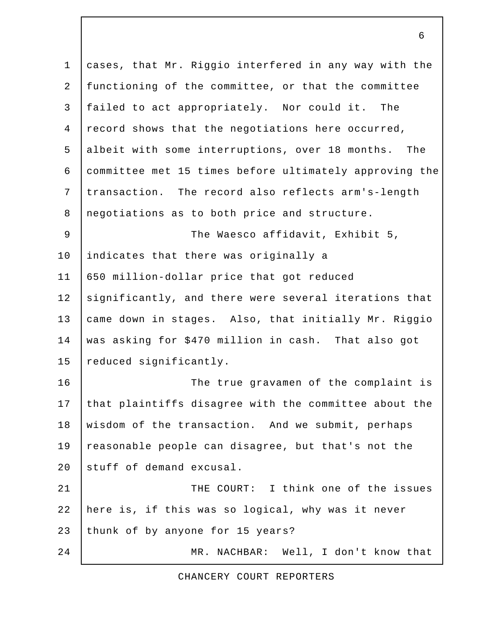1 cases, that Mr. Riggio interfered in any way with the 2 functioning of the committee, or that the committee 3 failed to act appropriately. Nor could it. The 4 record shows that the negotiations here occurred, 5 albeit with some interruptions, over 18 months. The 6 committee met 15 times before ultimately approving the 7 transaction. The record also reflects arm's-length 8 negotiations as to both price and structure. 9 The Waesco affidavit, Exhibit 5, 10 | indicates that there was originally a 11 650 million-dollar price that got reduced 12 significantly, and there were several iterations that 13 came down in stages. Also, that initially Mr. Riggio 14 was asking for \$470 million in cash. That also got 15 reduced significantly. 16 The true gravamen of the complaint is 17 that plaintiffs disagree with the committee about the 18 wisdom of the transaction. And we submit, perhaps 19 reasonable people can disagree, but that's not the 20 stuff of demand excusal. 21 **THE COURT:** I think one of the issues 22 here is, if this was so logical, why was it never 23 thunk of by anyone for 15 years? 24 MR. NACHBAR: Well, I don't know that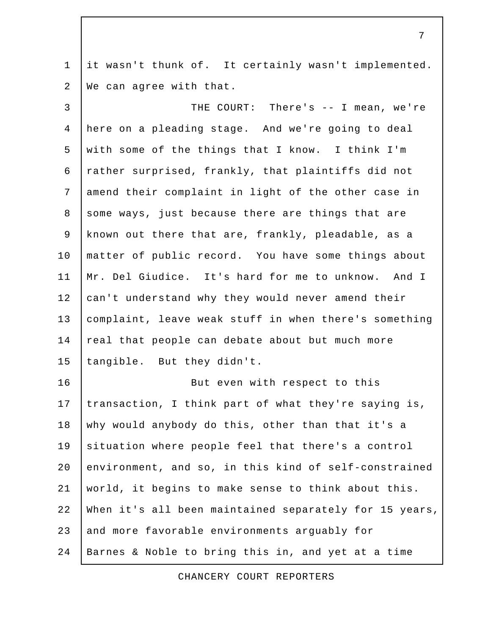1 it wasn't thunk of. It certainly wasn't implemented. 2 We can agree with that.

 3 THE COURT: There's -- I mean, we're 4 here on a pleading stage. And we're going to deal 5 with some of the things that I know. I think I'm 6 rather surprised, frankly, that plaintiffs did not 7 amend their complaint in light of the other case in 8 some ways, just because there are things that are 9 known out there that are, frankly, pleadable, as a 10 | matter of public record. You have some things about 11 Mr. Del Giudice. It's hard for me to unknow. And I 12 can't understand why they would never amend their 13 complaint, leave weak stuff in when there's something 14 real that people can debate about but much more 15 tangible. But they didn't. 16 | Rut even with respect to this 17 transaction, I think part of what they're saying is, 18 why would anybody do this, other than that it's a 19 situation where people feel that there's a control 20 environment, and so, in this kind of self-constrained 21 world, it begins to make sense to think about this. 22 When it's all been maintained separately for 15 years,

23 and more favorable environments arquably for

24 Barnes & Noble to bring this in, and yet at a time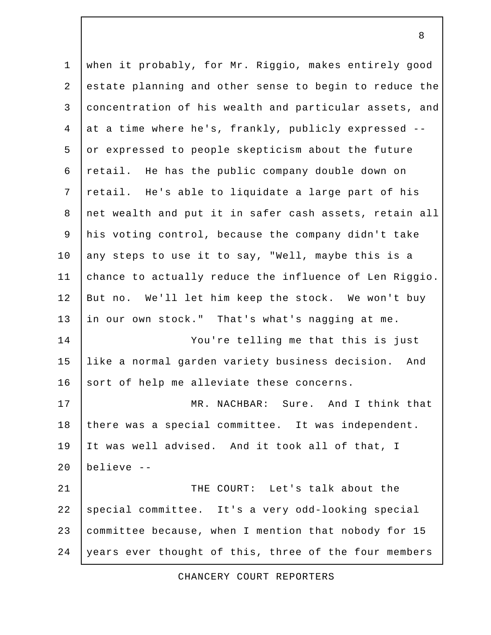1 when it probably, for Mr. Riggio, makes entirely good 2 estate planning and other sense to begin to reduce the 3 concentration of his wealth and particular assets, and 4 at a time where he's, frankly, publicly expressed -- 5 or expressed to people skepticism about the future 6 retail. He has the public company double down on 7 retail. He's able to liquidate a large part of his 8 net wealth and put it in safer cash assets, retain all 9 his voting control, because the company didn't take 10 | any steps to use it to say, "Well, maybe this is a 11 chance to actually reduce the influence of Len Riggio. 12 But no. We'll let him keep the stock. We won't buy 13 in our own stock." That's what's nagging at me. 14 You're telling me that this is just 15 like a normal garden variety business decision. And 16 | sort of help me alleviate these concerns. 17 | MR. NACHBAR: Sure. And I think that 18 there was a special committee. It was independent. 19 It was well advised. And it took all of that, I 20 believe -- 21 **THE COURT:** Let's talk about the 22 special committee. It's a very odd-looking special 23 committee because, when I mention that nobody for 15 24 years ever thought of this, three of the four members

CHANCERY COURT REPORTERS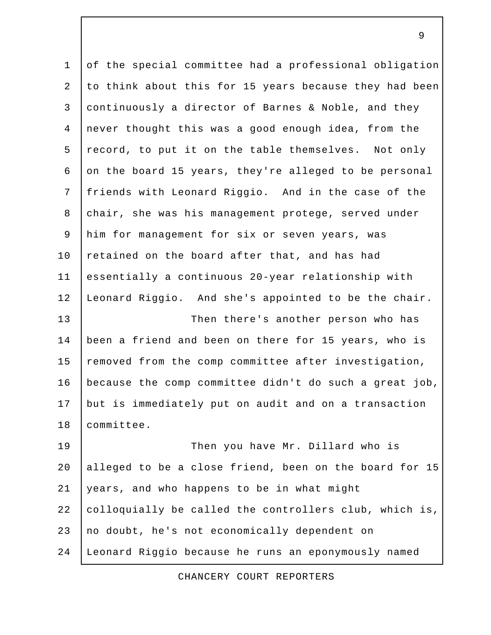1 of the special committee had a professional obligation 2 to think about this for 15 years because they had been 3 continuously a director of Barnes & Noble, and they 4 never thought this was a good enough idea, from the 5 record, to put it on the table themselves. Not only 6 on the board 15 years, they're alleged to be personal 7 friends with Leonard Riggio. And in the case of the 8 chair, she was his management protege, served under 9 him for management for six or seven years, was 10 retained on the board after that, and has had 11 essentially a continuous 20-year relationship with 12 Leonard Riggio. And she's appointed to be the chair. 13 Then there's another person who has 14 been a friend and been on there for 15 years, who is 15 removed from the comp committee after investigation, 16 because the comp committee didn't do such a great job, 17 but is immediately put on audit and on a transaction 18 committee. 19 Then you have Mr. Dillard who is 20 alleged to be a close friend, been on the board for 15 21 years, and who happens to be in what might

22 colloquially be called the controllers club, which is,

23 | no doubt, he's not economically dependent on

24 Leonard Riggio because he runs an eponymously named

CHANCERY COURT REPORTERS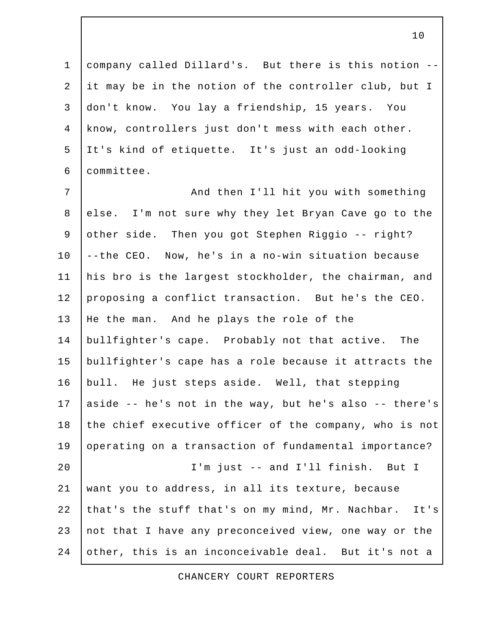1 company called Dillard's. But there is this notion -- 2 it may be in the notion of the controller club, but I 3 don't know. You lay a friendship, 15 years. You 4 know, controllers just don't mess with each other. 5 It's kind of etiquette. It's just an odd-looking 6 committee.

7 | Richard Homes And then I'll hit you with something 8 else. I'm not sure why they let Bryan Cave go to the 9 other side. Then you got Stephen Riggio -- right? 10 --the CEO. Now, he's in a no-win situation because 11 his bro is the largest stockholder, the chairman, and 12 proposing a conflict transaction. But he's the CEO. 13 He the man. And he plays the role of the 14 bullfighter's cape. Probably not that active. The 15 bullfighter's cape has a role because it attracts the 16 bull. He just steps aside. Well, that stepping 17 | aside  $-$  he's not in the way, but he's also  $-$  there's 18 the chief executive officer of the company, who is not 19 operating on a transaction of fundamental importance? 20 I'm just -- and I'll finish. But I 21 want you to address, in all its texture, because 22 that's the stuff that's on my mind, Mr. Nachbar. It's 23 not that I have any preconceived view, one way or the 24 other, this is an inconceivable deal. But it's not a

CHANCERY COURT REPORTERS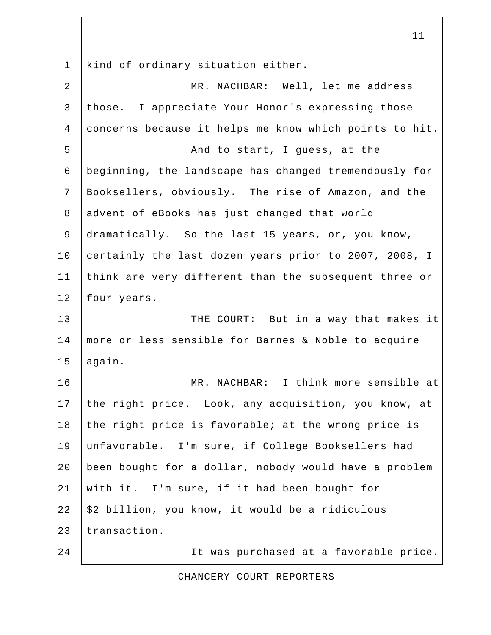1 kind of ordinary situation either.

| $\overline{2}$ | MR. NACHBAR: Well, let me address                      |
|----------------|--------------------------------------------------------|
| $\mathfrak{Z}$ | those. I appreciate Your Honor's expressing those      |
| $\overline{4}$ | concerns because it helps me know which points to hit. |
| 5              | And to start, I guess, at the                          |
| 6              | beginning, the landscape has changed tremendously for  |
| 7              | Booksellers, obviously. The rise of Amazon, and the    |
| 8              | advent of eBooks has just changed that world           |
| $\mathsf 9$    | dramatically. So the last 15 years, or, you know,      |
| 10             | certainly the last dozen years prior to 2007, 2008, I  |
| 11             | think are very different than the subsequent three or  |
| 12             | four years.                                            |
| 13             | THE COURT: But in a way that makes it                  |
| 14             | more or less sensible for Barnes & Noble to acquire    |
| 15             | again.                                                 |
| 16             | MR. NACHBAR: I think more sensible at                  |
| 17             | the right price. Look, any acquisition, you know, at   |
| 18             | the right price is favorable; at the wrong price is    |
| 19             | unfavorable. I'm sure, if College Booksellers had      |
| 20             | been bought for a dollar, nobody would have a problem  |
| 21             | with it. I'm sure, if it had been bought for           |
| 22             | \$2 billion, you know, it would be a ridiculous        |
| 23             | transaction.                                           |
| 24             | It was purchased at a favorable price.                 |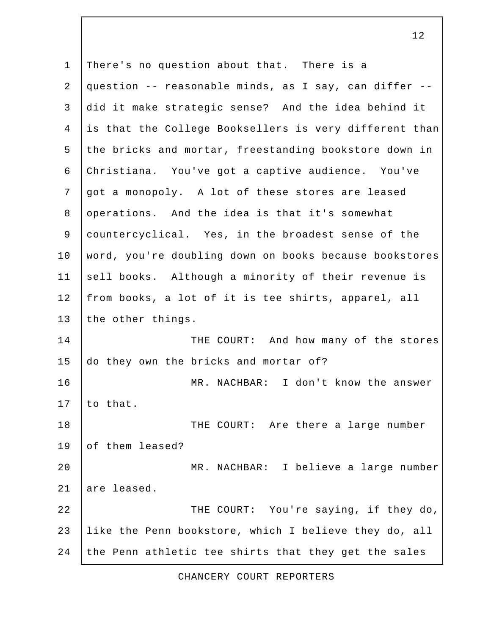1 There's no question about that. There is a 2 question -- reasonable minds, as I say, can differ -- 3 did it make strategic sense? And the idea behind it 4 is that the College Booksellers is very different than 5 the bricks and mortar, freestanding bookstore down in 6 Christiana. You've got a captive audience. You've 7 got a monopoly. A lot of these stores are leased 8 operations. And the idea is that it's somewhat 9 countercyclical. Yes, in the broadest sense of the 10 word, you're doubling down on books because bookstores 11 sell books. Although a minority of their revenue is 12 from books, a lot of it is tee shirts, apparel, all 13 the other things. 14 THE COURT: And how many of the stores 15 do they own the bricks and mortar of? 16 MR. NACHBAR: I don't know the answer  $17$  to that. 18 THE COURT: Are there a large number 19 of them leased? 20 MR. NACHBAR: I believe a large number 21 are leased. 22 | THE COURT: You're saying, if they do, 23 like the Penn bookstore, which I believe they do, all 24 the Penn athletic tee shirts that they get the sales

CHANCERY COURT REPORTERS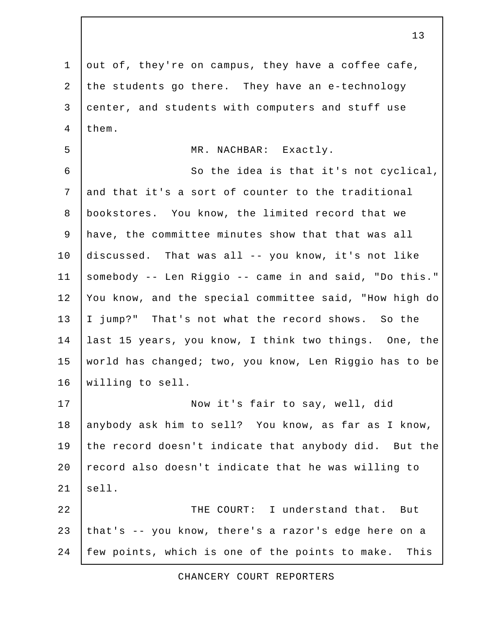1 out of, they're on campus, they have a coffee cafe, 2 the students go there. They have an e-technology 3 center, and students with computers and stuff use 4 | them. 5 MR. NACHBAR: Exactly. 6 So the idea is that it's not cyclical, 7 and that it's a sort of counter to the traditional 8 bookstores. You know, the limited record that we 9 have, the committee minutes show that that was all 10 discussed. That was all -- you know, it's not like 11 somebody -- Len Riggio -- came in and said, "Do this." 12 You know, and the special committee said, "How high do 13 I jump?" That's not what the record shows. So the 14 last 15 years, you know, I think two things. One, the 15 world has changed; two, you know, Len Riggio has to be 16 willing to sell. 17 Now it's fair to say, well, did 18 anybody ask him to sell? You know, as far as I know, 19 the record doesn't indicate that anybody did. But the 20  $|$  record also doesn't indicate that he was willing to  $21$  sell. 22 | CHE COURT: I understand that. But 23 that's -- you know, there's a razor's edge here on a 24 few points, which is one of the points to make. This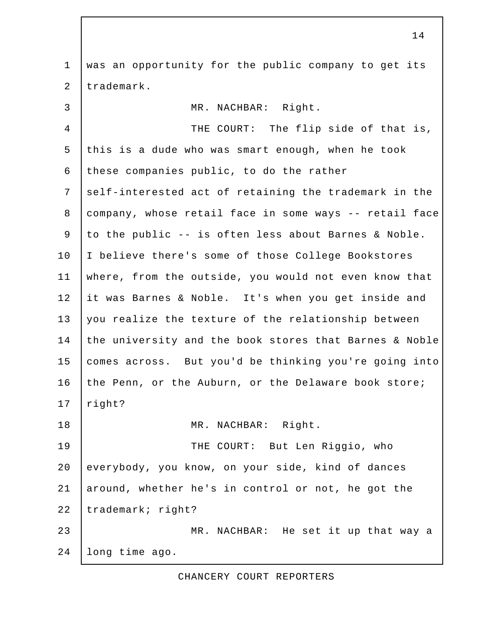1 was an opportunity for the public company to get its 2 trademark. 3 MR. NACHBAR: Right. 4 THE COURT: The flip side of that is, 5 this is a dude who was smart enough, when he took 6 these companies public, to do the rather 7 self-interested act of retaining the trademark in the 8 company, whose retail face in some ways -- retail face 9 to the public -- is often less about Barnes & Noble. 10 | I believe there's some of those College Bookstores 11 where, from the outside, you would not even know that 12 it was Barnes & Noble. It's when you get inside and 13 you realize the texture of the relationship between 14 the university and the book stores that Barnes & Noble 15 comes across. But you'd be thinking you're going into 16 the Penn, or the Auburn, or the Delaware book store; 17 right? 18 MR. NACHBAR: Right. 19 THE COURT: But Len Riggio, who 20 everybody, you know, on your side, kind of dances 21 around, whether he's in control or not, he got the 22 trademark; right? 23 MR. NACHBAR: He set it up that way a 24 long time ago.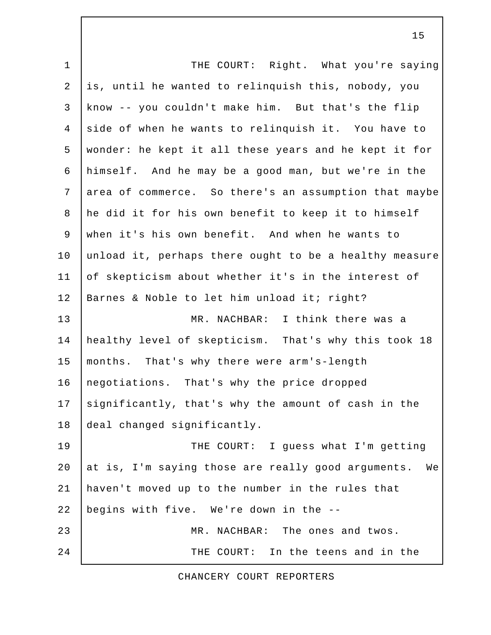1 | THE COURT: Right. What you're saying 2 is, until he wanted to relinquish this, nobody, you 3 know -- you couldn't make him. But that's the flip 4 side of when he wants to relinquish it. You have to 5 wonder: he kept it all these years and he kept it for 6 himself. And he may be a good man, but we're in the 7 area of commerce. So there's an assumption that maybe 8 he did it for his own benefit to keep it to himself 9 when it's his own benefit. And when he wants to 10 unload it, perhaps there ought to be a healthy measure 11 of skepticism about whether it's in the interest of 12 | Barnes & Noble to let him unload it; right? 13 MR. NACHBAR: I think there was a 14 healthy level of skepticism. That's why this took 18 15 months. That's why there were arm's-length 16 | negotiations. That's why the price dropped 17  $\vert$  significantly, that's why the amount of cash in the 18 deal changed significantly. 19 THE COURT: I quess what I'm getting 20  $at$  is, I'm saying those are really good arguments. We 21 haven't moved up to the number in the rules that 22 begins with five. We're down in the -- 23 MR. NACHBAR: The ones and twos. 24 THE COURT: In the teens and in the

## CHANCERY COURT REPORTERS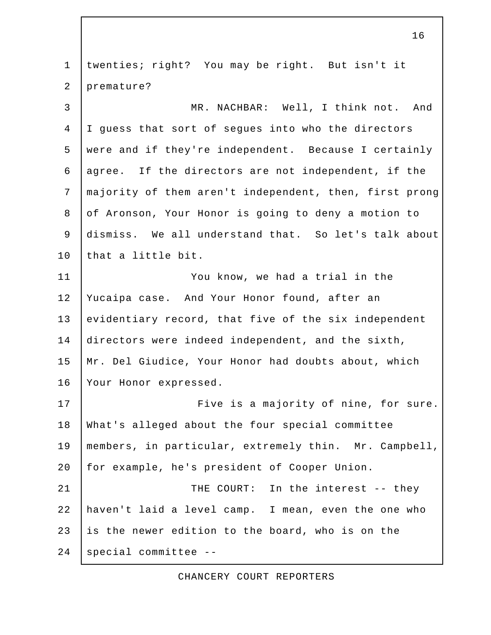1 twenties; right? You may be right. But isn't it 2 premature? 3 NR. NACHBAR: Well, I think not. And 4 I guess that sort of segues into who the directors 5 were and if they're independent. Because I certainly 6 agree. If the directors are not independent, if the 7 majority of them aren't independent, then, first prong 8 of Aronson, Your Honor is going to deny a motion to 9 dismiss. We all understand that. So let's talk about 10 that a little bit. 11 You know, we had a trial in the 12 Yucaipa case. And Your Honor found, after an 13 evidentiary record, that five of the six independent 14 directors were indeed independent, and the sixth, 15 Mr. Del Giudice, Your Honor had doubts about, which 16 | Your Honor expressed. 17 | Five is a majority of nine, for sure. 18 What's alleged about the four special committee 19 members, in particular, extremely thin. Mr. Campbell, 20 for example, he's president of Cooper Union. 21 | THE COURT: In the interest -- they 22 haven't laid a level camp. I mean, even the one who 23 is the newer edition to the board, who is on the  $24$  special committee  $-$ 

CHANCERY COURT REPORTERS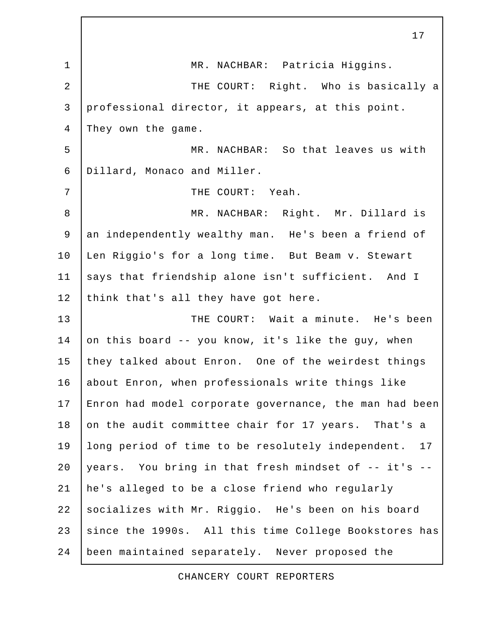1 | MR. NACHBAR: Patricia Higgins. 2 | THE COURT: Right. Who is basically a 3 professional director, it appears, at this point. 4 They own the game. 5 MR. NACHBAR: So that leaves us with 6 Dillard, Monaco and Miller. 7 | THE COURT: Yeah. 8 | MR. NACHBAR: Right. Mr. Dillard is 9 an independently wealthy man. He's been a friend of 10 | Len Riggio's for a long time. But Beam v. Stewart 11 says that friendship alone isn't sufficient. And I 12 think that's all they have got here. 13 | THE COURT: Wait a minute. He's been 14 on this board -- you know, it's like the guy, when 15 they talked about Enron. One of the weirdest things 16 about Enron, when professionals write things like 17 Enron had model corporate governance, the man had been 18 on the audit committee chair for 17 years. That's a 19 | long period of time to be resolutely independent. 17 20 years. You bring in that fresh mindset of  $-$  it's  $-$ 21 he's alleged to be a close friend who regularly 22 socializes with Mr. Riggio. He's been on his board 23 since the 1990s. All this time College Bookstores has 24 been maintained separately. Never proposed the

17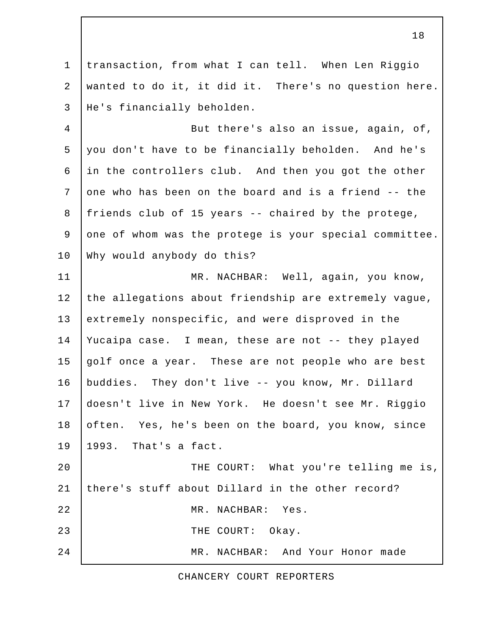1 transaction, from what I can tell. When Len Riggio 2 wanted to do it, it did it. There's no question here. 3 He's financially beholden. 4 But there's also an issue, again, of, 5 you don't have to be financially beholden. And he's 6 in the controllers club. And then you got the other 7 one who has been on the board and is a friend -- the 8 friends club of 15 years -- chaired by the protege, 9 one of whom was the protege is your special committee. 10 Why would anybody do this? 11 | MR. NACHBAR: Well, again, you know, 12 the allegations about friendship are extremely vague, 13 extremely nonspecific, and were disproved in the 14 Yucaipa case. I mean, these are not -- they played 15 golf once a year. These are not people who are best 16 buddies. They don't live -- you know, Mr. Dillard 17 doesn't live in New York. He doesn't see Mr. Riggio 18 often. Yes, he's been on the board, you know, since 19 1993. That's a fact. 20 THE COURT: What you're telling me is, 21 there's stuff about Dillard in the other record? 22 | MR. NACHBAR: Yes. 23 THE COURT: Okay. 24 MR. NACHBAR: And Your Honor made

CHANCERY COURT REPORTERS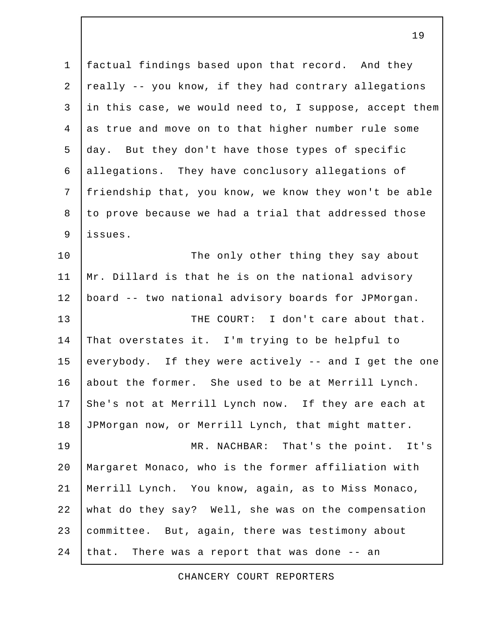1 factual findings based upon that record. And they 2 really -- you know, if they had contrary allegations 3 in this case, we would need to, I suppose, accept them 4 as true and move on to that higher number rule some 5 day. But they don't have those types of specific 6 allegations. They have conclusory allegations of 7 friendship that, you know, we know they won't be able 8 to prove because we had a trial that addressed those 9 issues.

10 The only other thing they say about 11 Mr. Dillard is that he is on the national advisory 12 board -- two national advisory boards for JPMorgan. 13 THE COURT: I don't care about that. 14 That overstates it. I'm trying to be helpful to 15 everybody. If they were actively -- and I get the one 16 about the former. She used to be at Merrill Lynch. 17 She's not at Merrill Lynch now. If they are each at 18 JPMorgan now, or Merrill Lynch, that might matter. 19 MR. NACHBAR: That's the point. It's 20 Margaret Monaco, who is the former affiliation with 21 Merrill Lynch. You know, again, as to Miss Monaco, 22 what do they say? Well, she was on the compensation 23 committee. But, again, there was testimony about

24 that. There was a report that was done  $-$  an

CHANCERY COURT REPORTERS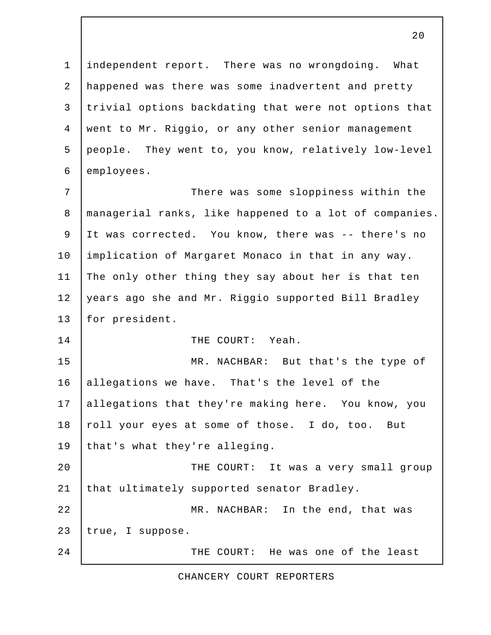1 independent report. There was no wrongdoing. What 2 happened was there was some inadvertent and pretty 3 trivial options backdating that were not options that 4 went to Mr. Riggio, or any other senior management 5 people. They went to, you know, relatively low-level 6 employees. 7 | There was some sloppiness within the 8 managerial ranks, like happened to a lot of companies. 9 It was corrected. You know, there was -- there's no 10 implication of Margaret Monaco in that in any way. 11 The only other thing they say about her is that ten 12 years ago she and Mr. Riggio supported Bill Bradley 13 for president. 14 THE COURT: Yeah. 15 MR. NACHBAR: But that's the type of 16 allegations we have. That's the level of the 17 allegations that they're making here. You know, you 18 roll your eyes at some of those. I do, too. But 19 that's what they're alleging. 20 THE COURT: It was a very small group 21 that ultimately supported senator Bradley.

22 | MR. NACHBAR: In the end, that was 23 true, I suppose.

24 THE COURT: He was one of the least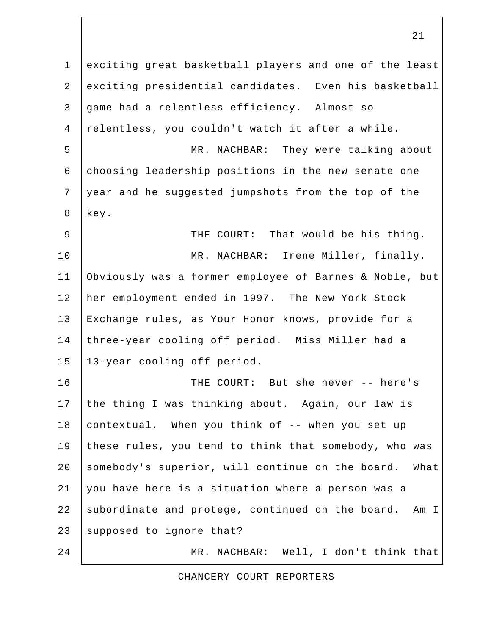1 exciting great basketball players and one of the least 2 exciting presidential candidates. Even his basketball 3 game had a relentless efficiency. Almost so 4 relentless, you couldn't watch it after a while. 5 MR. NACHBAR: They were talking about 6 choosing leadership positions in the new senate one 7 year and he suggested jumpshots from the top of the 8 key. 9 | THE COURT: That would be his thing. 10 MR. NACHBAR: Irene Miller, finally. 11 Obviously was a former employee of Barnes & Noble, but 12 her employment ended in 1997. The New York Stock 13 Exchange rules, as Your Honor knows, provide for a 14 three-year cooling off period. Miss Miller had a 15 13-year cooling off period. 16 THE COURT: But she never -- here's 17 the thing I was thinking about. Again, our law is 18 contextual. When you think of -- when you set up 19 these rules, you tend to think that somebody, who was 20 somebody's superior, will continue on the board. What 21 you have here is a situation where a person was a 22 subordinate and protege, continued on the board. Am I 23 supposed to ignore that? 24 MR. NACHBAR: Well, I don't think that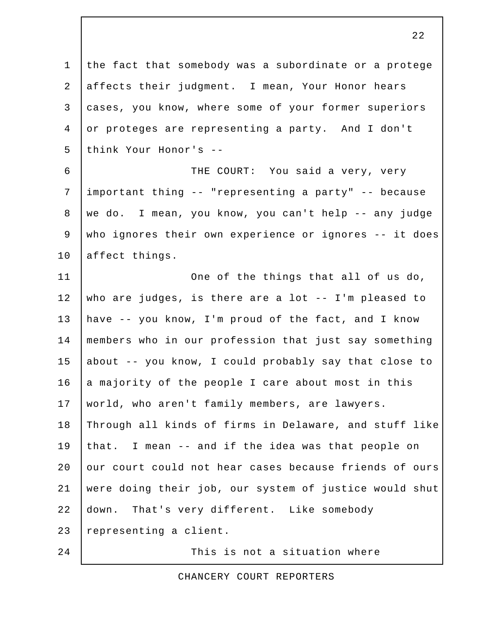1 the fact that somebody was a subordinate or a protege 2 affects their judgment. I mean, Your Honor hears 3 cases, you know, where some of your former superiors 4 or proteges are representing a party. And I don't 5 think Your Honor's -- 6 THE COURT: You said a very, very 7 important thing -- "representing a party" -- because 8 we do. I mean, you know, you can't help -- any judge 9 who ignores their own experience or ignores -- it does 10 affect things. 11 | One of the things that all of us do, 12 who are judges, is there are a lot -- I'm pleased to 13 have -- you know, I'm proud of the fact, and I know 14 members who in our profession that just say something 15 about -- you know, I could probably say that close to 16 a majority of the people I care about most in this 17 world, who aren't family members, are lawyers. 18 Through all kinds of firms in Delaware, and stuff like 19 that. I mean -- and if the idea was that people on 20 our court could not hear cases because friends of ours 21 were doing their job, our system of justice would shut 22 down. That's very different. Like somebody 23 representing a client. 24 This is not a situation where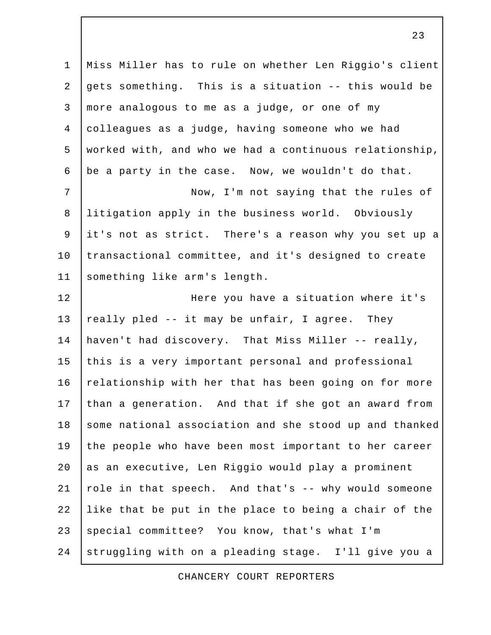1 Miss Miller has to rule on whether Len Riggio's client 2 gets something. This is a situation  $-$ - this would be 3 more analogous to me as a judge, or one of my 4 colleagues as a judge, having someone who we had 5 worked with, and who we had a continuous relationship, 6 be a party in the case. Now, we wouldn't do that. 7 | Now, I'm not saying that the rules of 8 litigation apply in the business world. Obviously 9 it's not as strict. There's a reason why you set up a 10 transactional committee, and it's designed to create 11 | something like arm's length. 12 Here you have a situation where it's 13  $\vert$  really pled -- it may be unfair, I agree. They 14 haven't had discovery. That Miss Miller -- really, 15 this is a very important personal and professional 16 relationship with her that has been going on for more 17 than a generation. And that if she got an award from 18 some national association and she stood up and thanked 19 the people who have been most important to her career 20 as an executive, Len Riggio would play a prominent 21  $|$  role in that speech. And that's  $-$  why would someone 22 like that be put in the place to being a chair of the 23 special committee? You know, that's what I'm 24 struggling with on a pleading stage. I'll give you a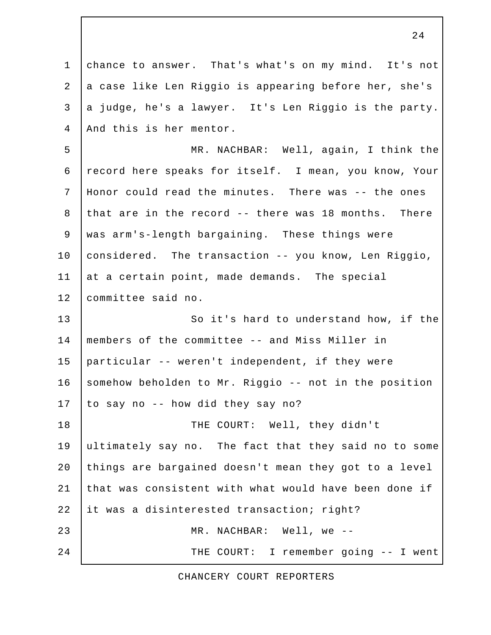1 chance to answer. That's what's on my mind. It's not 2 a case like Len Riggio is appearing before her, she's 3 a judge, he's a lawyer. It's Len Riggio is the party. 4 | And this is her mentor. 5 MR. NACHBAR: Well, again, I think the 6 record here speaks for itself. I mean, you know, Your 7 Honor could read the minutes. There was -- the ones 8 that are in the record -- there was 18 months. There 9 was arm's-length bargaining. These things were 10 considered. The transaction -- you know, Len Riggio, 11 at a certain point, made demands. The special 12 committee said no. 13 So it's hard to understand how, if the 14 members of the committee -- and Miss Miller in 15 particular -- weren't independent, if they were 16 somehow beholden to Mr. Riggio -- not in the position 17 | to say no  $-$  how did they say no? 18 THE COURT: Well, they didn't 19 ultimately say no. The fact that they said no to some 20 things are bargained doesn't mean they got to a level 21 that was consistent with what would have been done if 22 it was a disinterested transaction; right? 23 MR. NACHBAR: Well, we -- 24 | THE COURT: I remember going -- I went

CHANCERY COURT REPORTERS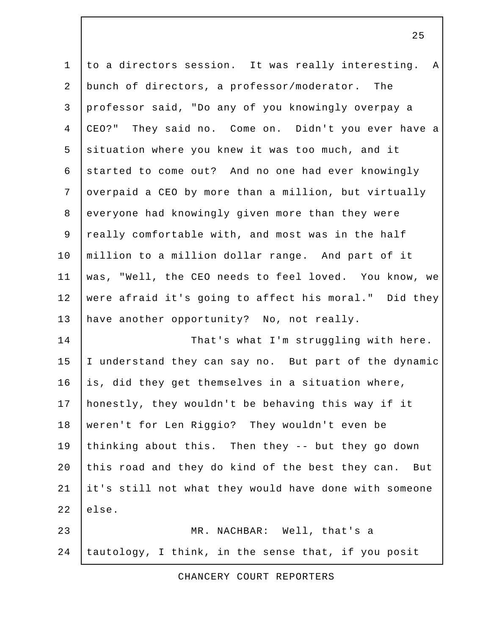1 to a directors session. It was really interesting. A 2 bunch of directors, a professor/moderator. The 3 professor said, "Do any of you knowingly overpay a 4 CEO?" They said no. Come on. Didn't you ever have a 5 situation where you knew it was too much, and it 6 started to come out? And no one had ever knowingly 7 overpaid a CEO by more than a million, but virtually 8 everyone had knowingly given more than they were 9 really comfortable with, and most was in the half 10 million to a million dollar range. And part of it 11 was, "Well, the CEO needs to feel loved. You know, we 12 were afraid it's going to affect his moral." Did they 13 have another opportunity? No, not really. 14 That's what I'm struggling with here. 15 I understand they can say no. But part of the dynamic  $16$  is, did they get themselves in a situation where, 17 honestly, they wouldn't be behaving this way if it 18 weren't for Len Riggio? They wouldn't even be 19 thinking about this. Then they -- but they go down 20 this road and they do kind of the best they can. But 21 it's still not what they would have done with someone  $22$  lelse. 23 MR. NACHBAR: Well, that's a 24 tautology, I think, in the sense that, if you posit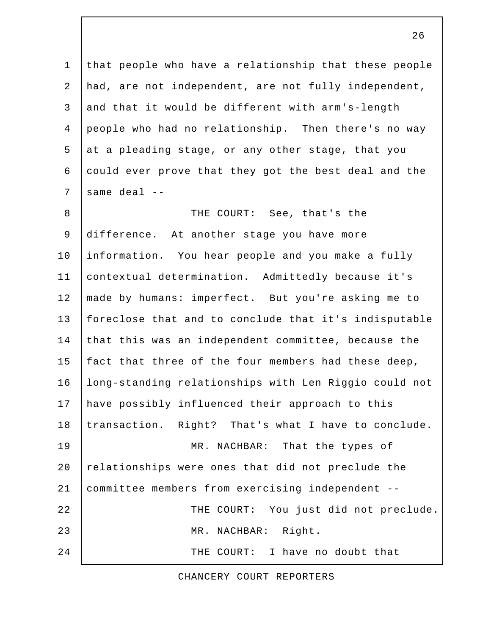1 that people who have a relationship that these people 2 had, are not independent, are not fully independent, 3 and that it would be different with arm's-length 4 people who had no relationship. Then there's no way 5 at a pleading stage, or any other stage, that you 6 could ever prove that they got the best deal and the  $7$  same deal  $-$ 

 8 THE COURT: See, that's the 9 difference. At another stage you have more 10 information. You hear people and you make a fully 11 contextual determination. Admittedly because it's 12 made by humans: imperfect. But you're asking me to 13 foreclose that and to conclude that it's indisputable 14 that this was an independent committee, because the 15 | fact that three of the four members had these deep, 16 long-standing relationships with Len Riggio could not 17 have possibly influenced their approach to this 18 transaction. Right? That's what I have to conclude. 19 MR. NACHBAR: That the types of 20 relationships were ones that did not preclude the 21 committee members from exercising independent -- 22 | THE COURT: You just did not preclude. 23 MR. NACHBAR: Right. 24 THE COURT: I have no doubt that

CHANCERY COURT REPORTERS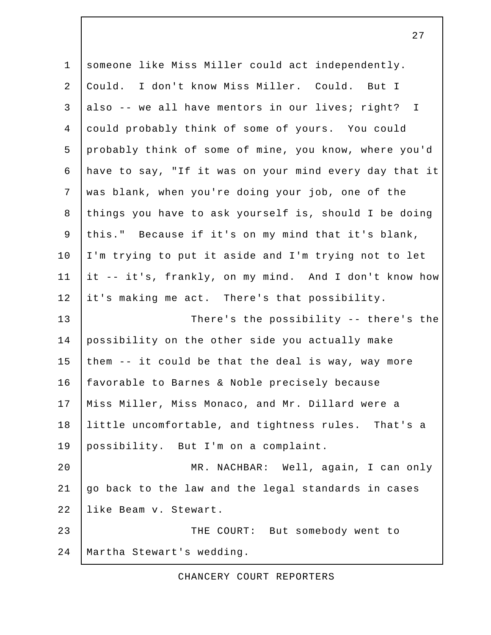1 someone like Miss Miller could act independently. 2 Could. I don't know Miss Miller. Could. But I 3 also -- we all have mentors in our lives; right? I 4 could probably think of some of yours. You could 5 probably think of some of mine, you know, where you'd 6 have to say, "If it was on your mind every day that it 7 was blank, when you're doing your job, one of the 8 things you have to ask yourself is, should I be doing 9 this." Because if it's on my mind that it's blank, 10 I'm trying to put it aside and I'm trying not to let 11 it -- it's, frankly, on my mind. And I don't know how 12 it's making me act. There's that possibility. 13 There's the possibility -- there's the 14 possibility on the other side you actually make 15 them  $-$  it could be that the deal is way, way more 16 | favorable to Barnes & Noble precisely because 17 | Miss Miller, Miss Monaco, and Mr. Dillard were a 18 little uncomfortable, and tightness rules. That's a 19 possibility. But I'm on a complaint. 20 MR. NACHBAR: Well, again, I can only 21 go back to the law and the legal standards in cases 22 like Beam v. Stewart. 23 THE COURT: But somebody went to 24 Martha Stewart's wedding.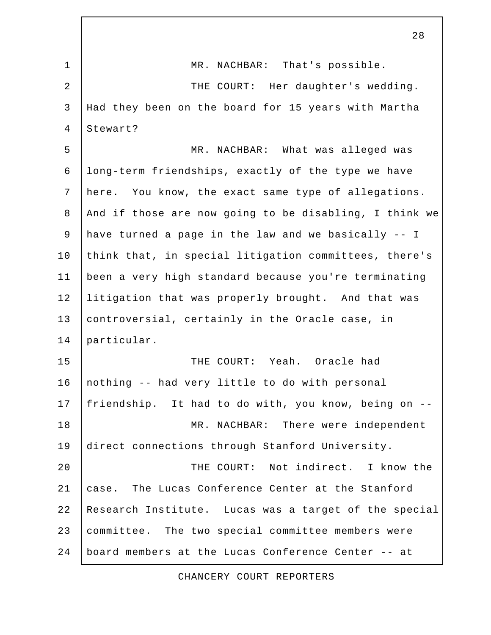1 | MR. NACHBAR: That's possible. 2 | THE COURT: Her daughter's wedding. 3 Had they been on the board for 15 years with Martha 4 Stewart? 5 MR. NACHBAR: What was alleged was 6 long-term friendships, exactly of the type we have 7 here. You know, the exact same type of allegations. 8 And if those are now going to be disabling, I think we 9 have turned a page in the law and we basically -- I 10 think that, in special litigation committees, there's 11 been a very high standard because you're terminating 12 litigation that was properly brought. And that was 13 controversial, certainly in the Oracle case, in 14 particular. 15 THE COURT: Yeah. Oracle had 16 | nothing -- had very little to do with personal 17 friendship. It had to do with, you know, being on -- 18 | MR. NACHBAR: There were independent 19 direct connections through Stanford University. 20 THE COURT: Not indirect. I know the 21 case. The Lucas Conference Center at the Stanford 22 Research Institute. Lucas was a target of the special 23 committee. The two special committee members were 24 board members at the Lucas Conference Center -- at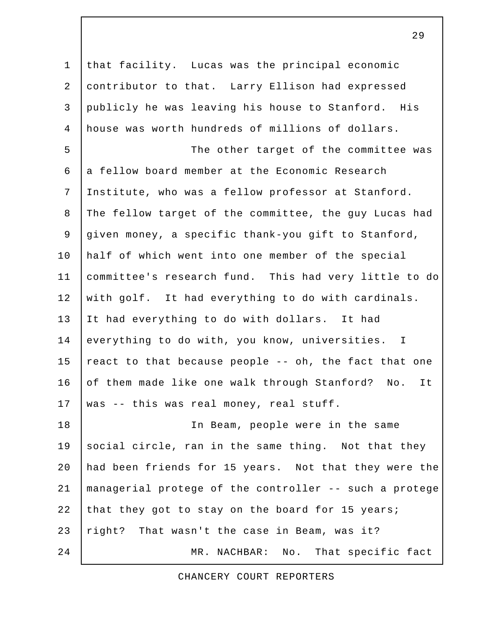1 that facility. Lucas was the principal economic 2 contributor to that. Larry Ellison had expressed 3 publicly he was leaving his house to Stanford. His 4 house was worth hundreds of millions of dollars. 5 | The other target of the committee was  $6$  a fellow board member at the Economic Research 7 Institute, who was a fellow professor at Stanford. 8 The fellow target of the committee, the guy Lucas had 9 given money, a specific thank-you gift to Stanford, 10 half of which went into one member of the special 11 committee's research fund. This had very little to do 12 with golf. It had everything to do with cardinals. 13 It had everything to do with dollars. It had 14 everything to do with, you know, universities. I 15 react to that because people -- oh, the fact that one 16 of them made like one walk through Stanford? No. It 17 | was -- this was real money, real stuff. 18 In Beam, people were in the same 19 social circle, ran in the same thing. Not that they 20 had been friends for 15 years. Not that they were the 21 managerial protege of the controller -- such a protege 22 that they got to stay on the board for 15 years; 23 right? That wasn't the case in Beam, was it? 24 MR. NACHBAR: No. That specific fact

CHANCERY COURT REPORTERS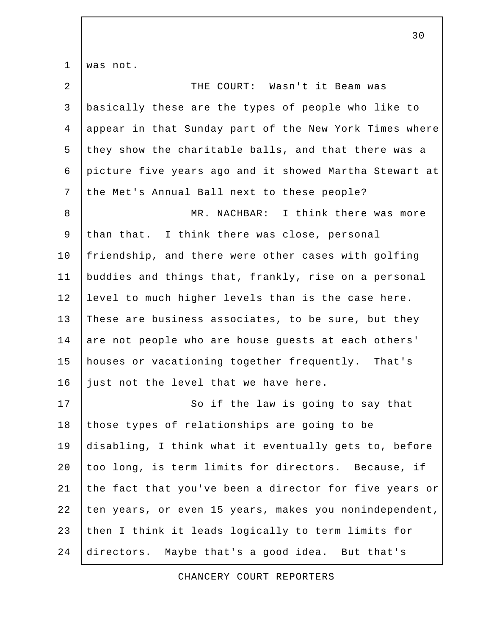1 was not.

| $\overline{a}$ | THE COURT: Wasn't it Beam was                          |
|----------------|--------------------------------------------------------|
| $\mathsf{3}$   | basically these are the types of people who like to    |
| $\overline{4}$ | appear in that Sunday part of the New York Times where |
| 5              | they show the charitable balls, and that there was a   |
| 6              | picture five years ago and it showed Martha Stewart at |
| 7              | the Met's Annual Ball next to these people?            |
| 8              | MR. NACHBAR: I think there was more                    |
| 9              | than that. I think there was close, personal           |
| 10             | friendship, and there were other cases with golfing    |
| 11             | buddies and things that, frankly, rise on a personal   |
| 12             | level to much higher levels than is the case here.     |
| 13             | These are business associates, to be sure, but they    |
| 14             | are not people who are house guests at each others'    |
| 15             | houses or vacationing together frequently. That's      |
| 16             | just not the level that we have here.                  |
| 17             | So if the law is going to say that                     |
| 18             | those types of relationships are going to be           |
| 19             | disabling, I think what it eventually gets to, before  |
| 20             | too long, is term limits for directors. Because, if    |
| 21             | the fact that you've been a director for five years or |
| 22             | ten years, or even 15 years, makes you nonindependent, |
| 23             | then I think it leads logically to term limits for     |
| 24             | directors. Maybe that's a good idea. But that's        |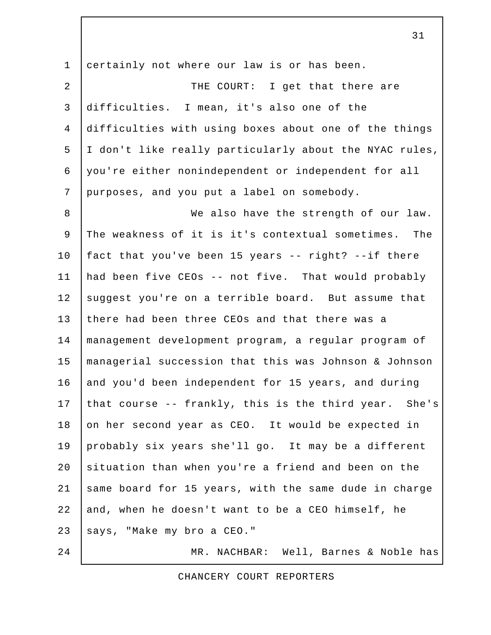1 certainly not where our law is or has been. 2 | THE COURT: I get that there are 3 difficulties. I mean, it's also one of the 4 difficulties with using boxes about one of the things 5 I don't like really particularly about the NYAC rules, 6 you're either nonindependent or independent for all 7 purposes, and you put a label on somebody. 8 We also have the strength of our law. 9 The weakness of it is it's contextual sometimes. The 10 fact that you've been 15 years -- right? --if there 11 had been five CEOs -- not five. That would probably 12 suggest you're on a terrible board. But assume that 13 there had been three CEOs and that there was a 14 management development program, a regular program of 15 managerial succession that this was Johnson & Johnson 16 and you'd been independent for 15 years, and during 17 that course  $-$ - frankly, this is the third year. She's 18 on her second year as CEO. It would be expected in 19 probably six years she'll go. It may be a different 20 situation than when you're a friend and been on the 21 same board for 15 years, with the same dude in charge 22 and, when he doesn't want to be a CEO himself, he 23 says, "Make my bro a CEO." 24 | MR. NACHBAR: Well, Barnes & Noble has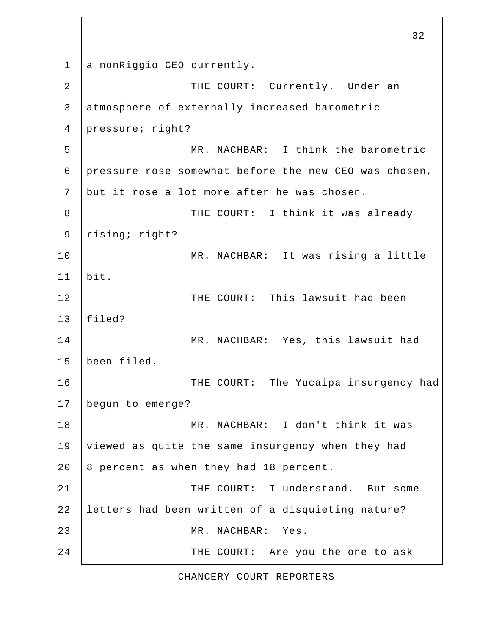1 a nonRiggio CEO currently. 2 | THE COURT: Currently. Under an 3 atmosphere of externally increased barometric 4 pressure; right? 5 MR. NACHBAR: I think the barometric 6 pressure rose somewhat before the new CEO was chosen, 7 but it rose a lot more after he was chosen. 8 THE COURT: I think it was already 9 rising; right? 10 | MR. NACHBAR: It was rising a little 11 bit. 12 | THE COURT: This lawsuit had been 13 filed? 14 MR. NACHBAR: Yes, this lawsuit had 15 been filed. 16 | THE COURT: The Yucaipa insurgency had 17 begun to emerge? 18 MR. NACHBAR: I don't think it was 19 viewed as quite the same insurgency when they had 20  $\vert$  8 percent as when they had 18 percent. 21 | THE COURT: I understand. But some 22 letters had been written of a disquieting nature? 23 MR. NACHBAR: Yes. 24 THE COURT: Are you the one to ask

32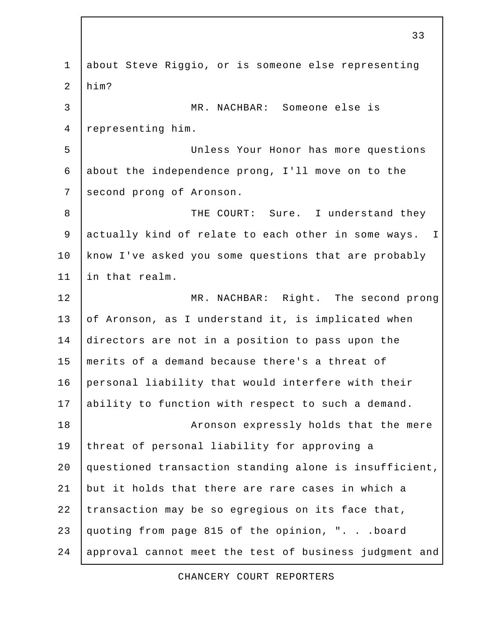1 about Steve Riggio, or is someone else representing 2 him? 3 MR. NACHBAR: Someone else is 4 representing him. 5 Unless Your Honor has more questions 6 about the independence prong, I'll move on to the 7 second prong of Aronson. 8 THE COURT: Sure. I understand they 9 actually kind of relate to each other in some ways. I 10 know I've asked you some questions that are probably 11 in that realm. 12 MR. NACHBAR: Right. The second prong 13 of Aronson, as I understand it, is implicated when 14 directors are not in a position to pass upon the 15 merits of a demand because there's a threat of 16 personal liability that would interfere with their 17 ability to function with respect to such a demand. 18 **Aronson expressly holds that the mere** 19 threat of personal liability for approving a 20 questioned transaction standing alone is insufficient, 21 but it holds that there are rare cases in which a 22 transaction may be so egregious on its face that, 23 quoting from page 815 of the opinion, ". . .board 24 approval cannot meet the test of business judgment and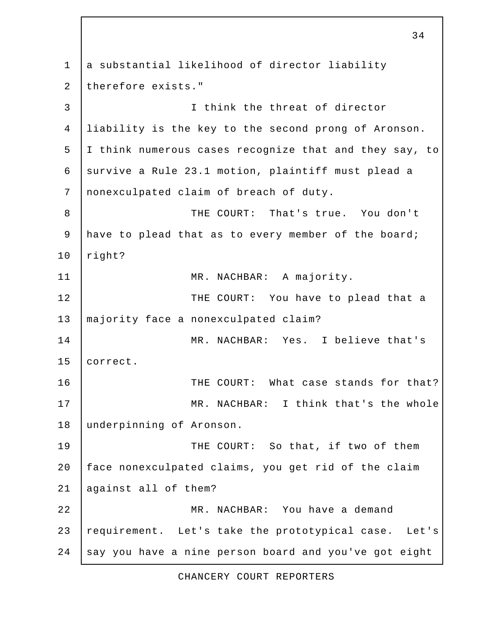1 a substantial likelihood of director liability 2 therefore exists." 3 I think the threat of director 4 liability is the key to the second prong of Aronson. 5 I think numerous cases recognize that and they say, to 6 | survive a Rule 23.1 motion, plaintiff must plead a 7 nonexculpated claim of breach of duty. 8 THE COURT: That's true. You don't 9 have to plead that as to every member of the board; 10 right? 11 | MR. NACHBAR: A majority. 12 THE COURT: You have to plead that a 13 | majority face a nonexculpated claim? 14 | MR. NACHBAR: Yes. I believe that's 15 | correct. 16 THE COURT: What case stands for that? 17 | MR. NACHBAR: I think that's the whole 18 underpinning of Aronson. 19 THE COURT: So that, if two of them 20 face nonexculpated claims, you get rid of the claim 21 against all of them? 22 MR. NACHBAR: You have a demand 23 requirement. Let's take the prototypical case. Let's 24 say you have a nine person board and you've got eight

34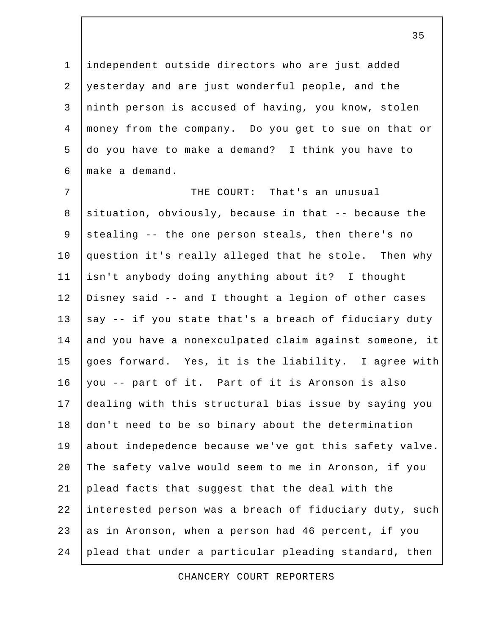1 independent outside directors who are just added 2 yesterday and are just wonderful people, and the 3 ninth person is accused of having, you know, stolen 4 money from the company. Do you get to sue on that or 5 do you have to make a demand? I think you have to 6 make a demand.

 7 THE COURT: That's an unusual 8 situation, obviously, because in that -- because the 9 stealing  $-$ - the one person steals, then there's no 10 question it's really alleged that he stole. Then why 11 isn't anybody doing anything about it? I thought 12 Disney said -- and I thought a legion of other cases 13  $\vert$  say -- if you state that's a breach of fiduciary duty 14 and you have a nonexculpated claim against someone, it 15 goes forward. Yes, it is the liability. I agree with 16 you -- part of it. Part of it is Aronson is also 17 dealing with this structural bias issue by saying you 18 don't need to be so binary about the determination 19 about indepedence because we've got this safety valve. 20 The safety valve would seem to me in Aronson, if you 21 plead facts that suggest that the deal with the 22 interested person was a breach of fiduciary duty, such 23 as in Aronson, when a person had 46 percent, if you 24 plead that under a particular pleading standard, then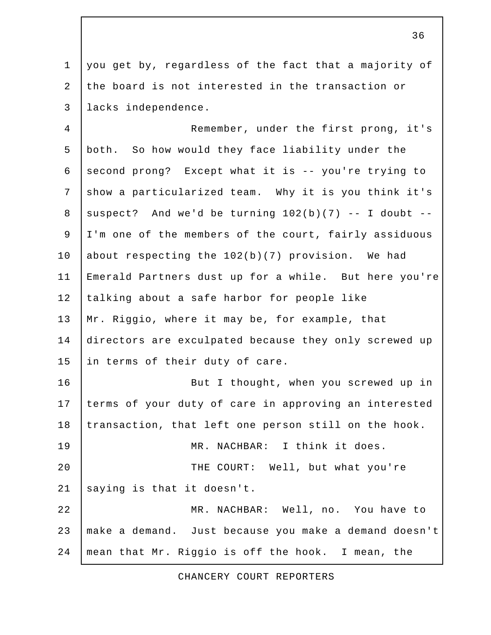1 you get by, regardless of the fact that a majority of 2 the board is not interested in the transaction or 3 lacks independence.

 4 Remember, under the first prong, it's 5 both. So how would they face liability under the 6 second prong? Except what it is  $-$ - you're trying to 7 show a particularized team. Why it is you think it's 8 suspect? And we'd be turning  $102(b)(7)$  -- I doubt -- 9 I'm one of the members of the court, fairly assiduous 10 about respecting the 102(b)(7) provision. We had 11 Emerald Partners dust up for a while. But here you're 12 talking about a safe harbor for people like 13 | Mr. Riggio, where it may be, for example, that 14 directors are exculpated because they only screwed up 15 in terms of their duty of care. 16 | Rut I thought, when you screwed up in 17 terms of your duty of care in approving an interested 18 transaction, that left one person still on the hook. 19 | MR. NACHBAR: I think it does. 20 | THE COURT: Well, but what you're 21 saying is that it doesn't. 22 MR. NACHBAR: Well, no. You have to 23 make a demand. Just because you make a demand doesn't 24 mean that Mr. Riggio is off the hook. I mean, the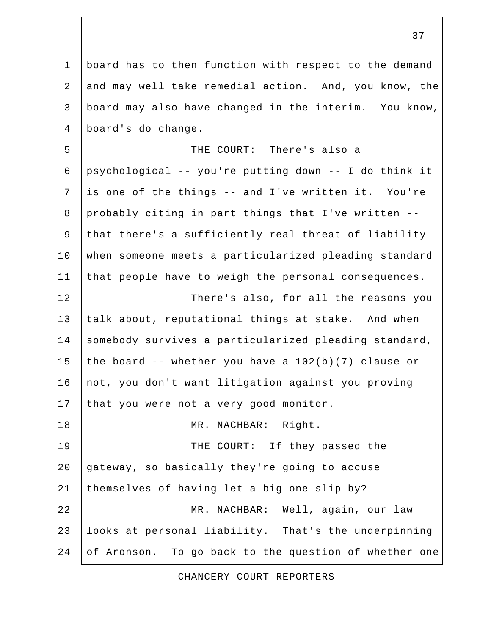1 board has to then function with respect to the demand 2 and may well take remedial action. And, you know, the 3 board may also have changed in the interim. You know, 4 board's do change. 5 THE COURT: There's also a 6 psychological -- you're putting down -- I do think it 7 is one of the things -- and I've written it. You're 8 probably citing in part things that I've written -- 9 that there's a sufficiently real threat of liability 10 when someone meets a particularized pleading standard 11 that people have to weigh the personal consequences. 12 There's also, for all the reasons you 13 talk about, reputational things at stake. And when 14 somebody survives a particularized pleading standard, 15 the board  $-$ - whether you have a  $102(b)(7)$  clause or 16 | not, you don't want litigation against you proving 17 that you were not a very good monitor. 18 | MR. NACHBAR: Right. 19 THE COURT: If they passed the 20 gateway, so basically they're going to accuse 21 themselves of having let a big one slip by? 22 MR. NACHBAR: Well, again, our law 23 looks at personal liability. That's the underpinning 24 of Aronson. To go back to the question of whether one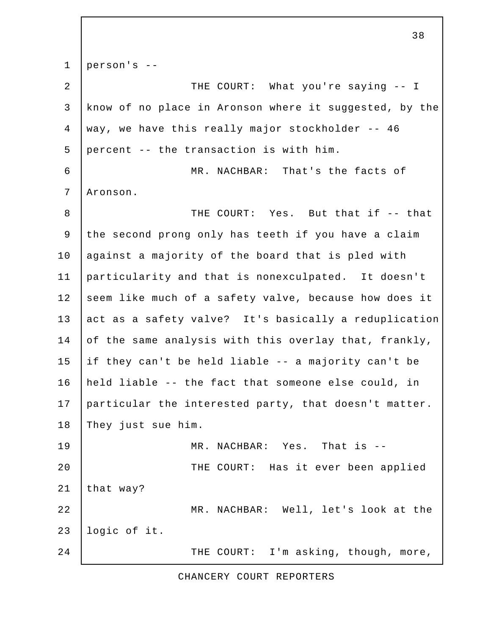1 person's -- 2 | THE COURT: What you're saying -- I 3 know of no place in Aronson where it suggested, by the 4 way, we have this really major stockholder -- 46 5 percent -- the transaction is with him. 6 MR. NACHBAR: That's the facts of 7 Aronson. 8 THE COURT: Yes. But that if -- that 9 the second prong only has teeth if you have a claim 10 against a majority of the board that is pled with 11 particularity and that is nonexculpated. It doesn't 12 seem like much of a safety valve, because how does it 13 act as a safety valve? It's basically a reduplication 14 of the same analysis with this overlay that, frankly, 15 if they can't be held liable -- a majority can't be 16 held liable -- the fact that someone else could, in 17 particular the interested party, that doesn't matter. 18 They just sue him. 19 MR. NACHBAR: Yes. That is --20 | THE COURT: Has it ever been applied 21 that way? 22 MR. NACHBAR: Well, let's look at the 23 logic of it. 24 | THE COURT: I'm asking, though, more,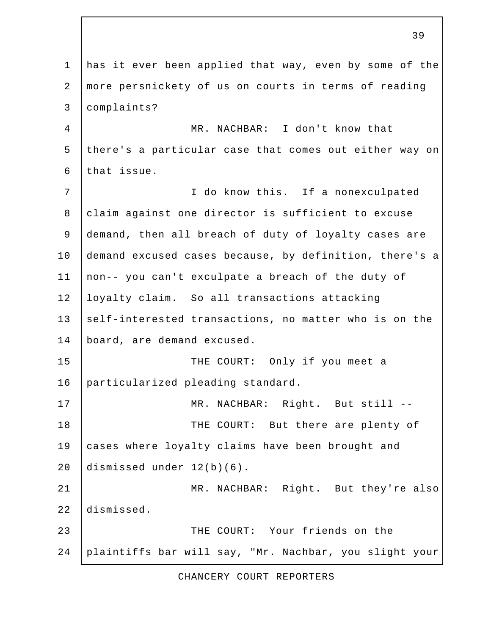1 has it ever been applied that way, even by some of the 2 more persnickety of us on courts in terms of reading 3 complaints? 4 MR. NACHBAR: I don't know that 5 there's a particular case that comes out either way on 6 that issue. 7 | T do know this. If a nonexculpated 8 claim against one director is sufficient to excuse 9 demand, then all breach of duty of loyalty cases are 10 demand excused cases because, by definition, there's a 11 non-- you can't exculpate a breach of the duty of 12 loyalty claim. So all transactions attacking 13 self-interested transactions, no matter who is on the 14 board, are demand excused. 15 THE COURT: Only if you meet a 16 particularized pleading standard. 17 | MR. NACHBAR: Right. But still --18 | THE COURT: But there are plenty of 19 cases where loyalty claims have been brought and 20 dismissed under 12(b)(6). 21 | MR. NACHBAR: Right. But they're also 22 dismissed. 23 THE COURT: Your friends on the 24 plaintiffs bar will say, "Mr. Nachbar, you slight your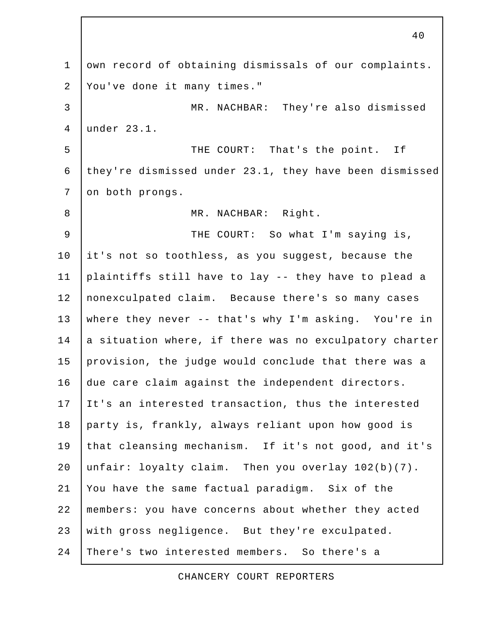1 own record of obtaining dismissals of our complaints. 2 You've done it many times." 3 MR. NACHBAR: They're also dismissed 4 under 23.1. 5 | THE COURT: That's the point. If 6 they're dismissed under 23.1, they have been dismissed 7 on both prongs. 8 | MR. NACHBAR: Right. 9 THE COURT: So what I'm saying is, 10 it's not so toothless, as you suggest, because the 11 plaintiffs still have to lay -- they have to plead a 12 nonexculpated claim. Because there's so many cases 13 where they never -- that's why I'm asking. You're in 14 a situation where, if there was no exculpatory charter 15 provision, the judge would conclude that there was a 16 due care claim against the independent directors. 17 It's an interested transaction, thus the interested 18 party is, frankly, always reliant upon how good is 19 that cleansing mechanism. If it's not good, and it's 20 unfair: loyalty claim. Then you overlay 102(b)(7). 21 You have the same factual paradigm. Six of the 22 members: you have concerns about whether they acted 23 with gross negligence. But they're exculpated. 24 There's two interested members. So there's a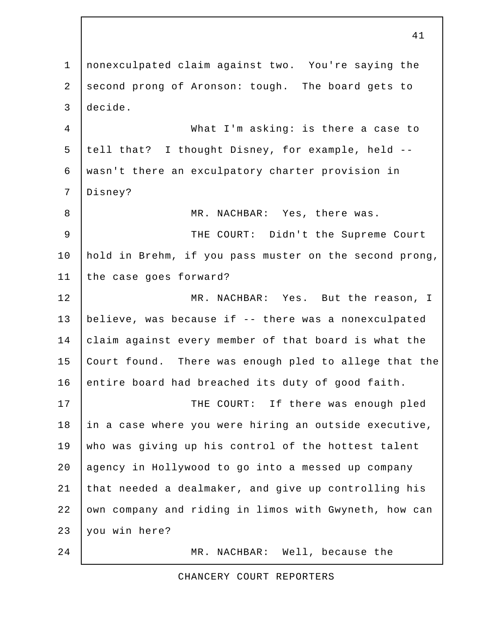1 nonexculpated claim against two. You're saying the 2 second prong of Aronson: tough. The board gets to 3 decide. 4 What I'm asking: is there a case to 5 tell that? I thought Disney, for example, held -- 6 wasn't there an exculpatory charter provision in 7 Disney? 8 MR. NACHBAR: Yes, there was. 9 | THE COURT: Didn't the Supreme Court 10 hold in Brehm, if you pass muster on the second prong, 11 the case goes forward? 12 MR. NACHBAR: Yes. But the reason, I 13 believe, was because if -- there was a nonexculpated 14 claim against every member of that board is what the 15 Court found. There was enough pled to allege that the 16 entire board had breached its duty of good faith. 17 | THE COURT: If there was enough pled 18 in a case where you were hiring an outside executive, 19 who was giving up his control of the hottest talent 20 agency in Hollywood to go into a messed up company 21 that needed a dealmaker, and give up controlling his 22 own company and riding in limos with Gwyneth, how can 23 you win here? 24 MR. NACHBAR: Well, because the

41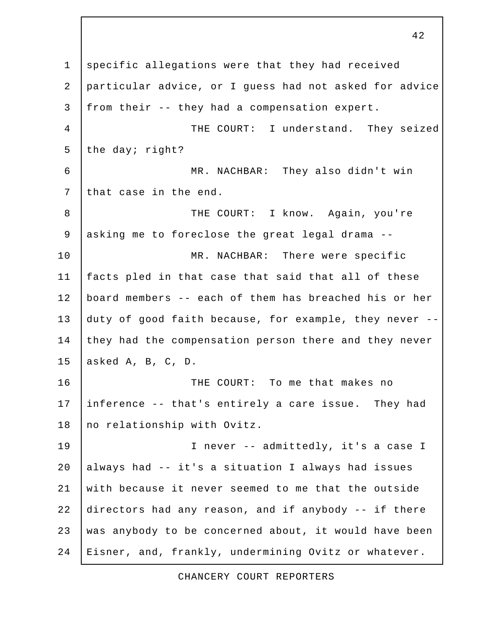1 specific allegations were that they had received 2 particular advice, or I guess had not asked for advice 3 from their -- they had a compensation expert. 4 THE COURT: I understand. They seized 5 the day; right? 6 MR. NACHBAR: They also didn't win 7 that case in the end. 8 THE COURT: I know. Again, you're 9 asking me to foreclose the great legal drama -- 10 | MR. NACHBAR: There were specific 11 facts pled in that case that said that all of these 12 board members -- each of them has breached his or her 13 duty of good faith because, for example, they never -- 14 they had the compensation person there and they never 15 asked A, B, C, D. 16 THE COURT: To me that makes no 17 inference -- that's entirely a care issue. They had 18 no relationship with Ovitz. 19 | Thever -- admittedly, it's a case I 20 always had -- it's a situation I always had issues 21 with because it never seemed to me that the outside 22 directors had any reason, and if anybody -- if there 23 was anybody to be concerned about, it would have been 24 Eisner, and, frankly, undermining Ovitz or whatever.

42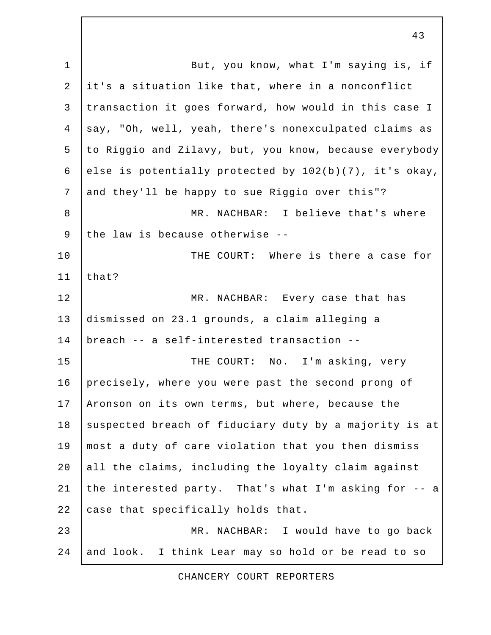1 | But, you know, what I'm saying is, if 2 it's a situation like that, where in a nonconflict 3 transaction it goes forward, how would in this case I 4 say, "Oh, well, yeah, there's nonexculpated claims as 5 to Riggio and Zilavy, but, you know, because everybody 6 else is potentially protected by  $102(b)(7)$ , it's okay, 7 and they'll be happy to sue Riggio over this"? 8 MR. NACHBAR: I believe that's where 9 the law is because otherwise --10 THE COURT: Where is there a case for  $11$  | that? 12 MR. NACHBAR: Every case that has 13 dismissed on 23.1 grounds, a claim alleging a 14 breach -- a self-interested transaction -- 15 THE COURT: No. I'm asking, very 16 precisely, where you were past the second prong of 17 | Aronson on its own terms, but where, because the 18 suspected breach of fiduciary duty by a majority is at 19 most a duty of care violation that you then dismiss 20 all the claims, including the loyalty claim against 21 the interested party. That's what I'm asking for  $-$  a 22 case that specifically holds that. 23 MR. NACHBAR: I would have to go back 24 and look. I think Lear may so hold or be read to so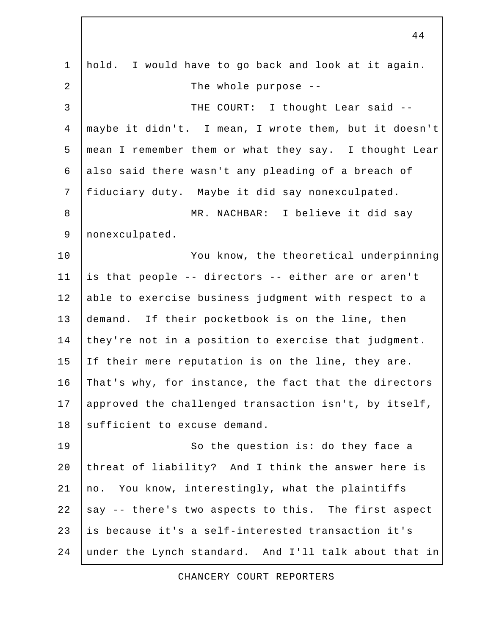1 hold. I would have to go back and look at it again. 2 | The whole purpose --3 | THE COURT: I thought Lear said -- 4 maybe it didn't. I mean, I wrote them, but it doesn't 5 mean I remember them or what they say. I thought Lear 6 also said there wasn't any pleading of a breach of 7 fiduciary duty. Maybe it did say nonexculpated. 8 | MR. NACHBAR: I believe it did say 9 nonexculpated. 10 | You know, the theoretical underpinning 11 is that people -- directors -- either are or aren't 12 able to exercise business judgment with respect to a 13 demand. If their pocketbook is on the line, then 14 they're not in a position to exercise that judgment. 15 If their mere reputation is on the line, they are. 16 That's why, for instance, the fact that the directors 17 approved the challenged transaction isn't, by itself, 18 sufficient to excuse demand. 19 | So the question is: do they face a 20 threat of liability? And I think the answer here is 21 no. You know, interestingly, what the plaintiffs 22  $\vert$  say  $\vert$ - there's two aspects to this. The first aspect 23 is because it's a self-interested transaction it's 24 under the Lynch standard. And I'll talk about that in

CHANCERY COURT REPORTERS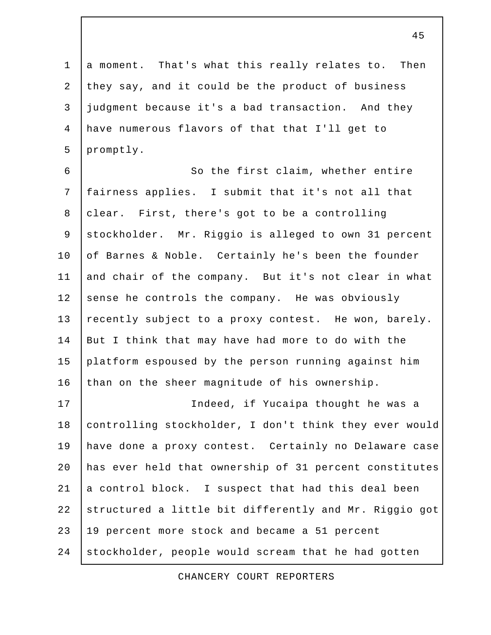1 a moment. That's what this really relates to. Then 2 they say, and it could be the product of business 3 judgment because it's a bad transaction. And they 4 have numerous flavors of that that I'll get to 5 promptly.

6 | So the first claim, whether entire 7 fairness applies. I submit that it's not all that 8 clear. First, there's got to be a controlling 9 stockholder. Mr. Riggio is alleged to own 31 percent 10 of Barnes & Noble. Certainly he's been the founder 11 and chair of the company. But it's not clear in what 12 sense he controls the company. He was obviously 13 recently subject to a proxy contest. He won, barely. 14 But I think that may have had more to do with the 15 platform espoused by the person running against him 16 than on the sheer magnitude of his ownership.

17 Indeed, if Yucaipa thought he was a 18 controlling stockholder, I don't think they ever would 19 have done a proxy contest. Certainly no Delaware case 20 has ever held that ownership of 31 percent constitutes 21  $\vert$  a control block. I suspect that had this deal been 22 structured a little bit differently and Mr. Riggio got 23 19 percent more stock and became a 51 percent 24 stockholder, people would scream that he had gotten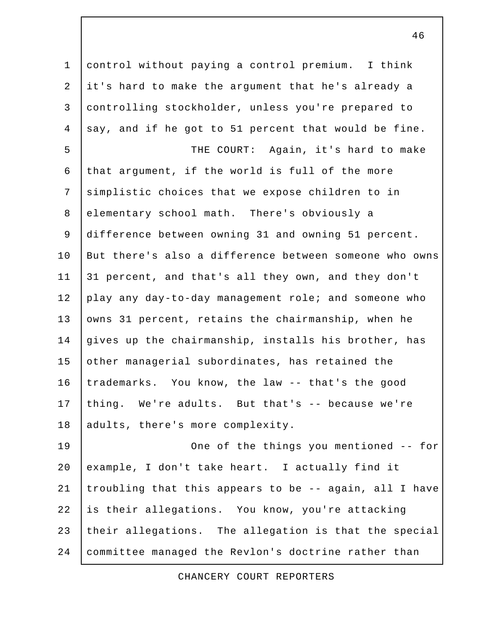1 control without paying a control premium. I think 2 it's hard to make the argument that he's already a 3 controlling stockholder, unless you're prepared to 4 | say, and if he got to 51 percent that would be fine. 5 | THE COURT: Again, it's hard to make 6 that argument, if the world is full of the more 7 simplistic choices that we expose children to in 8 elementary school math. There's obviously a 9 difference between owning 31 and owning 51 percent. 10 But there's also a difference between someone who owns 11 31 percent, and that's all they own, and they don't 12 play any day-to-day management role; and someone who 13 owns 31 percent, retains the chairmanship, when he 14 gives up the chairmanship, installs his brother, has 15 other managerial subordinates, has retained the 16 trademarks. You know, the law -- that's the good 17 thing. We're adults. But that's -- because we're 18 adults, there's more complexity. 19 | Che of the things you mentioned -- for 20 example, I don't take heart. I actually find it 21 | troubling that this appears to be  $-$  again, all I have 22 is their allegations. You know, you're attacking 23 their allegations. The allegation is that the special

46

24 committee managed the Revlon's doctrine rather than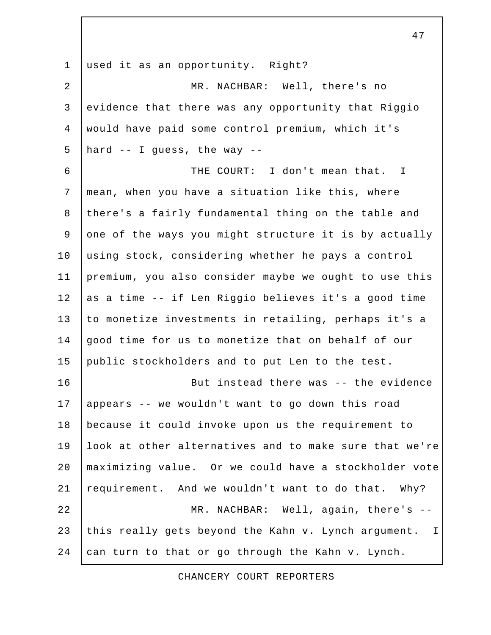1 used it as an opportunity. Right? 2 MR. NACHBAR: Well, there's no 3 evidence that there was any opportunity that Riggio 4 would have paid some control premium, which it's 5 | hard  $-$  I guess, the way  $-$  6 THE COURT: I don't mean that. I 7 mean, when you have a situation like this, where 8 there's a fairly fundamental thing on the table and 9 one of the ways you might structure it is by actually 10 using stock, considering whether he pays a control 11 premium, you also consider maybe we ought to use this 12 as a time -- if Len Riggio believes it's a good time 13 to monetize investments in retailing, perhaps it's a 14 good time for us to monetize that on behalf of our 15 public stockholders and to put Len to the test. 16 But instead there was -- the evidence 17 appears -- we wouldn't want to go down this road 18 because it could invoke upon us the requirement to 19 look at other alternatives and to make sure that we're 20 maximizing value. Or we could have a stockholder vote 21 requirement. And we wouldn't want to do that. Why? 22 MR. NACHBAR: Well, again, there's --23 this really gets beyond the Kahn v. Lynch argument. I 24  $\vert$  can turn to that or go through the Kahn v. Lynch.

CHANCERY COURT REPORTERS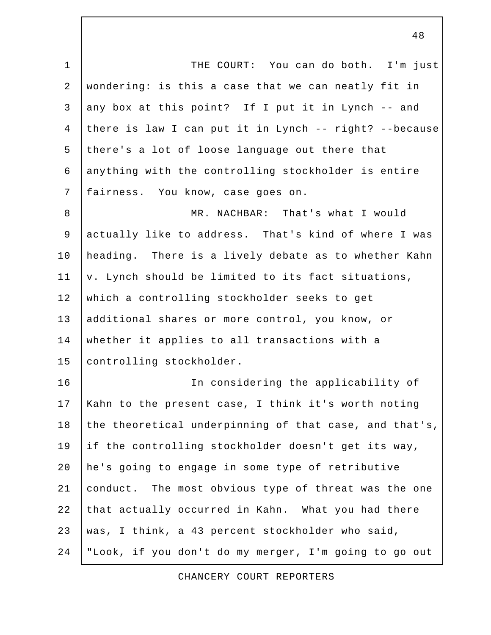1 | THE COURT: You can do both. I'm just 2 wondering: is this a case that we can neatly fit in 3 any box at this point? If I put it in Lynch  $-$  and 4 there is law I can put it in Lynch -- right? --because 5 there's a lot of loose language out there that 6 anything with the controlling stockholder is entire 7 fairness. You know, case goes on.

8 | MR. NACHBAR: That's what I would 9 | actually like to address. That's kind of where I was 10 heading. There is a lively debate as to whether Kahn 11  $\vert v.$  Lynch should be limited to its fact situations, 12 which a controlling stockholder seeks to get 13 additional shares or more control, you know, or 14 whether it applies to all transactions with a 15 controlling stockholder.

16 In considering the applicability of 17 Kahn to the present case, I think it's worth noting 18 the theoretical underpinning of that case, and that's, 19 if the controlling stockholder doesn't get its way, 20 he's going to engage in some type of retributive 21 conduct. The most obvious type of threat was the one 22 that actually occurred in Kahn. What you had there 23 was, I think, a 43 percent stockholder who said, 24 "Look, if you don't do my merger, I'm going to go out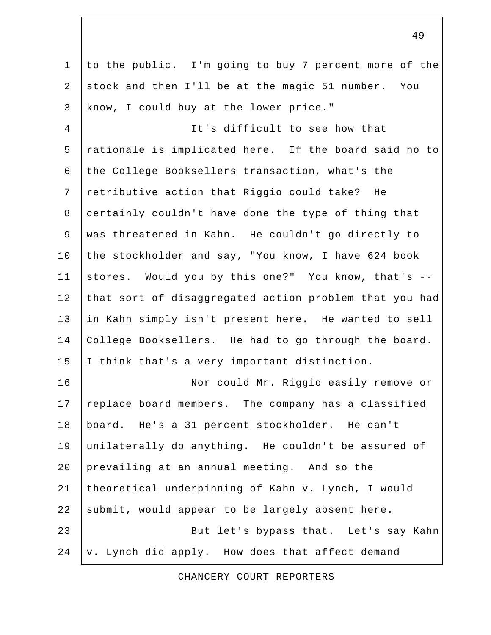1 to the public. I'm going to buy 7 percent more of the 2 stock and then I'll be at the magic 51 number. You 3 know, I could buy at the lower price." 4 It's difficult to see how that 5 rationale is implicated here. If the board said no to 6 the College Booksellers transaction, what's the 7 retributive action that Riggio could take? He 8 certainly couldn't have done the type of thing that 9 was threatened in Kahn. He couldn't go directly to 10 the stockholder and say, "You know, I have 624 book 11 stores. Would you by this one?" You know, that's -- 12 that sort of disaggregated action problem that you had 13 in Kahn simply isn't present here. He wanted to sell 14 College Booksellers. He had to go through the board. 15 | I think that's a very important distinction. 16 | Nor could Mr. Riggio easily remove or 17 replace board members. The company has a classified 18 board. He's a 31 percent stockholder. He can't 19 unilaterally do anything. He couldn't be assured of 20 prevailing at an annual meeting. And so the 21 theoretical underpinning of Kahn v. Lynch, I would 22 submit, would appear to be largely absent here. 23 | But let's bypass that. Let's say Kahn  $24$   $\sqrt{v}$ . Lynch did apply. How does that affect demand

49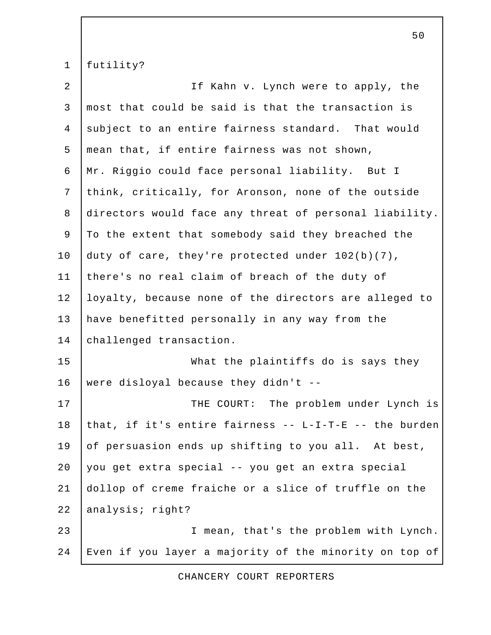1 futility?

| $\overline{2}$ | If Kahn v. Lynch were to apply, the                    |
|----------------|--------------------------------------------------------|
| 3              | most that could be said is that the transaction is     |
| $\overline{4}$ | subject to an entire fairness standard. That would     |
| 5              | mean that, if entire fairness was not shown,           |
| 6              | Mr. Riggio could face personal liability. But I        |
| $7\phantom{.}$ | think, critically, for Aronson, none of the outside    |
| 8              | directors would face any threat of personal liability. |
| 9              | To the extent that somebody said they breached the     |
| 10             | duty of care, they're protected under 102(b)(7),       |
| 11             | there's no real claim of breach of the duty of         |
| 12             | loyalty, because none of the directors are alleged to  |
| 13             | have benefitted personally in any way from the         |
| 14             | challenged transaction.                                |
| 15             | What the plaintiffs do is says they                    |
| 16             | were disloyal because they didn't --                   |
| 17             | THE COURT: The problem under Lynch is                  |
| 18             | that, if it's entire fairness -- L-I-T-E -- the burden |
| 19             | of persuasion ends up shifting to you all. At best,    |
| 20             | you get extra special -- you get an extra special      |
| 21             | dollop of creme fraiche or a slice of truffle on the   |
| 22             | analysis; right?                                       |
| 23             | I mean, that's the problem with Lynch.                 |
| 24             | Even if you layer a majority of the minority on top of |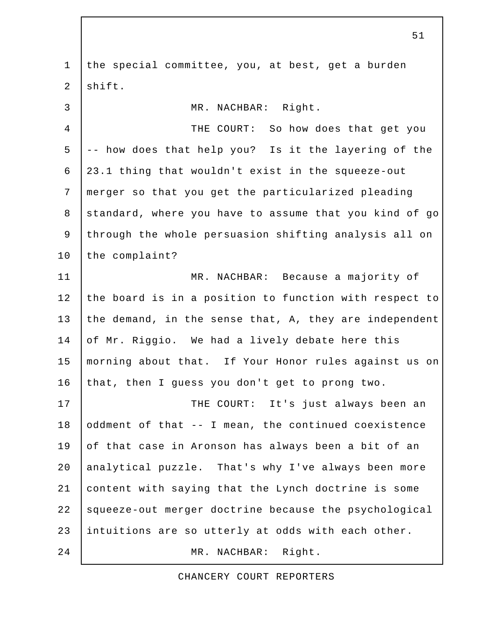1 the special committee, you, at best, get a burden 2 shift. 3 MR. NACHBAR: Right. 4 THE COURT: So how does that get you  $5$   $\vert$  -- how does that help you? Is it the layering of the 6 23.1 thing that wouldn't exist in the squeeze-out 7 merger so that you get the particularized pleading 8 standard, where you have to assume that you kind of go 9 through the whole persuasion shifting analysis all on 10 the complaint? 11 | MR. NACHBAR: Because a majority of 12 the board is in a position to function with respect to 13 the demand, in the sense that, A, they are independent 14 of Mr. Riggio. We had a lively debate here this 15 morning about that. If Your Honor rules against us on 16 that, then I guess you don't get to prong two. 17 | THE COURT: It's just always been an 18 oddment of that -- I mean, the continued coexistence 19 of that case in Aronson has always been a bit of an 20 analytical puzzle. That's why I've always been more 21 content with saying that the Lynch doctrine is some 22 squeeze-out merger doctrine because the psychological 23 intuitions are so utterly at odds with each other. 24 MR. NACHBAR: Right.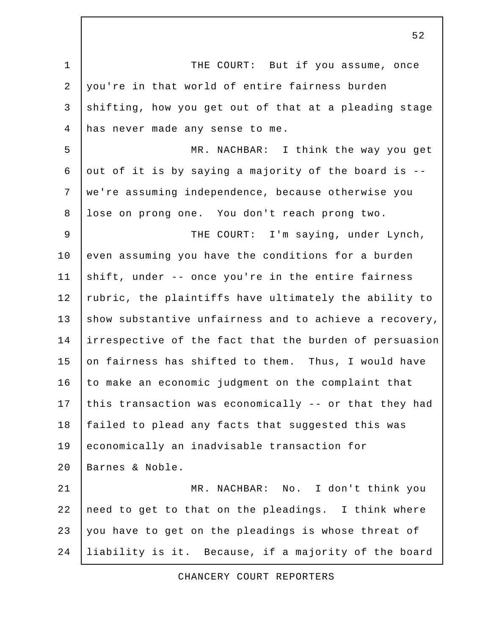1 | THE COURT: But if you assume, once 2 you're in that world of entire fairness burden 3 shifting, how you get out of that at a pleading stage 4 has never made any sense to me. 5 | MR. NACHBAR: I think the way you get 6 out of it is by saying a majority of the board is  $-$ - 7 we're assuming independence, because otherwise you 8 lose on prong one. You don't reach prong two. 9 | THE COURT: I'm saying, under Lynch, 10 even assuming you have the conditions for a burden 11 shift, under -- once you're in the entire fairness 12 | rubric, the plaintiffs have ultimately the ability to 13 show substantive unfairness and to achieve a recovery, 14 irrespective of the fact that the burden of persuasion 15 on fairness has shifted to them. Thus, I would have 16 to make an economic judgment on the complaint that 17 this transaction was economically -- or that they had 18 failed to plead any facts that suggested this was 19 economically an inadvisable transaction for 20 Barnes & Noble. 21 | MR. NACHBAR: No. I don't think you 22 need to get to that on the pleadings. I think where 23 you have to get on the pleadings is whose threat of 24 liability is it. Because, if a majority of the board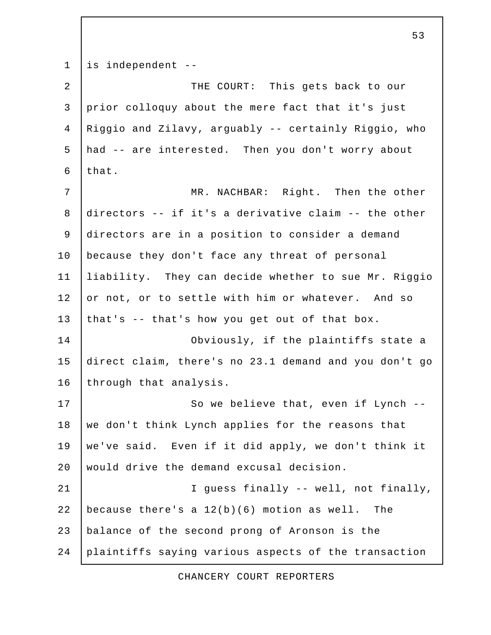1 is independent --

| $\overline{2}$ | THE COURT: This gets back to our                      |
|----------------|-------------------------------------------------------|
| $\mathfrak{Z}$ | prior colloquy about the mere fact that it's just     |
| $\overline{4}$ | Riggio and Zilavy, arguably -- certainly Riggio, who  |
| 5              | had -- are interested. Then you don't worry about     |
| 6              | that.                                                 |
| 7              | MR. NACHBAR: Right. Then the other                    |
| 8              | directors -- if it's a derivative claim -- the other  |
| $\mathsf 9$    | directors are in a position to consider a demand      |
| 10             | because they don't face any threat of personal        |
| 11             | liability. They can decide whether to sue Mr. Riggio  |
| 12             | or not, or to settle with him or whatever. And so     |
| 13             | that's -- that's how you get out of that box.         |
| 14             | Obviously, if the plaintiffs state a                  |
| 15             | direct claim, there's no 23.1 demand and you don't go |
| 16             | through that analysis.                                |
| 17             | So we believe that, even if Lynch --                  |
| 18             | we don't think Lynch applies for the reasons that     |
| 19             | we've said. Even if it did apply, we don't think it   |
| 20             | would drive the demand excusal decision.              |
| 21             | I guess finally -- well, not finally,                 |
| 22             | because there's a $12(b)(6)$ motion as well. The      |
| 23             | balance of the second prong of Aronson is the         |
| 24             | plaintiffs saying various aspects of the transaction  |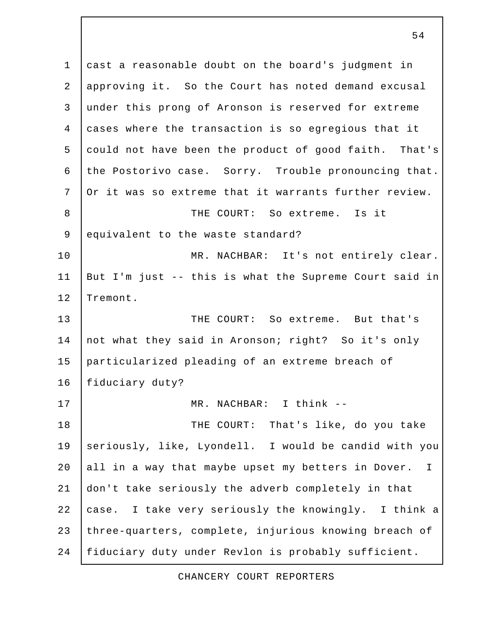1 cast a reasonable doubt on the board's judgment in 2 approving it. So the Court has noted demand excusal 3 under this prong of Aronson is reserved for extreme 4 cases where the transaction is so egregious that it 5 could not have been the product of good faith. That's 6 the Postorivo case. Sorry. Trouble pronouncing that. 7 Or it was so extreme that it warrants further review. 8 THE COURT: So extreme. Is it 9 equivalent to the waste standard? 10 | MR. NACHBAR: It's not entirely clear. 11 But I'm just -- this is what the Supreme Court said in 12 Tremont. 13 THE COURT: So extreme. But that's 14 not what they said in Aronson; right? So it's only 15 particularized pleading of an extreme breach of 16 | fiduciary duty? 17 MR. NACHBAR: I think -- 18 | THE COURT: That's like, do you take 19 seriously, like, Lyondell. I would be candid with you 20 all in a way that maybe upset my betters in Dover. I 21 don't take seriously the adverb completely in that 22 case. I take very seriously the knowingly. I think a 23 three-quarters, complete, injurious knowing breach of 24 fiduciary duty under Revlon is probably sufficient.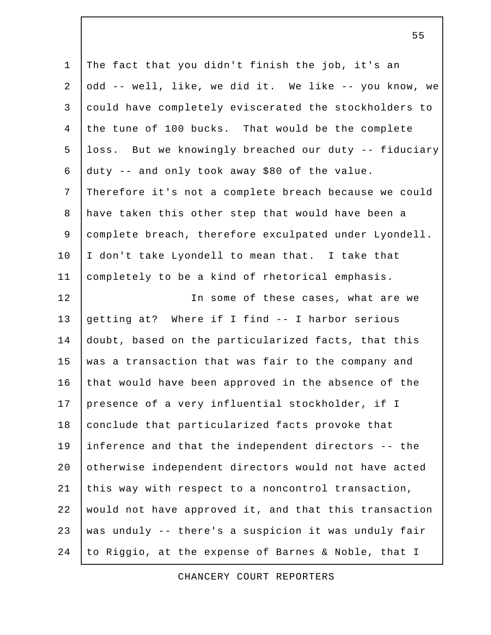1 The fact that you didn't finish the job, it's an 2 odd -- well, like, we did it. We like -- you know, we 3 could have completely eviscerated the stockholders to 4 the tune of 100 bucks. That would be the complete 5 loss. But we knowingly breached our duty -- fiduciary 6 duty -- and only took away \$80 of the value. 7 Therefore it's not a complete breach because we could 8 have taken this other step that would have been a 9 complete breach, therefore exculpated under Lyondell. 10 | I don't take Lyondell to mean that. I take that 11 completely to be a kind of rhetorical emphasis. 12 In some of these cases, what are we 13 getting at? Where if I find -- I harbor serious 14 doubt, based on the particularized facts, that this 15 was a transaction that was fair to the company and 16 that would have been approved in the absence of the 17 presence of a very influential stockholder, if I 18 conclude that particularized facts provoke that 19 inference and that the independent directors -- the 20 otherwise independent directors would not have acted 21 this way with respect to a noncontrol transaction, 22 would not have approved it, and that this transaction 23 | was unduly  $-$  there's a suspicion it was unduly fair 24 to Riggio, at the expense of Barnes & Noble, that I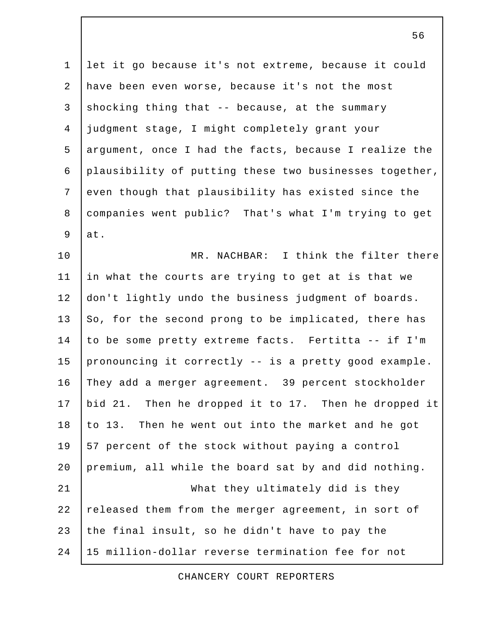1 let it go because it's not extreme, because it could 2 have been even worse, because it's not the most 3 shocking thing that  $-$  because, at the summary 4 judgment stage, I might completely grant your 5 argument, once I had the facts, because I realize the 6 plausibility of putting these two businesses together, 7 even though that plausibility has existed since the 8 companies went public? That's what I'm trying to get  $9$  at.

10 MR. NACHBAR: I think the filter there 11 in what the courts are trying to get at is that we 12 don't lightly undo the business judgment of boards. 13 So, for the second prong to be implicated, there has 14 to be some pretty extreme facts. Fertitta -- if I'm 15 pronouncing it correctly  $-$  is a pretty good example. 16 They add a merger agreement. 39 percent stockholder 17 bid 21. Then he dropped it to 17. Then he dropped it  $18$  to 13. Then he went out into the market and he got 19 57 percent of the stock without paying a control 20 premium, all while the board sat by and did nothing. 21 What they ultimately did is they 22 released them from the merger agreement, in sort of 23 the final insult, so he didn't have to pay the 24 15 million-dollar reverse termination fee for not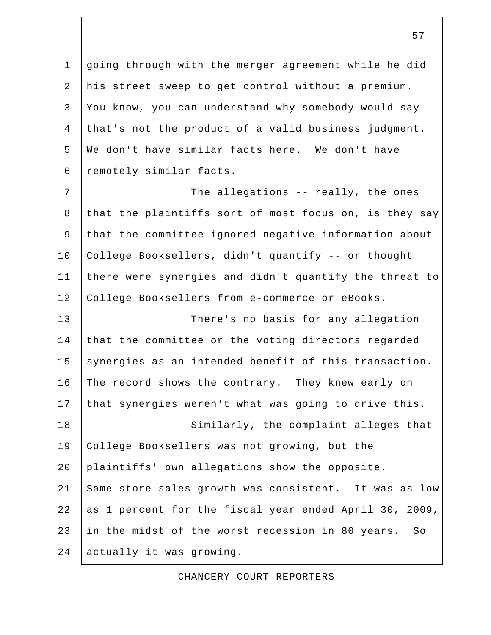1 going through with the merger agreement while he did 2 his street sweep to get control without a premium. 3 You know, you can understand why somebody would say 4 that's not the product of a valid business judgment. 5 We don't have similar facts here. We don't have 6 | remotely similar facts.

7 | The allegations -- really, the ones 8 that the plaintiffs sort of most focus on, is they say 9 that the committee ignored negative information about 10 College Booksellers, didn't quantify -- or thought 11 there were synergies and didn't quantify the threat to 12 College Booksellers from e-commerce or eBooks.

13 There's no basis for any allegation 14 that the committee or the voting directors regarded 15 synergies as an intended benefit of this transaction. 16 The record shows the contrary. They knew early on 17 that synergies weren't what was going to drive this. 18 Similarly, the complaint alleges that 19 College Booksellers was not growing, but the 20 plaintiffs' own allegations show the opposite. 21 Same-store sales growth was consistent. It was as low 22 as 1 percent for the fiscal year ended April 30, 2009, 23 in the midst of the worst recession in 80 years. So 24 actually it was growing.

CHANCERY COURT REPORTERS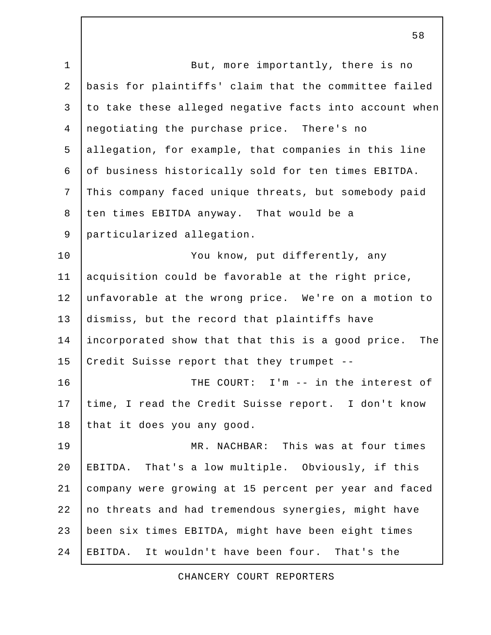1 | But, more importantly, there is no 2 basis for plaintiffs' claim that the committee failed 3 to take these alleged negative facts into account when 4 negotiating the purchase price. There's no 5 allegation, for example, that companies in this line 6 of business historically sold for ten times EBITDA. 7 This company faced unique threats, but somebody paid 8 ten times EBITDA anyway. That would be a 9 particularized allegation. 10 | You know, put differently, any 11 acquisition could be favorable at the right price, 12 unfavorable at the wrong price. We're on a motion to 13 dismiss, but the record that plaintiffs have 14 incorporated show that that this is a good price. The 15 Credit Suisse report that they trumpet --16 THE COURT: I'm -- in the interest of 17 time, I read the Credit Suisse report. I don't know 18 that it does you any good. 19 | MR. NACHBAR: This was at four times 20 EBITDA. That's a low multiple. Obviously, if this 21 company were growing at 15 percent per year and faced 22 no threats and had tremendous synergies, might have 23 been six times EBITDA, might have been eight times 24 EBITDA. It wouldn't have been four. That's the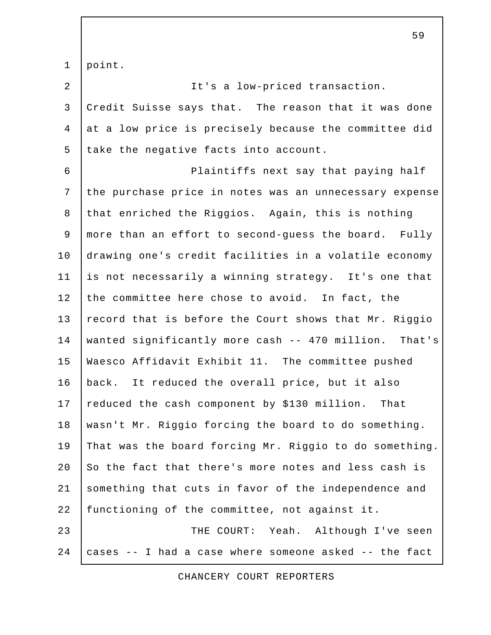1 point.

 2 It's a low-priced transaction. 3 Credit Suisse says that. The reason that it was done 4 at a low price is precisely because the committee did 5 take the negative facts into account. 6 Plaintiffs next say that paying half 7 the purchase price in notes was an unnecessary expense 8 that enriched the Riggios. Again, this is nothing 9 more than an effort to second-guess the board. Fully 10 drawing one's credit facilities in a volatile economy 11 is not necessarily a winning strategy. It's one that 12 the committee here chose to avoid. In fact, the 13 record that is before the Court shows that Mr. Riggio 14 wanted significantly more cash -- 470 million. That's 15 Waesco Affidavit Exhibit 11. The committee pushed 16 back. It reduced the overall price, but it also 17 reduced the cash component by \$130 million. That 18 wasn't Mr. Riggio forcing the board to do something. 19 That was the board forcing Mr. Riggio to do something. 20  $\vert$  So the fact that there's more notes and less cash is 21 something that cuts in favor of the independence and 22 functioning of the committee, not against it. 23 THE COURT: Yeah. Although I've seen 24 cases -- I had a case where someone asked -- the fact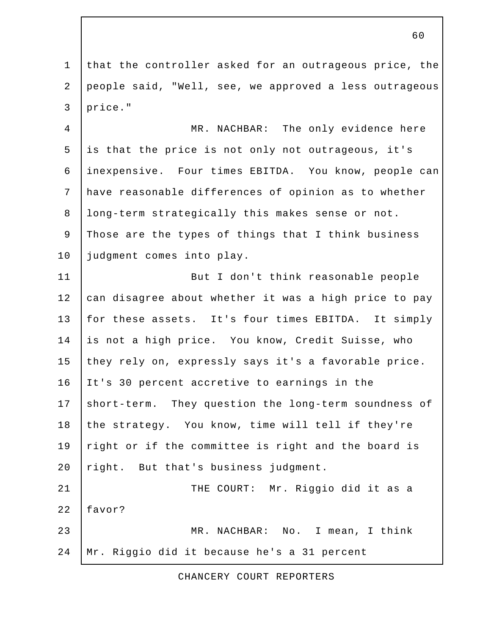1 that the controller asked for an outrageous price, the 2 people said, "Well, see, we approved a less outrageous 3 price."

 4 MR. NACHBAR: The only evidence here 5 is that the price is not only not outrageous, it's 6 inexpensive. Four times EBITDA. You know, people can 7 have reasonable differences of opinion as to whether 8 long-term strategically this makes sense or not. 9 Those are the types of things that I think business 10 judgment comes into play.

11 But I don't think reasonable people 12 can disagree about whether it was a high price to pay 13 for these assets. It's four times EBITDA. It simply 14 is not a high price. You know, Credit Suisse, who 15 they rely on, expressly says it's a favorable price. 16 It's 30 percent accretive to earnings in the 17 short-term. They question the long-term soundness of 18 the strategy. You know, time will tell if they're 19  $r$ ight or if the committee is right and the board is 20  $right.$  But that's business judgment. 21 | THE COURT: Mr. Riggio did it as a 22 favor? 23 MR. NACHBAR: No. I mean, I think 24 Mr. Riggio did it because he's a 31 percent

CHANCERY COURT REPORTERS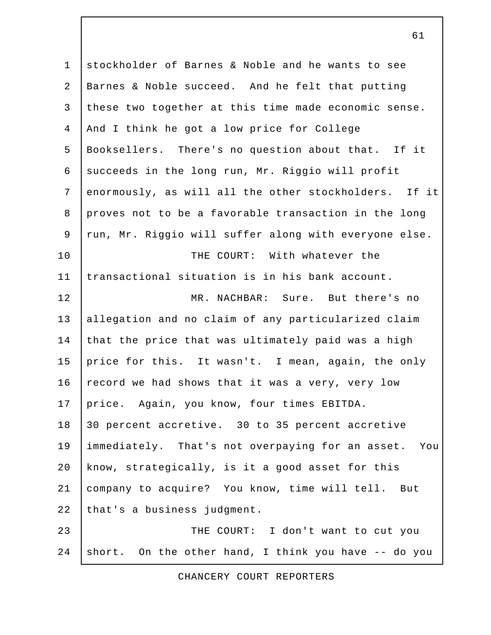1 stockholder of Barnes & Noble and he wants to see 2 Barnes & Noble succeed. And he felt that putting 3 these two together at this time made economic sense. 4 And I think he got a low price for College 5 Booksellers. There's no question about that. If it 6 succeeds in the long run, Mr. Riggio will profit 7 enormously, as will all the other stockholders. If it 8 proves not to be a favorable transaction in the long 9 run, Mr. Riggio will suffer along with everyone else. 10 THE COURT: With whatever the 11 transactional situation is in his bank account. 12 MR. NACHBAR: Sure. But there's no 13 allegation and no claim of any particularized claim 14 that the price that was ultimately paid was a high 15 price for this. It wasn't. I mean, again, the only 16 record we had shows that it was a very, very low 17 price. Again, you know, four times EBITDA. 18 30 percent accretive. 30 to 35 percent accretive 19 immediately. That's not overpaying for an asset. You 20 know, strategically, is it a good asset for this 21 company to acquire? You know, time will tell. But 22 that's a business judgment. 23 **THE COURT:** I don't want to cut you 24 short. On the other hand, I think you have -- do you

## CHANCERY COURT REPORTERS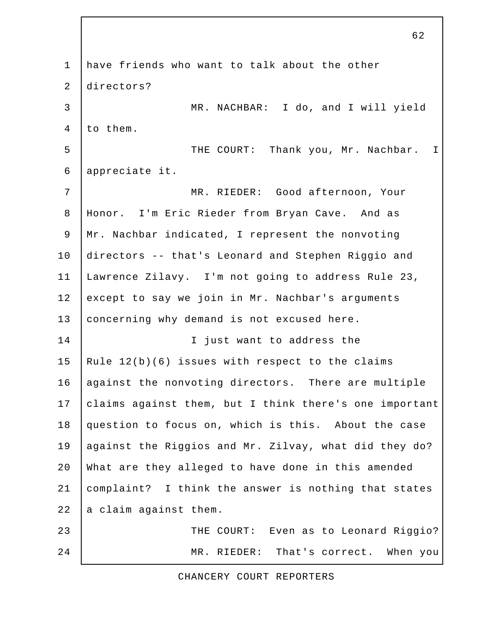1 have friends who want to talk about the other 2 directors? 3 MR. NACHBAR: I do, and I will yield  $4$  to them. 5 | THE COURT: Thank you, Mr. Nachbar. I 6 appreciate it. 7 MR. RIEDER: Good afternoon, Your 8 Honor. I'm Eric Rieder from Bryan Cave. And as 9 Mr. Nachbar indicated, I represent the nonvoting 10 directors -- that's Leonard and Stephen Riggio and 11 Lawrence Zilavy. I'm not going to address Rule 23, 12 except to say we join in Mr. Nachbar's arguments 13 concerning why demand is not excused here. 14 | Constructure T just want to address the 15 Rule  $12(b)(6)$  issues with respect to the claims 16 | against the nonvoting directors. There are multiple 17 claims against them, but I think there's one important 18 question to focus on, which is this. About the case 19 against the Riggios and Mr. Zilvay, what did they do? 20 What are they alleged to have done in this amended 21 complaint? I think the answer is nothing that states  $22$  a claim against them. 23 THE COURT: Even as to Leonard Riggio? 24 MR. RIEDER: That's correct. When you

## CHANCERY COURT REPORTERS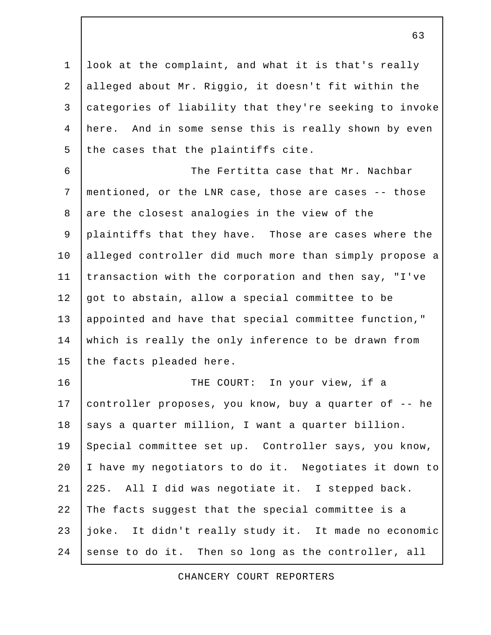1 look at the complaint, and what it is that's really 2 alleged about Mr. Riggio, it doesn't fit within the 3 categories of liability that they're seeking to invoke 4 here. And in some sense this is really shown by even  $5$  the cases that the plaintiffs cite.

 6 The Fertitta case that Mr. Nachbar 7 mentioned, or the LNR case, those are cases -- those 8 are the closest analogies in the view of the 9 plaintiffs that they have. Those are cases where the 10 alleged controller did much more than simply propose a 11 transaction with the corporation and then say, "I've 12 got to abstain, allow a special committee to be 13 appointed and have that special committee function," 14 which is really the only inference to be drawn from 15 the facts pleaded here.

16 THE COURT: In your view, if a 17 controller proposes, you know, buy a quarter of -- he 18 says a quarter million, I want a quarter billion. 19 Special committee set up. Controller says, you know, 20 I have my negotiators to do it. Negotiates it down to 21 | 225. All I did was negotiate it. I stepped back. 22 The facts suggest that the special committee is a 23 joke. It didn't really study it. It made no economic 24 sense to do it. Then so long as the controller, all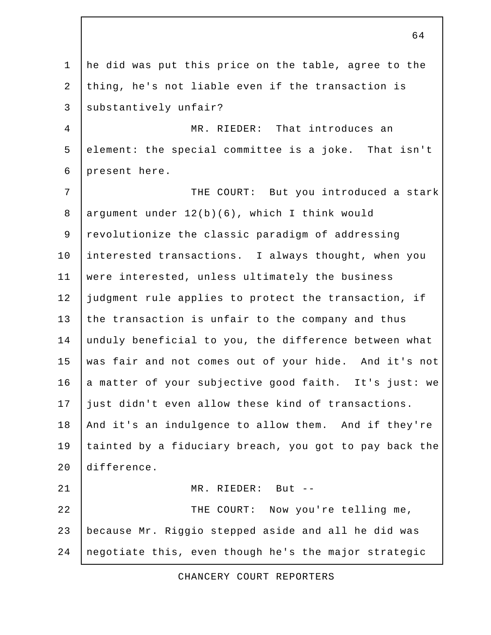1 he did was put this price on the table, agree to the 2 thing, he's not liable even if the transaction is 3 substantively unfair? 4 MR. RIEDER: That introduces an 5 element: the special committee is a joke. That isn't 6 present here. 7 | THE COURT: But you introduced a stark 8 argument under 12(b)(6), which I think would 9 revolutionize the classic paradigm of addressing 10 interested transactions. I always thought, when you 11 were interested, unless ultimately the business 12 judgment rule applies to protect the transaction, if 13 the transaction is unfair to the company and thus 14 unduly beneficial to you, the difference between what 15 was fair and not comes out of your hide. And it's not 16 a matter of your subjective good faith. It's just: we 17 | just didn't even allow these kind of transactions. 18 And it's an indulgence to allow them. And if they're 19 tainted by a fiduciary breach, you got to pay back the 20 difference. 21 MR. RIEDER: But -- 22 | THE COURT: Now you're telling me, 23 because Mr. Riggio stepped aside and all he did was 24 negotiate this, even though he's the major strategic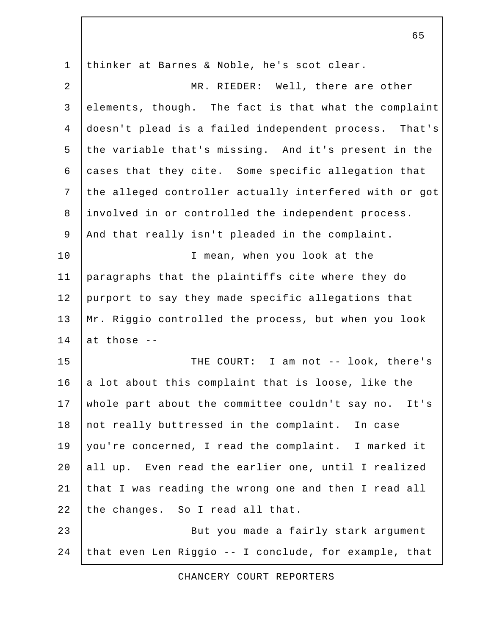1 thinker at Barnes & Noble, he's scot clear. 2 MR. RIEDER: Well, there are other 3 elements, though. The fact is that what the complaint 4 doesn't plead is a failed independent process. That's 5 the variable that's missing. And it's present in the 6 cases that they cite. Some specific allegation that 7 the alleged controller actually interfered with or got 8 involved in or controlled the independent process. 9 | And that really isn't pleaded in the complaint. 10 I mean, when you look at the 11 paragraphs that the plaintiffs cite where they do 12 purport to say they made specific allegations that 13 Mr. Riggio controlled the process, but when you look 14 at those  $-$ 15 THE COURT: I am not -- look, there's 16  $\vert$  a lot about this complaint that is loose, like the 17 whole part about the committee couldn't say no. It's 18 not really buttressed in the complaint. In case 19 you're concerned, I read the complaint. I marked it 20 all up. Even read the earlier one, until I realized 21 that I was reading the wrong one and then I read all 22 the changes. So I read all that. 23 But you made a fairly stark argument 24 that even Len Riggio -- I conclude, for example, that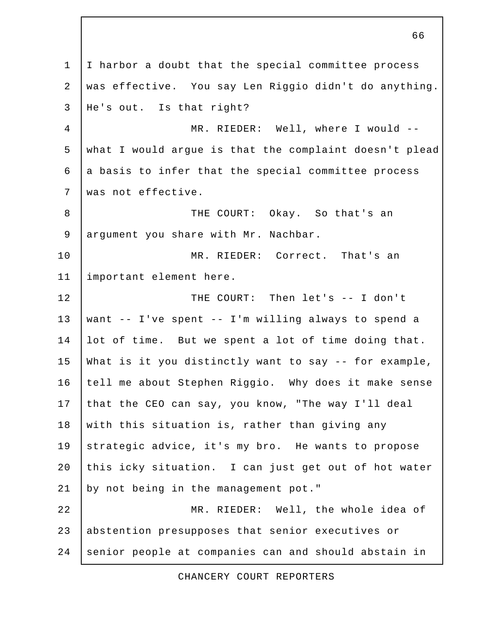1 | I harbor a doubt that the special committee process 2 was effective. You say Len Riggio didn't do anything. 3 He's out. Is that right? 4 MR. RIEDER: Well, where I would -- 5 what I would argue is that the complaint doesn't plead  $6$  a basis to infer that the special committee process 7 was not effective. 8 THE COURT: Okay. So that's an 9 argument you share with Mr. Nachbar. 10 MR. RIEDER: Correct. That's an 11 important element here. 12 THE COURT: Then let's -- I don't 13 want -- I've spent -- I'm willing always to spend a 14 lot of time. But we spent a lot of time doing that. 15 What is it you distinctly want to say  $-$ - for example, 16 tell me about Stephen Riggio. Why does it make sense 17 that the CEO can say, you know, "The way I'll deal 18 with this situation is, rather than giving any 19 strategic advice, it's my bro. He wants to propose 20 this icky situation. I can just get out of hot water 21 by not being in the management pot." 22 MR. RIEDER: Well, the whole idea of 23 abstention presupposes that senior executives or 24 senior people at companies can and should abstain in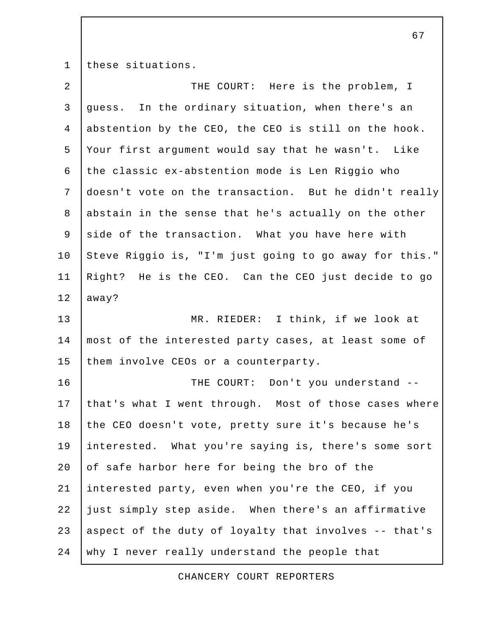1 these situations.

| $\overline{a}$ | THE COURT: Here is the problem, I                      |
|----------------|--------------------------------------------------------|
| $\mathsf{3}$   | guess. In the ordinary situation, when there's an      |
| $\overline{4}$ | abstention by the CEO, the CEO is still on the hook.   |
| 5              | Your first argument would say that he wasn't. Like     |
| 6              | the classic ex-abstention mode is Len Riggio who       |
| $7\phantom{.}$ | doesn't vote on the transaction. But he didn't really  |
| $\,8\,$        | abstain in the sense that he's actually on the other   |
| 9              | side of the transaction. What you have here with       |
| 10             | Steve Riggio is, "I'm just going to go away for this." |
| 11             | Right? He is the CEO. Can the CEO just decide to go    |
| 12             | away?                                                  |
| 13             | MR. RIEDER: I think, if we look at                     |
| 14             | most of the interested party cases, at least some of   |
| 15             | them involve CEOs or a counterparty.                   |
| 16             | THE COURT: Don't you understand --                     |
| 17             | that's what I went through. Most of those cases where  |
| 18             | the CEO doesn't vote, pretty sure it's because he's    |
| 19             | interested. What you're saying is, there's some sort   |
| 20             | of safe harbor here for being the bro of the           |
| 21             | interested party, even when you're the CEO, if you     |
| 22             | just simply step aside. When there's an affirmative    |
| 23             | aspect of the duty of loyalty that involves -- that's  |
| 24             | why I never really understand the people that          |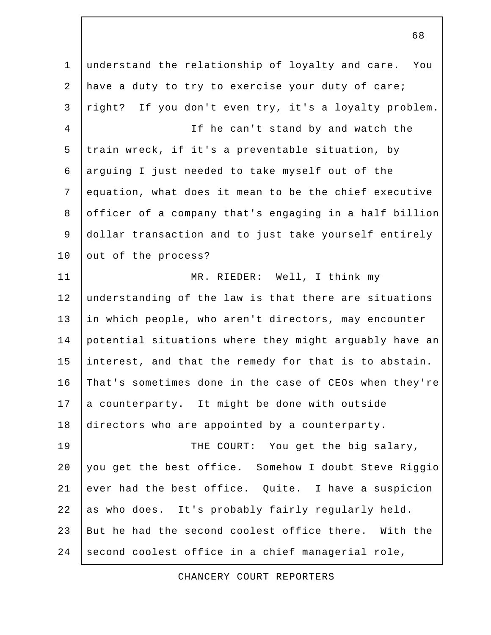1 understand the relationship of loyalty and care. You 2 have a duty to try to exercise your duty of care; 3 right? If you don't even try, it's a loyalty problem. 4 If he can't stand by and watch the 5 train wreck, if it's a preventable situation, by 6 arguing I just needed to take myself out of the 7 equation, what does it mean to be the chief executive 8 officer of a company that's engaging in a half billion 9 dollar transaction and to just take yourself entirely 10 out of the process? 11 MR. RIEDER: Well, I think my 12 understanding of the law is that there are situations 13 in which people, who aren't directors, may encounter 14 potential situations where they might arguably have an 15 interest, and that the remedy for that is to abstain. 16 That's sometimes done in the case of CEOs when they're 17 a counterparty. It might be done with outside 18 directors who are appointed by a counterparty. 19 THE COURT: You get the big salary, 20 you get the best office. Somehow I doubt Steve Riggio 21 ever had the best office. Quite. I have a suspicion 22 as who does. It's probably fairly regularly held. 23 But he had the second coolest office there. With the 24 second coolest office in a chief managerial role,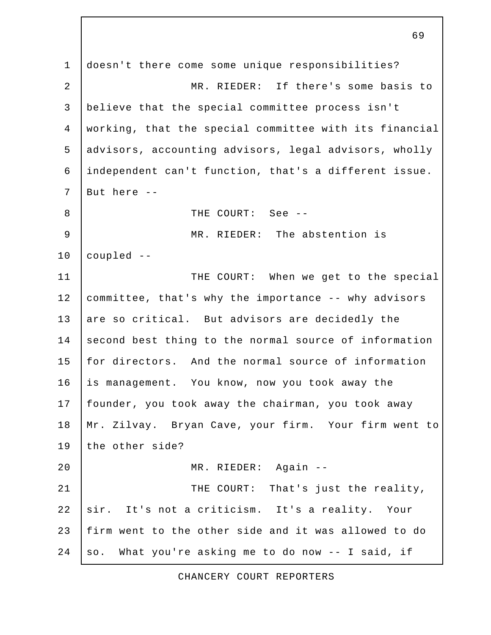1 doesn't there come some unique responsibilities? 2 | Some Basis Communication MR. RIEDER: If there's some basis to 3 believe that the special committee process isn't 4 working, that the special committee with its financial 5 advisors, accounting advisors, legal advisors, wholly 6 independent can't function, that's a different issue. 7 But here -- 8 See -- THE COURT: See -- 9 MR. RIEDER: The abstention is 10 coupled -- 11 | THE COURT: When we get to the special 12 committee, that's why the importance -- why advisors 13 are so critical. But advisors are decidedly the 14 second best thing to the normal source of information 15 for directors. And the normal source of information 16 is management. You know, now you took away the 17 founder, you took away the chairman, you took away 18 Mr. Zilvay. Bryan Cave, your firm. Your firm went to 19 the other side? 20 MR. RIEDER: Again -- 21 | THE COURT: That's just the reality, 22 sir. It's not a criticism. It's a reality. Your 23 firm went to the other side and it was allowed to do 24  $\vert$  so. What you're asking me to do now  $\vert$ - I said, if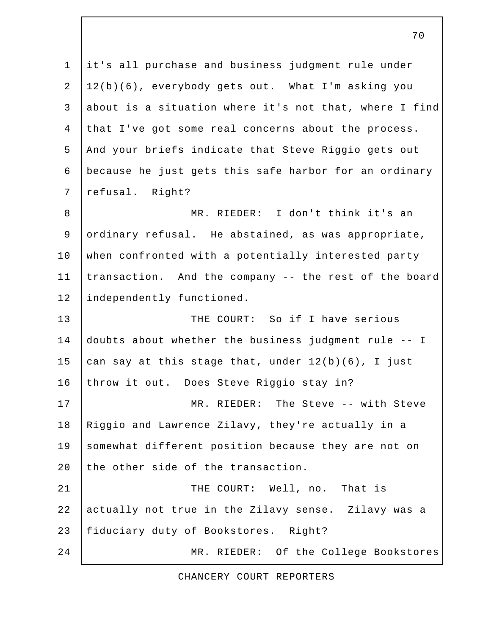1 it's all purchase and business judgment rule under 2 12(b)(6), everybody gets out. What I'm asking you 3 about is a situation where it's not that, where I find 4 that I've got some real concerns about the process. 5 | And your briefs indicate that Steve Riggio gets out 6 because he just gets this safe harbor for an ordinary 7 refusal. Right? 8 MR. RIEDER: I don't think it's an 9 ordinary refusal. He abstained, as was appropriate, 10 when confronted with a potentially interested party 11 transaction. And the company -- the rest of the board 12 independently functioned. 13 THE COURT: So if I have serious 14 doubts about whether the business judgment rule -- I 15  $\vert$  can say at this stage that, under  $12(b)(6)$ , I just 16 throw it out. Does Steve Riggio stay in? 17 | MR. RIEDER: The Steve -- with Steve 18 Riggio and Lawrence Zilavy, they're actually in a 19 somewhat different position because they are not on 20 the other side of the transaction. 21 | THE COURT: Well, no. That is 22 actually not true in the Zilavy sense. Zilavy was a 23 | fiduciary duty of Bookstores. Right? 24 MR. RIEDER: Of the College Bookstores

CHANCERY COURT REPORTERS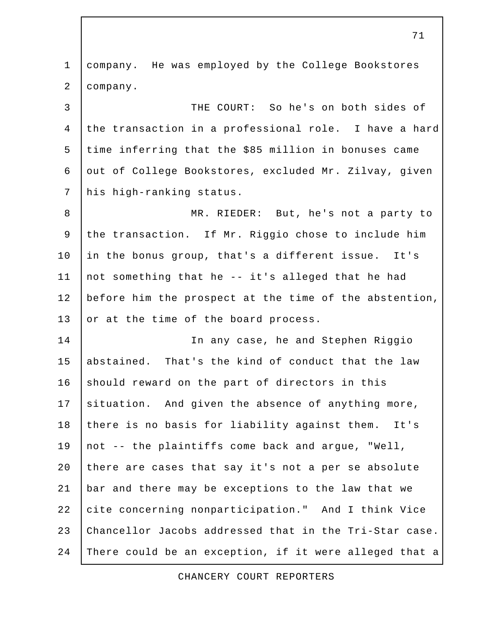1 company. He was employed by the College Bookstores 2 company. 3 THE COURT: So he's on both sides of 4 the transaction in a professional role. I have a hard 5 time inferring that the \$85 million in bonuses came 6 out of College Bookstores, excluded Mr. Zilvay, given 7 his high-ranking status. 8 | MR. RIEDER: But, he's not a party to 9 the transaction. If Mr. Riggio chose to include him 10 in the bonus group, that's a different issue. It's 11 | not something that he  $-$  it's alleged that he had 12 before him the prospect at the time of the abstention, 13 or at the time of the board process. 14 In any case, he and Stephen Riggio 15 abstained. That's the kind of conduct that the law 16 should reward on the part of directors in this 17 situation. And given the absence of anything more, 18 there is no basis for liability against them. It's 19  $|$  not -- the plaintiffs come back and argue, "Well, 20 there are cases that say it's not a per se absolute 21 bar and there may be exceptions to the law that we 22 cite concerning nonparticipation." And I think Vice 23 Chancellor Jacobs addressed that in the Tri-Star case. 24 There could be an exception, if it were alleged that a

CHANCERY COURT REPORTERS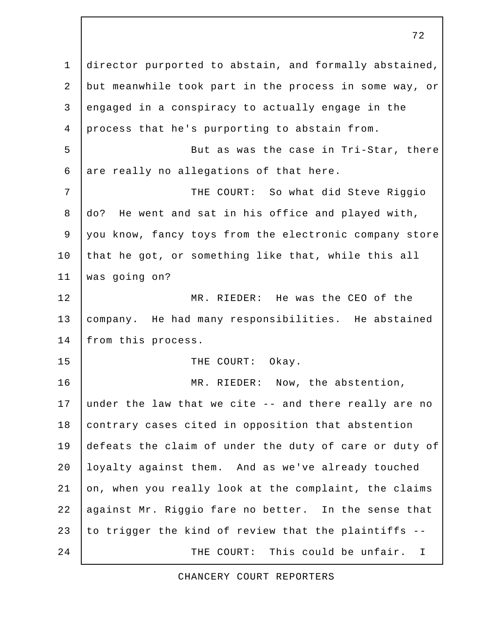1 director purported to abstain, and formally abstained, 2 but meanwhile took part in the process in some way, or 3 engaged in a conspiracy to actually engage in the 4 process that he's purporting to abstain from. 5 | But as was the case in Tri-Star, there  $6$  are really no allegations of that here. 7 | THE COURT: So what did Steve Riggio 8 do? He went and sat in his office and played with, 9 you know, fancy toys from the electronic company store 10 that he got, or something like that, while this all 11 was going on? 12 MR. RIEDER: He was the CEO of the 13 company. He had many responsibilities. He abstained 14 | from this process. 15 THE COURT: Okay. 16 | MR. RIEDER: Now, the abstention, 17 under the law that we cite -- and there really are no 18 contrary cases cited in opposition that abstention 19 defeats the claim of under the duty of care or duty of 20 Ioyalty against them. And as we've already touched 21 on, when you really look at the complaint, the claims 22 against Mr. Riggio fare no better. In the sense that 23 to trigger the kind of review that the plaintiffs --24 THE COURT: This could be unfair. I

72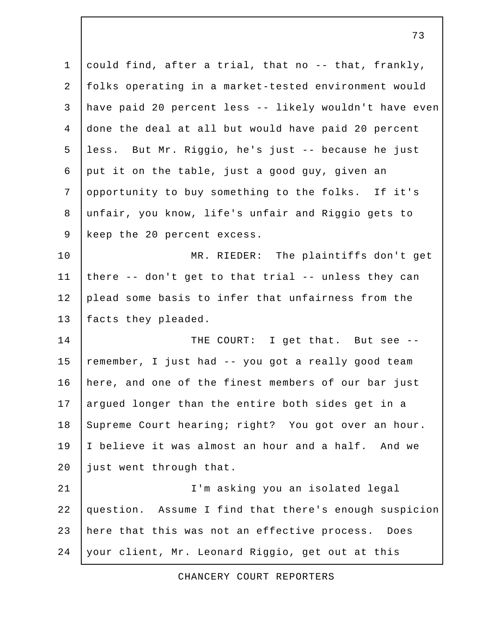1 could find, after a trial, that no -- that, frankly, 2 folks operating in a market-tested environment would 3 have paid 20 percent less -- likely wouldn't have even 4 done the deal at all but would have paid 20 percent 5 less. But Mr. Riggio, he's just -- because he just 6 put it on the table, just a good guy, given an 7 opportunity to buy something to the folks. If it's 8 unfair, you know, life's unfair and Riggio gets to 9 keep the 20 percent excess. 10 | MR. RIEDER: The plaintiffs don't get 11 | there  $-$ - don't get to that trial  $-$ - unless they can 12 plead some basis to infer that unfairness from the 13 | facts they pleaded. 14 THE COURT: I get that. But see --15  $\vert$  remember, I just had -- you got a really good team 16 | here, and one of the finest members of our bar just 17 argued longer than the entire both sides get in a 18 Supreme Court hearing; right? You got over an hour. 19 I believe it was almost an hour and a half. And we 20 just went through that. 21 I'm asking you an isolated legal 22 question. Assume I find that there's enough suspicion 23 here that this was not an effective process. Does 24 your client, Mr. Leonard Riggio, get out at this

CHANCERY COURT REPORTERS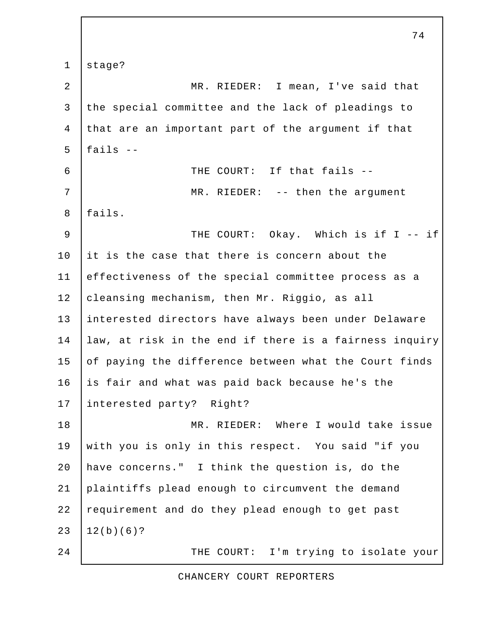1 stage? 2 MR. RIEDER: I mean, I've said that 3 the special committee and the lack of pleadings to 4 that are an important part of the argument if that  $5$   $5$  fails  $-$  6 THE COURT: If that fails -- 7 MR. RIEDER: -- then the argument 8 fails. 9 | THE COURT: Okay. Which is if I -- if 10 it is the case that there is concern about the 11 effectiveness of the special committee process as a 12 cleansing mechanism, then Mr. Riggio, as all 13 interested directors have always been under Delaware 14 law, at risk in the end if there is a fairness inquiry 15 of paying the difference between what the Court finds 16 is fair and what was paid back because he's the 17 interested party? Right? 18 MR. RIEDER: Where I would take issue 19 with you is only in this respect. You said "if you 20 have concerns." I think the question is, do the 21 plaintiffs plead enough to circumvent the demand 22 requirement and do they plead enough to get past  $23 \mid 12(b)(6)?$ 24 | THE COURT: I'm trying to isolate your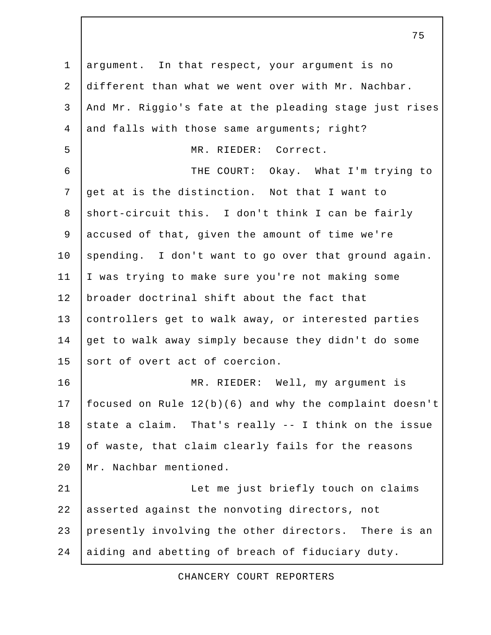1 argument. In that respect, your argument is no 2 different than what we went over with Mr. Nachbar. 3 And Mr. Riggio's fate at the pleading stage just rises 4 and falls with those same arguments; right? 5 MR. RIEDER: Correct. 6 THE COURT: Okay. What I'm trying to 7 get at is the distinction. Not that I want to 8 short-circuit this. I don't think I can be fairly 9 accused of that, given the amount of time we're 10 spending. I don't want to go over that ground again. 11 I was trying to make sure you're not making some 12 broader doctrinal shift about the fact that 13 controllers get to walk away, or interested parties 14 get to walk away simply because they didn't do some 15 sort of overt act of coercion. 16 MR. RIEDER: Well, my argument is 17 focused on Rule 12(b)(6) and why the complaint doesn't 18 state a claim. That's really  $-$ - I think on the issue  $19$  of waste, that claim clearly fails for the reasons 20 Mr. Nachbar mentioned. 21 | Let me just briefly touch on claims 22 asserted against the nonvoting directors, not 23 presently involving the other directors. There is an 24 aiding and abetting of breach of fiduciary duty.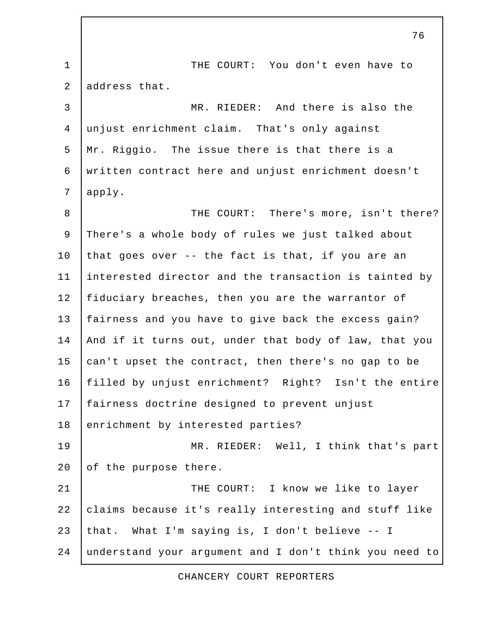1 | THE COURT: You don't even have to 2 address that. 3 MR. RIEDER: And there is also the 4 unjust enrichment claim. That's only against 5 Mr. Riggio. The issue there is that there is a 6 written contract here and unjust enrichment doesn't 7 apply. 8 | THE COURT: There's more, isn't there? 9 There's a whole body of rules we just talked about 10 that goes over  $-$ - the fact is that, if you are an 11 interested director and the transaction is tainted by 12 fiduciary breaches, then you are the warrantor of 13 fairness and you have to give back the excess gain? 14 And if it turns out, under that body of law, that you 15  $\alpha$  can't upset the contract, then there's no gap to be 16 filled by unjust enrichment? Right? Isn't the entire 17 fairness doctrine designed to prevent unjust 18 enrichment by interested parties? 19 MR. RIEDER: Well, I think that's part 20 of the purpose there. 21 | THE COURT: I know we like to layer 22 claims because it's really interesting and stuff like 23 | that. What I'm saying is, I don't believe -- I 24 understand your argument and I don't think you need to

CHANCERY COURT REPORTERS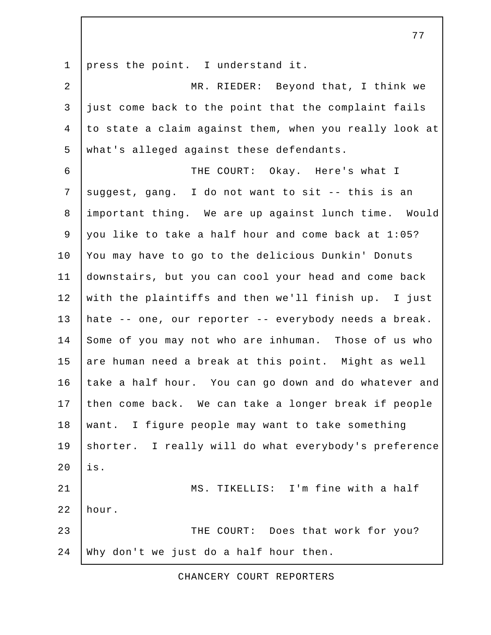1 press the point. I understand it.

 2 MR. RIEDER: Beyond that, I think we  $3$  just come back to the point that the complaint fails 4 to state a claim against them, when you really look at 5 what's alleged against these defendants.

 6 THE COURT: Okay. Here's what I 7 suggest, gang. I do not want to sit  $-$ - this is an 8 important thing. We are up against lunch time. Would 9 you like to take a half hour and come back at 1:05? 10 You may have to go to the delicious Dunkin' Donuts 11 downstairs, but you can cool your head and come back 12 with the plaintiffs and then we'll finish up. I just 13 hate -- one, our reporter -- everybody needs a break. 14 Some of you may not who are inhuman. Those of us who 15 are human need a break at this point. Might as well 16 take a half hour. You can go down and do whatever and 17 then come back. We can take a longer break if people 18 want. I figure people may want to take something 19 shorter. I really will do what everybody's preference  $20$  | is. 21 | MS. TIKELLIS: I'm fine with a half 22 hour. 23 THE COURT: Does that work for you? 24 Why don't we just do a half hour then.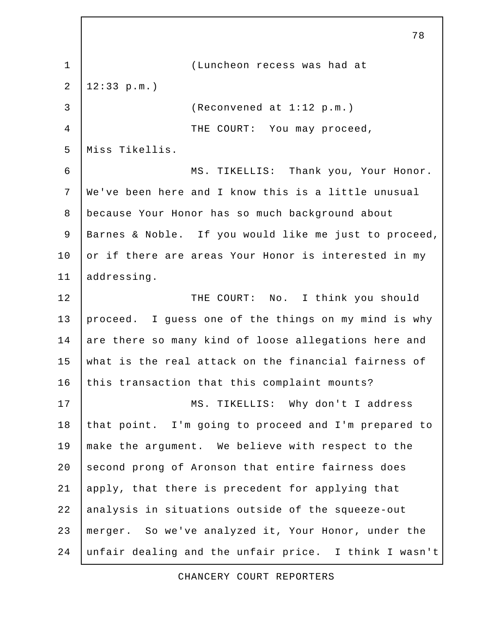78 1 (Luncheon recess was had at 2 12:33 p.m.) 3 (Reconvened at 1:12 p.m.) 4 THE COURT: You may proceed, 5 Miss Tikellis. 6 MS. TIKELLIS: Thank you, Your Honor. 7 We've been here and I know this is a little unusual 8 because Your Honor has so much background about 9 Barnes & Noble. If you would like me just to proceed, 10 or if there are areas Your Honor is interested in my 11 | addressing. 12 THE COURT: No. I think you should 13 proceed. I guess one of the things on my mind is why 14 are there so many kind of loose allegations here and 15 what is the real attack on the financial fairness of 16 this transaction that this complaint mounts? 17 | MS. TIKELLIS: Why don't I address 18 that point. I'm going to proceed and I'm prepared to 19 make the argument. We believe with respect to the 20 second prong of Aronson that entire fairness does 21 apply, that there is precedent for applying that 22 analysis in situations outside of the squeeze-out 23 merger. So we've analyzed it, Your Honor, under the 24 unfair dealing and the unfair price. I think I wasn't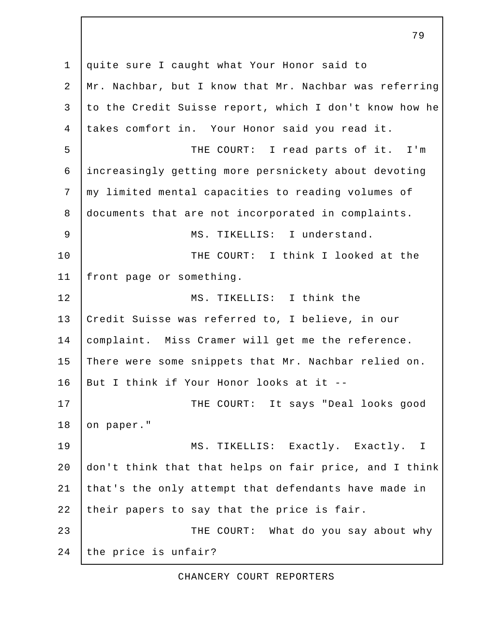1 quite sure I caught what Your Honor said to 2 Mr. Nachbar, but I know that Mr. Nachbar was referring 3 to the Credit Suisse report, which I don't know how he 4 takes comfort in. Your Honor said you read it. 5 | THE COURT: I read parts of it. I'm 6 increasingly getting more persnickety about devoting 7 my limited mental capacities to reading volumes of 8 documents that are not incorporated in complaints. 9 | MS. TIKELLIS: I understand. 10 THE COURT: I think I looked at the 11 front page or something. 12 MS. TIKELLIS: I think the 13 Credit Suisse was referred to, I believe, in our 14 complaint. Miss Cramer will get me the reference. 15 There were some snippets that Mr. Nachbar relied on. 16 But I think if Your Honor looks at it -- 17 | THE COURT: It says "Deal looks good 18 on paper." 19 | MS. TIKELLIS: Exactly. Exactly. I 20 don't think that that helps on fair price, and I think 21 that's the only attempt that defendants have made in 22 their papers to say that the price is fair. 23 THE COURT: What do you say about why 24 the price is unfair?

79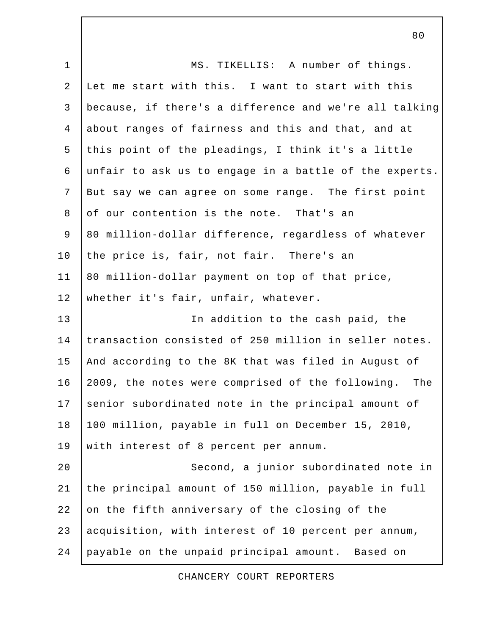1 | MS. TIKELLIS: A number of things. 2 Let me start with this. I want to start with this 3 because, if there's a difference and we're all talking 4 about ranges of fairness and this and that, and at 5 this point of the pleadings, I think it's a little 6 unfair to ask us to engage in a battle of the experts. 7 But say we can agree on some range. The first point 8 of our contention is the note. That's an 9 80 million-dollar difference, regardless of whatever 10 the price is, fair, not fair. There's an 11 | 80 million-dollar payment on top of that price, 12 whether it's fair, unfair, whatever. 13 | The addition to the cash paid, the 14 transaction consisted of 250 million in seller notes. 15 | And according to the 8K that was filed in August of 16 2009, the notes were comprised of the following. The 17 senior subordinated note in the principal amount of 18 100 million, payable in full on December 15, 2010, 19 with interest of 8 percent per annum. 20 Second, a junior subordinated note in 21 the principal amount of 150 million, payable in full 22 on the fifth anniversary of the closing of the 23 acquisition, with interest of 10 percent per annum, 24 payable on the unpaid principal amount. Based on

CHANCERY COURT REPORTERS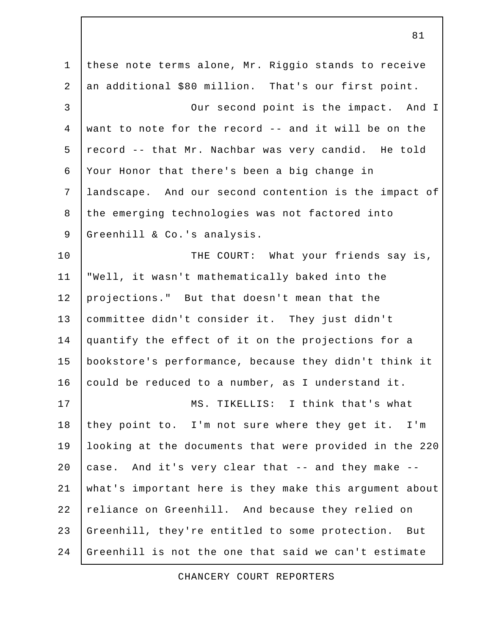1 these note terms alone, Mr. Riggio stands to receive 2 an additional \$80 million. That's our first point. 3 Our second point is the impact. And I 4 want to note for the record -- and it will be on the 5 record -- that Mr. Nachbar was very candid. He told 6 Your Honor that there's been a big change in 7 landscape. And our second contention is the impact of 8 the emerging technologies was not factored into 9 Greenhill & Co.'s analysis. 10 THE COURT: What your friends say is, 11 "Well, it wasn't mathematically baked into the 12 projections." But that doesn't mean that the 13 committee didn't consider it. They just didn't 14 quantify the effect of it on the projections for a 15 bookstore's performance, because they didn't think it 16 could be reduced to a number, as I understand it. 17 | MS. TIKELLIS: I think that's what 18 they point to. I'm not sure where they get it. I'm 19 looking at the documents that were provided in the 220 20  $\vert$  case. And it's very clear that -- and they make --21 what's important here is they make this argument about 22 reliance on Greenhill. And because they relied on 23 Greenhill, they're entitled to some protection. But 24 Greenhill is not the one that said we can't estimate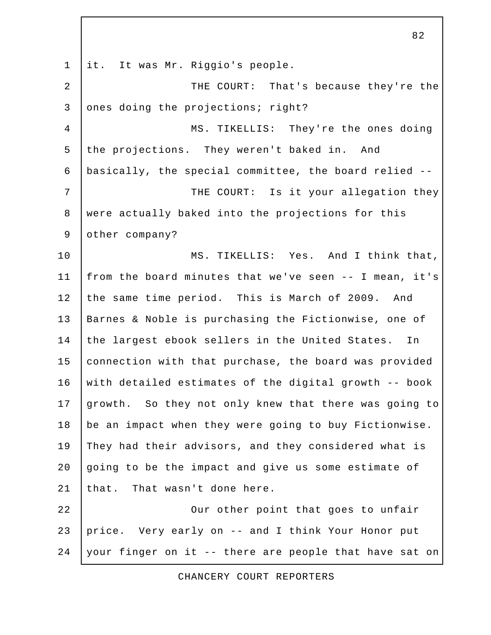1 it. It was Mr. Riggio's people. 2 | THE COURT: That's because they're the 3 ones doing the projections; right? 4 MS. TIKELLIS: They're the ones doing 5 the projections. They weren't baked in. And 6 basically, the special committee, the board relied -- 7 | THE COURT: Is it your allegation they 8 were actually baked into the projections for this 9 other company? 10 MS. TIKELLIS: Yes. And I think that, 11 from the board minutes that we've seen -- I mean, it's 12 the same time period. This is March of 2009. And 13 | Barnes & Noble is purchasing the Fictionwise, one of 14 the largest ebook sellers in the United States. In 15 connection with that purchase, the board was provided 16 with detailed estimates of the digital growth -- book 17 growth. So they not only knew that there was going to 18 be an impact when they were going to buy Fictionwise. 19 They had their advisors, and they considered what is  $20$  aoing to be the impact and give us some estimate of 21 that. That wasn't done here. 22 **COUL CALCE IS UP UP TO A 22 OUR** OUT other point that goes to unfair 23 price. Very early on -- and I think Your Honor put 24 your finger on it -- there are people that have sat on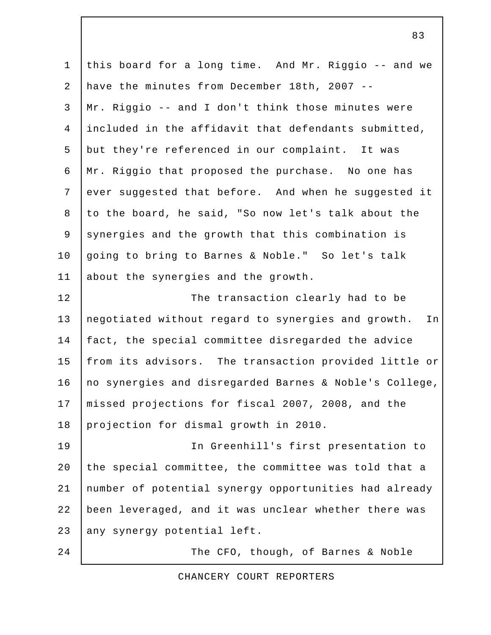1 this board for a long time. And Mr. Riggio -- and we 2 have the minutes from December 18th, 2007 -- 3 Mr. Riggio -- and I don't think those minutes were 4 included in the affidavit that defendants submitted, 5 but they're referenced in our complaint. It was 6 Mr. Riggio that proposed the purchase. No one has 7 ever suggested that before. And when he suggested it 8 | to the board, he said, "So now let's talk about the 9 synergies and the growth that this combination is 10 going to bring to Barnes & Noble." So let's talk 11 about the synergies and the growth. 12 | The transaction clearly had to be 13 negotiated without regard to synergies and growth. In 14 fact, the special committee disregarded the advice 15 | from its advisors. The transaction provided little or 16 | no synergies and disregarded Barnes & Noble's College, 17 missed projections for fiscal 2007, 2008, and the 18 projection for dismal growth in 2010. 19 In Greenhill's first presentation to 20 the special committee, the committee was told that a 21 number of potential synergy opportunities had already 22 been leveraged, and it was unclear whether there was 23 any synergy potential left. 24 | The CFO, though, of Barnes & Noble

CHANCERY COURT REPORTERS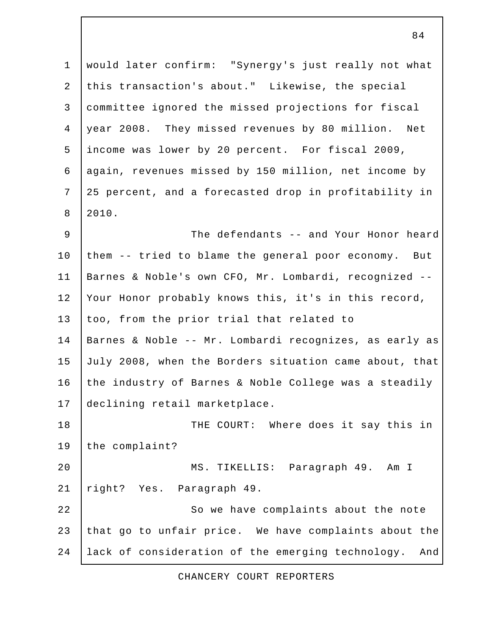1 would later confirm: "Synergy's just really not what 2 this transaction's about." Likewise, the special 3 committee ignored the missed projections for fiscal 4 year 2008. They missed revenues by 80 million. Net 5 income was lower by 20 percent. For fiscal 2009, 6 again, revenues missed by 150 million, net income by 7 25 percent, and a forecasted drop in profitability in 8 2010. 9 The defendants -- and Your Honor heard 10 them -- tried to blame the general poor economy. But

11 Barnes & Noble's own CFO, Mr. Lombardi, recognized -- 12 Your Honor probably knows this, it's in this record, 13 too, from the prior trial that related to 14 Barnes & Noble -- Mr. Lombardi recognizes, as early as 15 July 2008, when the Borders situation came about, that 16 the industry of Barnes & Noble College was a steadily 17 declining retail marketplace. 18 THE COURT: Where does it say this in

19 the complaint? 20 MS. TIKELLIS: Paragraph 49. Am I

21 | right? Yes. Paragraph 49.

22 So we have complaints about the note 23 that go to unfair price. We have complaints about the 24 lack of consideration of the emerging technology. And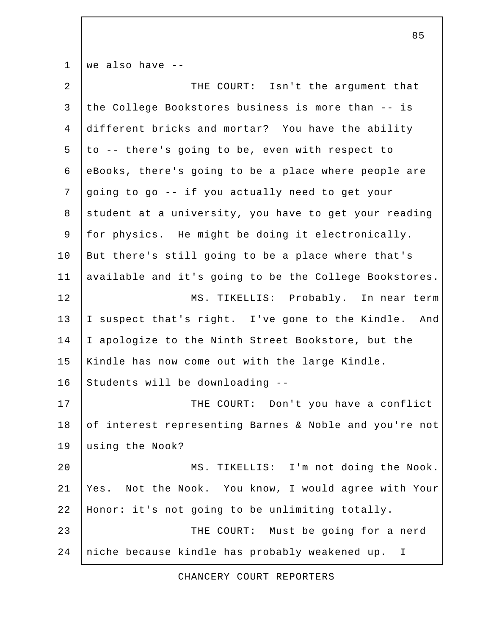1 we also have -- 2 | THE COURT: Isn't the argument that 3 the College Bookstores business is more than -- is 4 different bricks and mortar? You have the ability  $5$  to -- there's going to be, even with respect to 6 eBooks, there's going to be a place where people are 7 going to go -- if you actually need to get your 8 student at a university, you have to get your reading 9 for physics. He might be doing it electronically. 10 | But there's still going to be a place where that's 11 available and it's going to be the College Bookstores. 12 MS. TIKELLIS: Probably. In near term 13 | I suspect that's right. I've gone to the Kindle. And 14 I apologize to the Ninth Street Bookstore, but the 15 Kindle has now come out with the large Kindle.  $16$  Students will be downloading  $-$ -17 | THE COURT: Don't you have a conflict 18 of interest representing Barnes & Noble and you're not 19 using the Nook? 20 MS. TIKELLIS: I'm not doing the Nook. 21 Yes. Not the Nook. You know, I would agree with Your 22 Honor: it's not going to be unlimiting totally. 23 **THE COURT:** Must be going for a nerd 24 niche because kindle has probably weakened up. I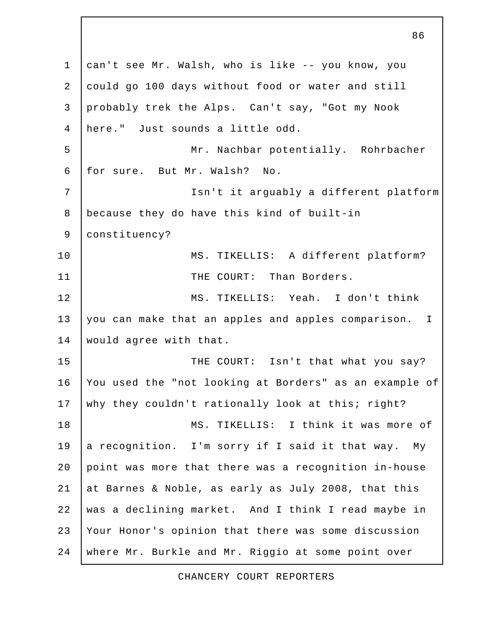1 can't see Mr. Walsh, who is like -- you know, you 2 could go 100 days without food or water and still 3 probably trek the Alps. Can't say, "Got my Nook 4 here." Just sounds a little odd. 5 | Mr. Nachbar potentially. Rohrbacher 6 for sure. But Mr. Walsh? No. 7 Isn't it arguably a different platform 8 because they do have this kind of built-in 9 constituency? 10 | MS. TIKELLIS: A different platform? 11 | THE COURT: Than Borders. 12 MS. TIKELLIS: Yeah. I don't think 13 you can make that an apples and apples comparison. I 14 | would agree with that. 15 THE COURT: Isn't that what you say? 16 You used the "not looking at Borders" as an example of 17 why they couldn't rationally look at this; right? 18 MS. TIKELLIS: I think it was more of 19 a recognition. I'm sorry if I said it that way. My 20 point was more that there was a recognition in-house 21 at Barnes & Noble, as early as July 2008, that this 22 was a declining market. And I think I read maybe in 23 Your Honor's opinion that there was some discussion 24 where Mr. Burkle and Mr. Riggio at some point over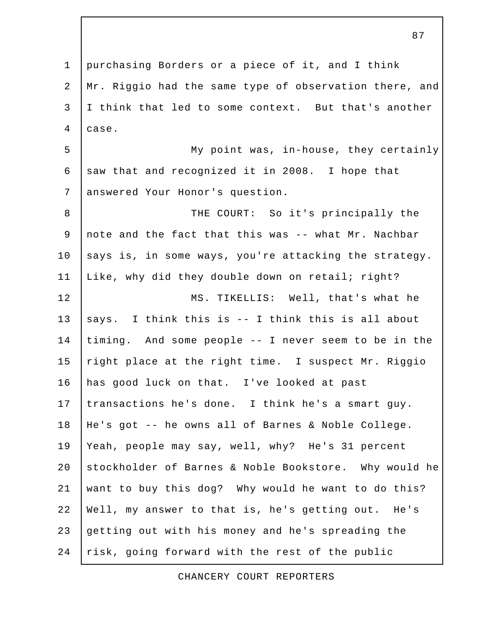1 purchasing Borders or a piece of it, and I think 2 Mr. Riggio had the same type of observation there, and 3 I think that led to some context. But that's another 4 case. 5 My point was, in-house, they certainly 6 saw that and recognized it in 2008. I hope that 7 answered Your Honor's question. 8 | THE COURT: So it's principally the 9 note and the fact that this was -- what Mr. Nachbar  $10$  says is, in some ways, you're attacking the strategy. 11 | Like, why did they double down on retail; right? 12 MS. TIKELLIS: Well, that's what he 13  $|$  says. I think this is -- I think this is all about 14 timing. And some people -- I never seem to be in the 15  $right$  place at the right time. I suspect Mr. Riggio 16 has good luck on that. I've looked at past 17 transactions he's done. I think he's a smart quy. 18 He's got -- he owns all of Barnes & Noble College. 19 Yeah, people may say, well, why? He's 31 percent 20 stockholder of Barnes & Noble Bookstore. Why would he 21 want to buy this dog? Why would he want to do this? 22 Well, my answer to that is, he's getting out. He's 23 getting out with his money and he's spreading the 24 risk, going forward with the rest of the public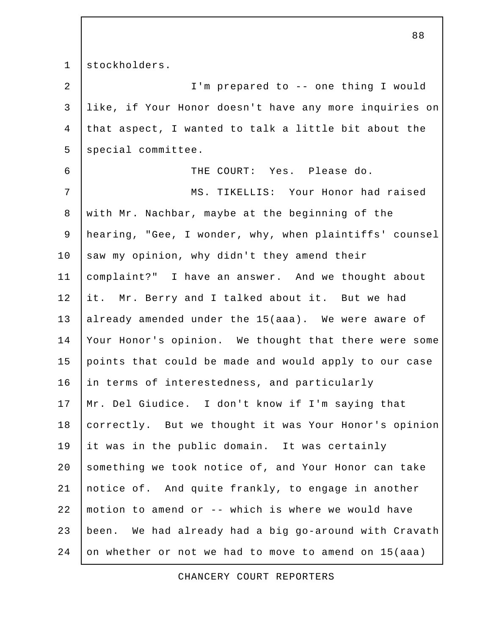1 stockholders.

 2 I'm prepared to -- one thing I would 3 like, if Your Honor doesn't have any more inquiries on 4 that aspect, I wanted to talk a little bit about the 5 special committee. 6 THE COURT: Yes. Please do. 7 MS. TIKELLIS: Your Honor had raised 8 with Mr. Nachbar, maybe at the beginning of the 9 hearing, "Gee, I wonder, why, when plaintiffs' counsel 10  $\vert$  saw my opinion, why didn't they amend their 11 complaint?" I have an answer. And we thought about 12 it. Mr. Berry and I talked about it. But we had 13 already amended under the 15(aaa). We were aware of 14 Your Honor's opinion. We thought that there were some 15 points that could be made and would apply to our case 16 in terms of interestedness, and particularly 17 Mr. Del Giudice. I don't know if I'm saying that 18 correctly. But we thought it was Your Honor's opinion 19 it was in the public domain. It was certainly 20 something we took notice of, and Your Honor can take 21 notice of. And quite frankly, to engage in another 22 motion to amend or -- which is where we would have 23 been. We had already had a big go-around with Cravath 24 on whether or not we had to move to amend on 15(aaa)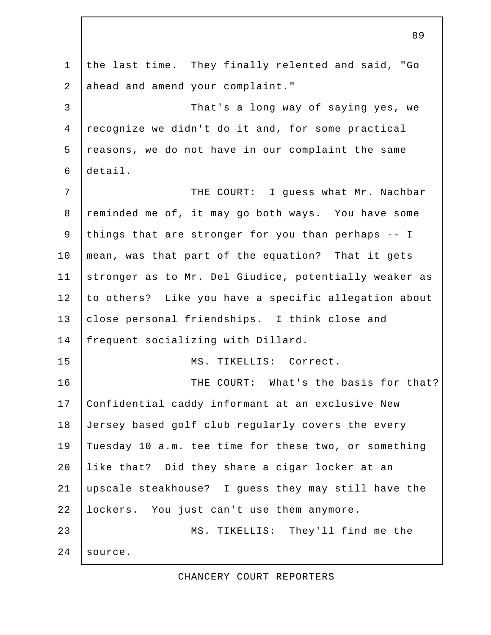1 the last time. They finally relented and said, "Go 2 ahead and amend your complaint." 3 That's a long way of saying yes, we 4 recognize we didn't do it and, for some practical 5 reasons, we do not have in our complaint the same 6 detail. 7 THE COURT: I guess what Mr. Nachbar 8 reminded me of, it may go both ways. You have some 9 things that are stronger for you than perhaps -- I 10 | mean, was that part of the equation? That it gets 11 stronger as to Mr. Del Giudice, potentially weaker as 12 to others? Like you have a specific allegation about 13 close personal friendships. I think close and 14 frequent socializing with Dillard. 15 MS. TIKELLIS: Correct. 16 THE COURT: What's the basis for that? 17 Confidential caddy informant at an exclusive New 18 Jersey based golf club regularly covers the every 19 Tuesday 10 a.m. tee time for these two, or something 20 like that? Did they share a cigar locker at an 21 upscale steakhouse? I guess they may still have the 22 lockers. You just can't use them anymore. 23 MS. TIKELLIS: They'll find me the 24 source.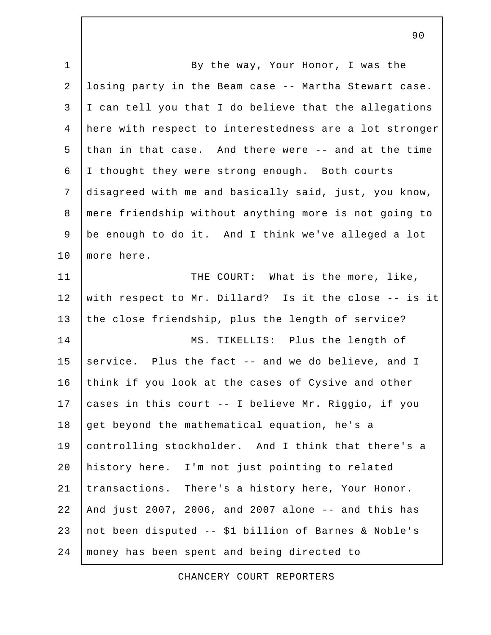1 | By the way, Your Honor, I was the 2 losing party in the Beam case -- Martha Stewart case. 3 I can tell you that I do believe that the allegations 4 here with respect to interestedness are a lot stronger 5 than in that case. And there were -- and at the time 6 I thought they were strong enough. Both courts 7 disagreed with me and basically said, just, you know, 8 mere friendship without anything more is not going to 9 be enough to do it. And I think we've alleged a lot 10 | more here. 11 | THE COURT: What is the more, like, 12 with respect to Mr. Dillard? Is it the close -- is it 13 the close friendship, plus the length of service? 14 MS. TIKELLIS: Plus the length of 15 service. Plus the fact  $-$  and we do believe, and I 16 think if you look at the cases of Cysive and other 17 cases in this court -- I believe Mr. Riggio, if you 18 get beyond the mathematical equation, he's a 19 controlling stockholder. And I think that there's a 20 | history here. I'm not just pointing to related 21 | transactions. There's a history here, Your Honor. 22 And just 2007, 2006, and 2007 alone -- and this has 23 not been disputed -- \$1 billion of Barnes & Noble's 24 money has been spent and being directed to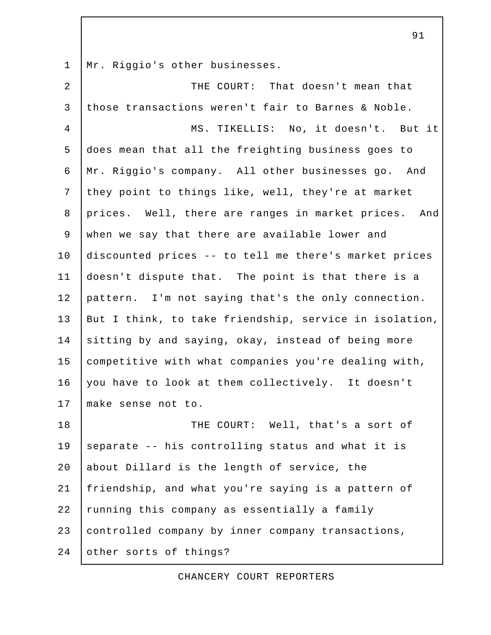1 | Mr. Riggio's other businesses.

| $\overline{a}$ | THE COURT: That doesn't mean that                      |
|----------------|--------------------------------------------------------|
| $\mathbf{3}$   | those transactions weren't fair to Barnes & Noble.     |
| $\overline{4}$ | MS. TIKELLIS: No, it doesn't. But it                   |
| 5              | does mean that all the freighting business goes to     |
| 6              | Mr. Riggio's company. All other businesses go. And     |
| $\overline{7}$ | they point to things like, well, they're at market     |
| 8              | prices. Well, there are ranges in market prices. And   |
| 9              | when we say that there are available lower and         |
| 10             | discounted prices -- to tell me there's market prices  |
| 11             | doesn't dispute that. The point is that there is a     |
| 12             | pattern. I'm not saying that's the only connection.    |
| 13             | But I think, to take friendship, service in isolation, |
| 14             | sitting by and saying, okay, instead of being more     |
| 15             | competitive with what companies you're dealing with,   |
| 16             | you have to look at them collectively. It doesn't      |
| 17             | make sense not to.                                     |
| 18             | THE COURT: Well, that's a sort of                      |
| 19             | separate -- his controlling status and what it is      |
| 20             | about Dillard is the length of service, the            |
| 21             | friendship, and what you're saying is a pattern of     |
| 22             | running this company as essentially a family           |
| 23             | controlled company by inner company transactions,      |
| 24             | other sorts of things?                                 |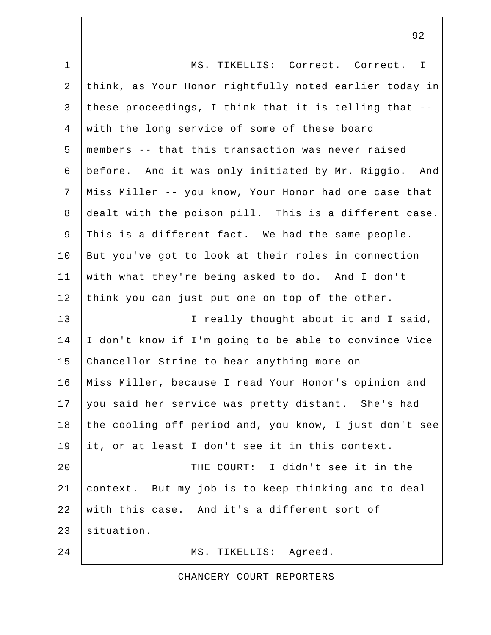| $\mathbf 1$    | MS. TIKELLIS: Correct. Correct. I                      |
|----------------|--------------------------------------------------------|
| $\overline{a}$ | think, as Your Honor rightfully noted earlier today in |
| $\mathfrak{Z}$ | these proceedings, I think that it is telling that --  |
| $\overline{4}$ | with the long service of some of these board           |
| 5              | members -- that this transaction was never raised      |
| 6              | before. And it was only initiated by Mr. Riggio. And   |
| $7\phantom{.}$ | Miss Miller -- you know, Your Honor had one case that  |
| 8              | dealt with the poison pill. This is a different case.  |
| 9              | This is a different fact. We had the same people.      |
| 10             | But you've got to look at their roles in connection    |
| 11             | with what they're being asked to do. And I don't       |
| 12             | think you can just put one on top of the other.        |
| 13             | I really thought about it and I said,                  |
| 14             | I don't know if I'm going to be able to convince Vice  |
| 15             | Chancellor Strine to hear anything more on             |
| 16             | Miss Miller, because I read Your Honor's opinion and   |
| 17             | you said her service was pretty distant. She's had     |
| 18             | the cooling off period and, you know, I just don't see |
| 19             | it, or at least I don't see it in this context.        |
| 20             | THE COURT: I didn't see it in the                      |
| 21             | context. But my job is to keep thinking and to deal    |
| 22             | with this case. And it's a different sort of           |
| 23             | situation.                                             |
| 24             | MS. TIKELLIS: Agreed.                                  |

CHANCERY COURT REPORTERS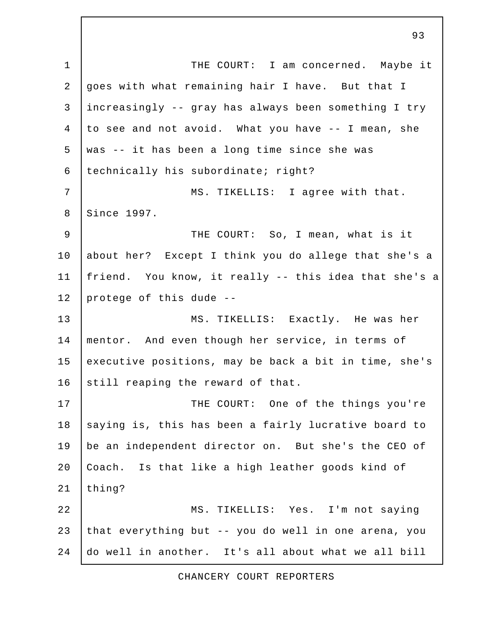1 | THE COURT: I am concerned. Maybe it 2 goes with what remaining hair I have. But that I 3 increasingly -- gray has always been something I try 4 to see and not avoid. What you have -- I mean, she  $5$  was  $-$  it has been a long time since she was 6 | technically his subordinate; right? 7 | MS. TIKELLIS: I agree with that. 8 Since 1997. 9 | THE COURT: So, I mean, what is it 10 about her? Except I think you do allege that she's a 11 friend. You know, it really -- this idea that she's a 12 protege of this dude -- 13 MS. TIKELLIS: Exactly. He was her 14 mentor. And even though her service, in terms of 15 executive positions, may be back a bit in time, she's 16 still reaping the reward of that. 17 | THE COURT: One of the things you're 18 saying is, this has been a fairly lucrative board to 19 be an independent director on. But she's the CEO of 20 Coach. Is that like a high leather goods kind of  $21$  thing? 22 MS. TIKELLIS: Yes. I'm not saying 23 that everything but -- you do well in one arena, you 24 do well in another. It's all about what we all bill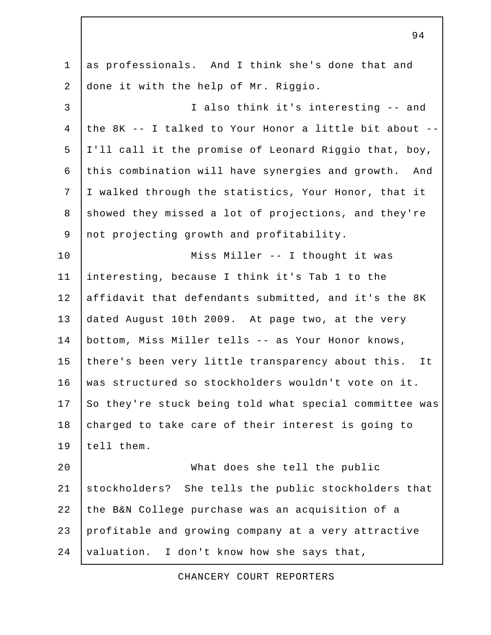1 as professionals. And I think she's done that and 2 done it with the help of Mr. Riggio. 3 I also think it's interesting -- and 4 the 8K -- I talked to Your Honor a little bit about -- 5 I'll call it the promise of Leonard Riggio that, boy, 6 this combination will have synergies and growth. And 7 I walked through the statistics, Your Honor, that it 8 showed they missed a lot of projections, and they're 9 not projecting growth and profitability. 10 | Miss Miller -- I thought it was 11 interesting, because I think it's Tab 1 to the 12 affidavit that defendants submitted, and it's the 8K 13 dated August 10th 2009. At page two, at the very 14 bottom, Miss Miller tells -- as Your Honor knows, 15 there's been very little transparency about this. It 16 was structured so stockholders wouldn't vote on it. 17 So they're stuck being told what special committee was 18 charged to take care of their interest is going to 19 tell them. 20 What does she tell the public 21 stockholders? She tells the public stockholders that 22 the B&N College purchase was an acquisition of a 23 profitable and growing company at a very attractive 24 valuation. I don't know how she says that,

CHANCERY COURT REPORTERS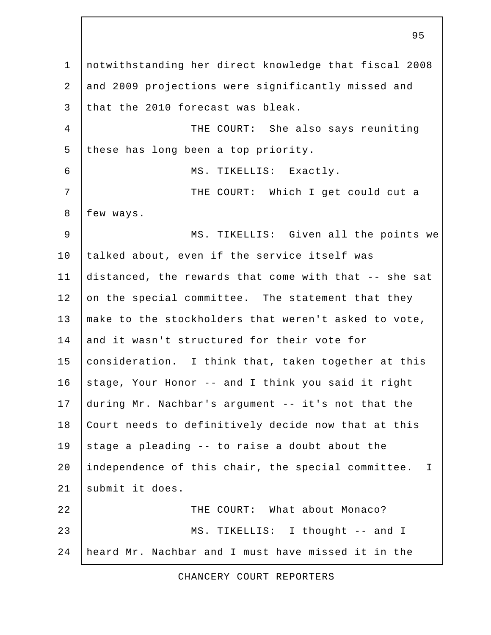1 notwithstanding her direct knowledge that fiscal 2008 2 and 2009 projections were significantly missed and 3 that the 2010 forecast was bleak. 4 THE COURT: She also says reuniting 5 these has long been a top priority. 6 MS. TIKELLIS: Exactly. 7 THE COURT: Which I get could cut a 8 | few ways. 9 | MS. TIKELLIS: Given all the points we 10 talked about, even if the service itself was 11 distanced, the rewards that come with that -- she sat 12 on the special committee. The statement that they 13 make to the stockholders that weren't asked to vote, 14 and it wasn't structured for their vote for 15 consideration. I think that, taken together at this 16 stage, Your Honor -- and I think you said it right 17 during Mr. Nachbar's argument -- it's not that the 18 Court needs to definitively decide now that at this 19 stage a pleading  $-$ - to raise a doubt about the 20 independence of this chair, the special committee. I 21 | submit it does. 22 | COURT: What about Monaco? 23 MS. TIKELLIS: I thought -- and I 24 heard Mr. Nachbar and I must have missed it in the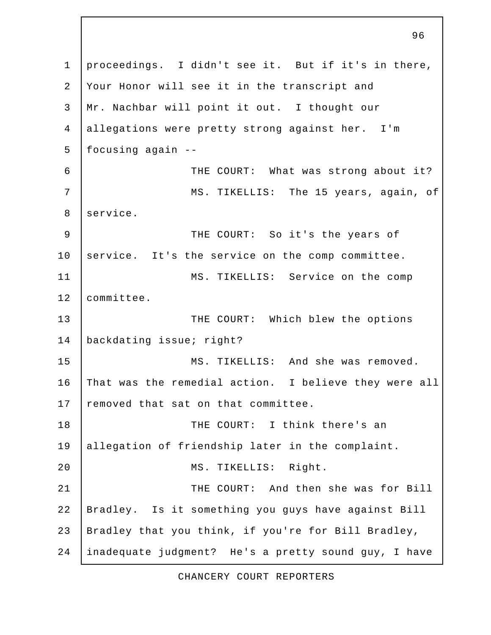1 proceedings. I didn't see it. But if it's in there, 2 Your Honor will see it in the transcript and 3 Mr. Nachbar will point it out. I thought our 4 allegations were pretty strong against her. I'm 5 focusing again -- 6 | THE COURT: What was strong about it? 7 MS. TIKELLIS: The 15 years, again, of 8 service. 9 | THE COURT: So it's the years of 10 service. It's the service on the comp committee. 11 | MS. TIKELLIS: Service on the comp 12 committee. 13 THE COURT: Which blew the options 14 | backdating issue; right? 15 MS. TIKELLIS: And she was removed. 16 That was the remedial action. I believe they were all 17 removed that sat on that committee. 18 THE COURT: I think there's an 19 allegation of friendship later in the complaint. 20 | MS. TIKELLIS: Right. 21 THE COURT: And then she was for Bill 22 Bradley. Is it something you guys have against Bill 23 | Bradley that you think, if you're for Bill Bradley, 24 inadequate judgment? He's a pretty sound guy, I have

96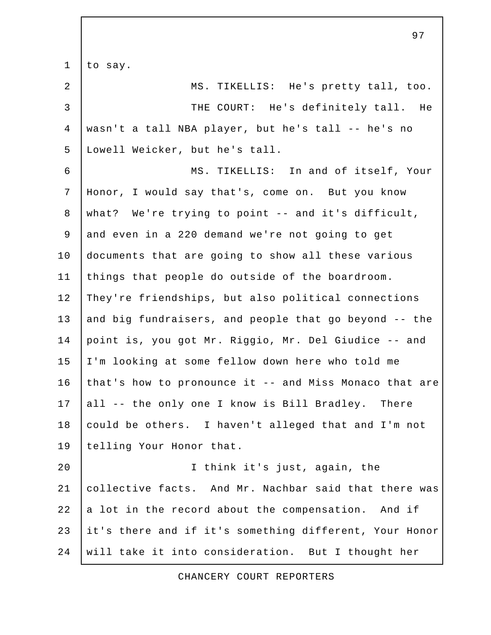1 to say. 2 MS. TIKELLIS: He's pretty tall, too. 3 THE COURT: He's definitely tall. He 4 wasn't a tall NBA player, but he's tall -- he's no 5 Lowell Weicker, but he's tall. 6 MS. TIKELLIS: In and of itself, Your 7 Honor, I would say that's, come on. But you know 8 what? We're trying to point -- and it's difficult, 9 and even in a 220 demand we're not going to get 10 documents that are going to show all these various 11 things that people do outside of the boardroom. 12 They're friendships, but also political connections 13 and big fundraisers, and people that go beyond -- the 14 point is, you got Mr. Riggio, Mr. Del Giudice -- and 15 I'm looking at some fellow down here who told me 16 that's how to pronounce it -- and Miss Monaco that are 17 all -- the only one I know is Bill Bradley. There 18 could be others. I haven't alleged that and I'm not 19 | telling Your Honor that. 20 I think it's just, again, the 21 collective facts. And Mr. Nachbar said that there was  $22$  a lot in the record about the compensation. And if 23 it's there and if it's something different, Your Honor 24 will take it into consideration. But I thought her

97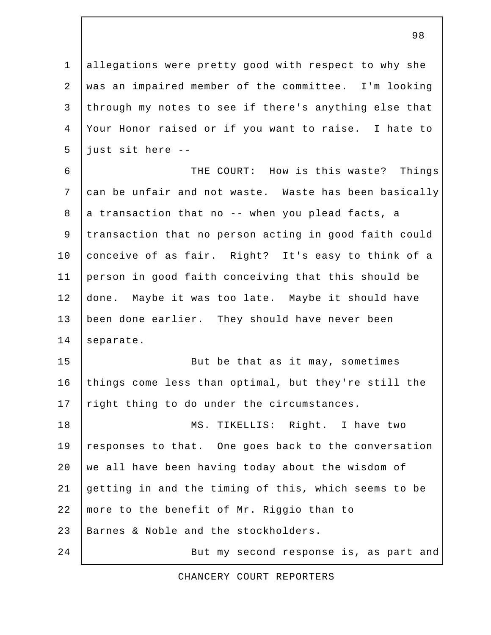1 allegations were pretty good with respect to why she 2 was an impaired member of the committee. I'm looking 3 through my notes to see if there's anything else that 4 Your Honor raised or if you want to raise. I hate to  $5$  just sit here  $-$ 

 6 THE COURT: How is this waste? Things 7 can be unfair and not waste. Waste has been basically  $8$  a transaction that no -- when you plead facts, a 9 transaction that no person acting in good faith could 10 conceive of as fair. Right? It's easy to think of a 11 person in good faith conceiving that this should be 12 done. Maybe it was too late. Maybe it should have 13 been done earlier. They should have never been 14 separate.

15 But be that as it may, sometimes 16 things come less than optimal, but they're still the 17 right thing to do under the circumstances.

18 MS. TIKELLIS: Right. I have two 19 responses to that. One goes back to the conversation  $20$  we all have been having today about the wisdom of 21 getting in and the timing of this, which seems to be 22 more to the benefit of Mr. Riggio than to 23 Barnes & Noble and the stockholders.

CHANCERY COURT REPORTERS

24 | But my second response is, as part and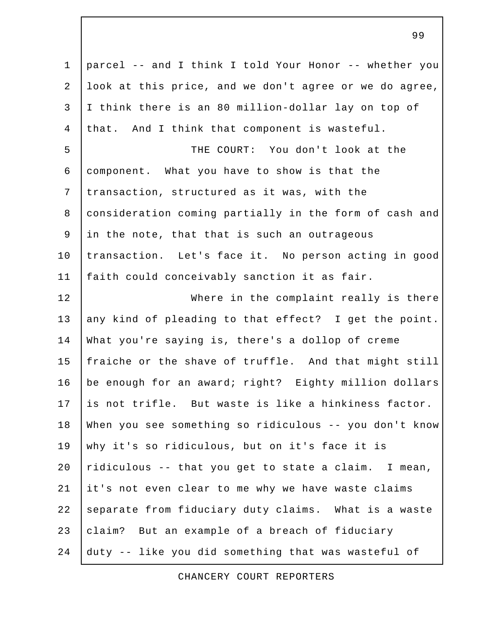1 parcel -- and I think I told Your Honor -- whether you 2 look at this price, and we don't agree or we do agree, 3 I think there is an 80 million-dollar lay on top of 4 that. And I think that component is wasteful. 5 THE COURT: You don't look at the 6 component. What you have to show is that the 7 transaction, structured as it was, with the 8 consideration coming partially in the form of cash and 9 in the note, that that is such an outrageous 10 transaction. Let's face it. No person acting in good 11 faith could conceivably sanction it as fair. 12 Where in the complaint really is there 13 any kind of pleading to that effect? I get the point. 14 What you're saying is, there's a dollop of creme 15 fraiche or the shave of truffle. And that might still 16 | be enough for an award; right? Eighty million dollars 17 is not trifle. But waste is like a hinkiness factor. 18 When you see something so ridiculous -- you don't know 19 why it's so ridiculous, but on it's face it is 20  $ridiculous -- that you get to state a claim. In mean,$ 21 it's not even clear to me why we have waste claims 22 separate from fiduciary duty claims. What is a waste 23 claim? But an example of a breach of fiduciary 24 duty -- like you did something that was wasteful of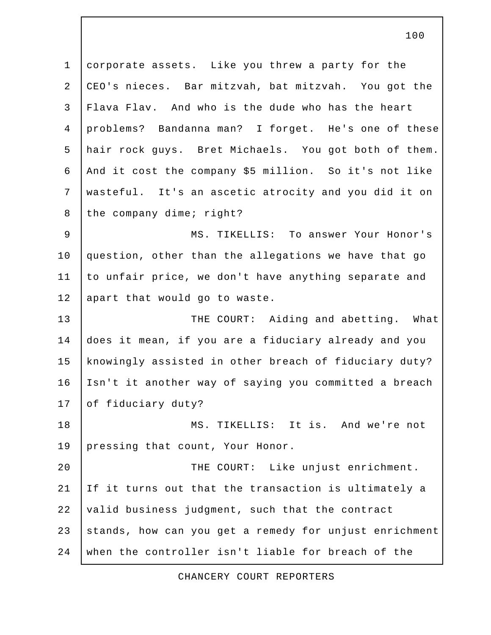1 corporate assets. Like you threw a party for the 2 CEO's nieces. Bar mitzvah, bat mitzvah. You got the 3 Flava Flav. And who is the dude who has the heart 4 problems? Bandanna man? I forget. He's one of these 5 hair rock guys. Bret Michaels. You got both of them. 6 And it cost the company \$5 million. So it's not like 7 wasteful. It's an ascetic atrocity and you did it on 8 the company dime; right? 9 | MS. TIKELLIS: To answer Your Honor's 10 question, other than the allegations we have that go 11 to unfair price, we don't have anything separate and 12 | apart that would go to waste. 13 THE COURT: Aiding and abetting. What 14 does it mean, if you are a fiduciary already and you 15 knowingly assisted in other breach of fiduciary duty? 16 Isn't it another way of saying you committed a breach 17 of fiduciary duty? 18 MS. TIKELLIS: It is. And we're not 19 pressing that count, Your Honor. 20 | THE COURT: Like unjust enrichment. 21 If it turns out that the transaction is ultimately a 22 valid business judgment, such that the contract 23 stands, how can you get a remedy for unjust enrichment 24 when the controller isn't liable for breach of the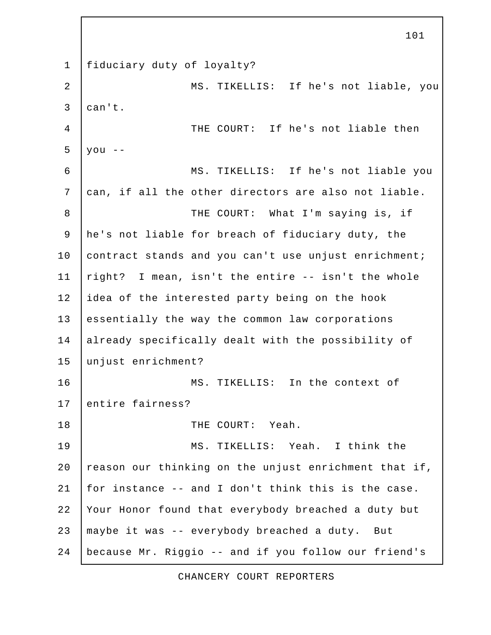1 fiduciary duty of loyalty? 2 MS. TIKELLIS: If he's not liable, you  $3$  can't. 4 THE COURT: If he's not liable then  $5$  you  $-$  6 MS. TIKELLIS: If he's not liable you 7 can, if all the other directors are also not liable. 8 THE COURT: What I'm saying is, if 9 he's not liable for breach of fiduciary duty, the 10 contract stands and you can't use unjust enrichment; 11  $right$ ? I mean, isn't the entire  $--$  isn't the whole 12 idea of the interested party being on the hook 13 essentially the way the common law corporations 14 already specifically dealt with the possibility of 15 unjust enrichment? 16 MS. TIKELLIS: In the context of 17 entire fairness? 18 I THE COURT: Yeah. 19 MS. TIKELLIS: Yeah. I think the 20 reason our thinking on the unjust enrichment that if, 21  $|$  for instance  $-$  and I don't think this is the case. 22 Your Honor found that everybody breached a duty but 23 maybe it was -- everybody breached a duty. But 24 because Mr. Riggio -- and if you follow our friend's

101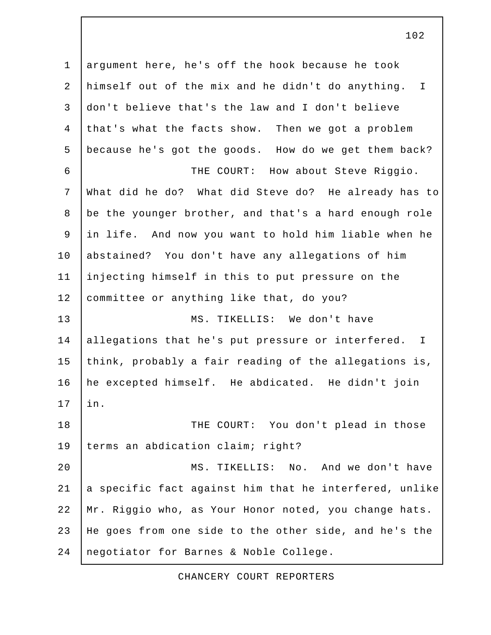1 argument here, he's off the hook because he took 2 himself out of the mix and he didn't do anything. I 3 don't believe that's the law and I don't believe 4 that's what the facts show. Then we got a problem 5 because he's got the goods. How do we get them back? 6 | THE COURT: How about Steve Riggio. 7 What did he do? What did Steve do? He already has to 8 be the younger brother, and that's a hard enough role 9 in life. And now you want to hold him liable when he 10 abstained? You don't have any allegations of him 11 injecting himself in this to put pressure on the 12 committee or anything like that, do you? 13 MS. TIKELLIS: We don't have 14 allegations that he's put pressure or interfered. I 15 think, probably a fair reading of the allegations is, 16 he excepted himself. He abdicated. He didn't join 17 in. 18 | THE COURT: You don't plead in those 19 terms an abdication claim; right? 20 MS. TIKELLIS: No. And we don't have 21  $|a|$  specific fact against him that he interfered, unlike 22 Mr. Riggio who, as Your Honor noted, you change hats. 23 He goes from one side to the other side, and he's the 24 negotiator for Barnes & Noble College.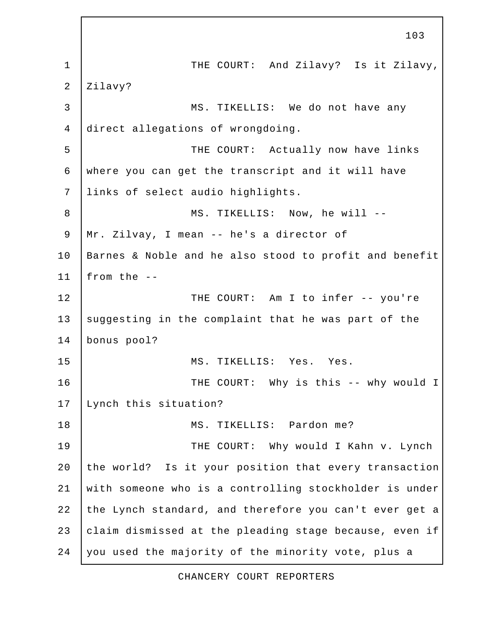1 | THE COURT: And Zilavy? Is it Zilavy, 2 Zilavy? 3 | MS. TIKELLIS: We do not have any 4 direct allegations of wrongdoing. 5 | THE COURT: Actually now have links 6 where you can get the transcript and it will have 7 links of select audio highlights. 8 | MS. TIKELLIS: Now, he will -- 9 Mr. Zilvay, I mean -- he's a director of 10 Barnes & Noble and he also stood to profit and benefit 11 | from the  $-$ -12 | THE COURT: Am I to infer -- you're 13 suggesting in the complaint that he was part of the 14 bonus pool? 15 | MS. TIKELLIS: Yes. Yes. 16 | THE COURT: Why is this -- why would I 17 Lynch this situation? 18 | MS. TIKELLIS: Pardon me? 19 THE COURT: Why would I Kahn v. Lynch 20 the world? Is it your position that every transaction 21 with someone who is a controlling stockholder is under 22 the Lynch standard, and therefore you can't ever get a 23  $clain$  dismissed at the pleading stage because, even if 24 you used the majority of the minority vote, plus a

103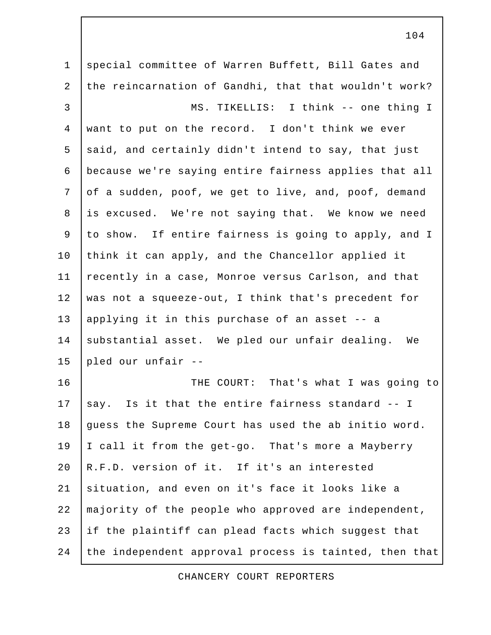1 | special committee of Warren Buffett, Bill Gates and 2 the reincarnation of Gandhi, that that wouldn't work? 3 MS. TIKELLIS: I think -- one thing I 4 want to put on the record. I don't think we ever 5 said, and certainly didn't intend to say, that just 6 because we're saying entire fairness applies that all 7 of a sudden, poof, we get to live, and, poof, demand 8 is excused. We're not saying that. We know we need 9 to show. If entire fairness is going to apply, and I 10 think it can apply, and the Chancellor applied it 11 | recently in a case, Monroe versus Carlson, and that 12 was not a squeeze-out, I think that's precedent for 13 applying it in this purchase of an asset -- a 14 substantial asset. We pled our unfair dealing. We 15 pled our unfair -- 16 | THE COURT: That's what I was going to 17  $\vert$  say. Is it that the entire fairness standard -- I 18 guess the Supreme Court has used the ab initio word. 19 I call it from the get-go. That's more a Mayberry 20 R.F.D. version of it. If it's an interested 21 situation, and even on it's face it looks like a 22 majority of the people who approved are independent, 23 if the plaintiff can plead facts which suggest that 24 the independent approval process is tainted, then that

CHANCERY COURT REPORTERS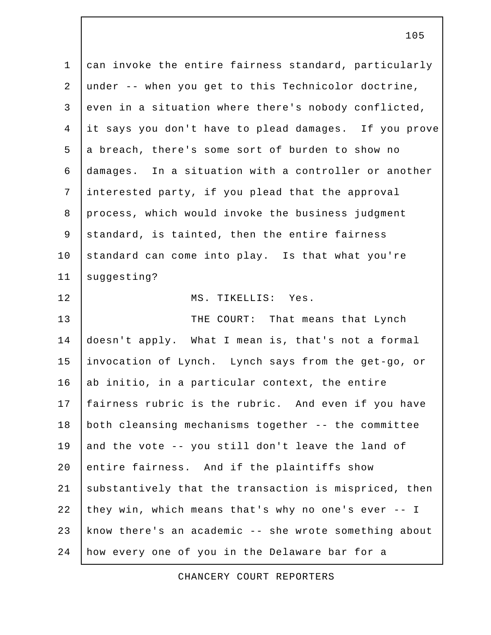1 can invoke the entire fairness standard, particularly 2 under -- when you get to this Technicolor doctrine, 3 even in a situation where there's nobody conflicted, 4 it says you don't have to plead damages. If you prove 5 a breach, there's some sort of burden to show no 6 damages. In a situation with a controller or another 7 interested party, if you plead that the approval 8 process, which would invoke the business judgment 9 standard, is tainted, then the entire fairness 10 standard can come into play. Is that what you're 11 | suggesting? 12 MS. TIKELLIS: Yes. 13 THE COURT: That means that Lynch 14 doesn't apply. What I mean is, that's not a formal 15 invocation of Lynch. Lynch says from the get-go, or 16 ab initio, in a particular context, the entire 17 fairness rubric is the rubric. And even if you have 18 both cleansing mechanisms together -- the committee 19 and the vote  $-$ - you still don't leave the land of 20 entire fairness. And if the plaintiffs show 21 | substantively that the transaction is mispriced, then 22 they win, which means that's why no one's ever -- I 23 know there's an academic -- she wrote something about 24 how every one of you in the Delaware bar for a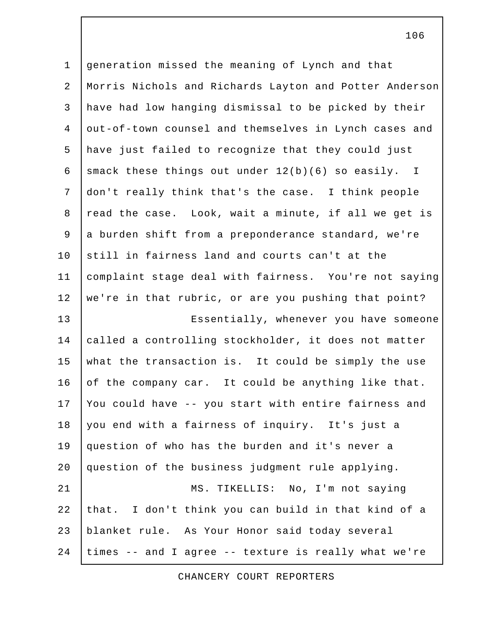1 generation missed the meaning of Lynch and that 2 Morris Nichols and Richards Layton and Potter Anderson 3 have had low hanging dismissal to be picked by their 4 out-of-town counsel and themselves in Lynch cases and 5 have just failed to recognize that they could just 6 smack these things out under  $12(b)(6)$  so easily. I 7 don't really think that's the case. I think people 8 read the case. Look, wait a minute, if all we get is 9 a burden shift from a preponderance standard, we're 10 still in fairness land and courts can't at the 11 complaint stage deal with fairness. You're not saying 12 we're in that rubric, or are you pushing that point? 13 | Essentially, whenever you have someone 14 called a controlling stockholder, it does not matter 15 what the transaction is. It could be simply the use 16 of the company car. It could be anything like that. 17 You could have -- you start with entire fairness and 18 you end with a fairness of inquiry. It's just a 19 question of who has the burden and it's never a 20 question of the business judgment rule applying. 21 | MS. TIKELLIS: No, I'm not saying 22 that. I don't think you can build in that kind of a 23 blanket rule. As Your Honor said today several 24 times -- and I agree -- texture is really what we're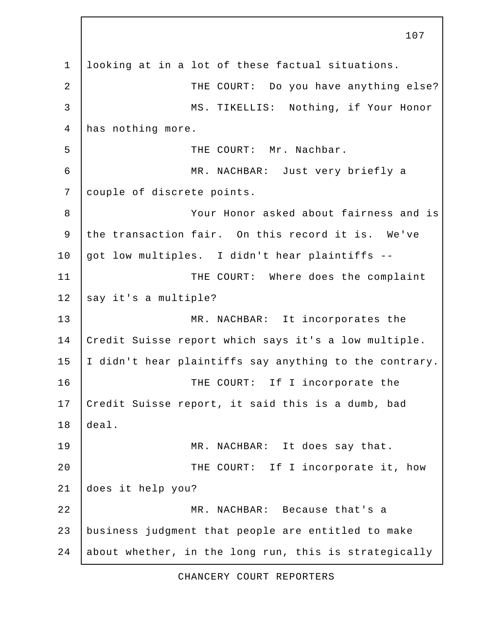1 looking at in a lot of these factual situations. 2 | THE COURT: Do you have anything else? 3 | MS. TIKELLIS: Nothing, if Your Honor 4 has nothing more. 5 Supersman Line The COURT: Mr. Nachbar. 6 MR. NACHBAR: Just very briefly a 7 couple of discrete points. 8 Your Honor asked about fairness and is 9 the transaction fair. On this record it is. We've 10 got low multiples. I didn't hear plaintiffs  $-$ -11 | THE COURT: Where does the complaint 12 say it's a multiple? 13 MR. NACHBAR: It incorporates the 14 Credit Suisse report which says it's a low multiple. 15 I didn't hear plaintiffs say anything to the contrary. 16 THE COURT: If I incorporate the 17 Credit Suisse report, it said this is a dumb, bad 18 deal. 19 | MR. NACHBAR: It does say that. 20 THE COURT: If I incorporate it, how 21 does it help you? 22 MR. NACHBAR: Because that's a 23 business judgment that people are entitled to make 24 about whether, in the long run, this is strategically

107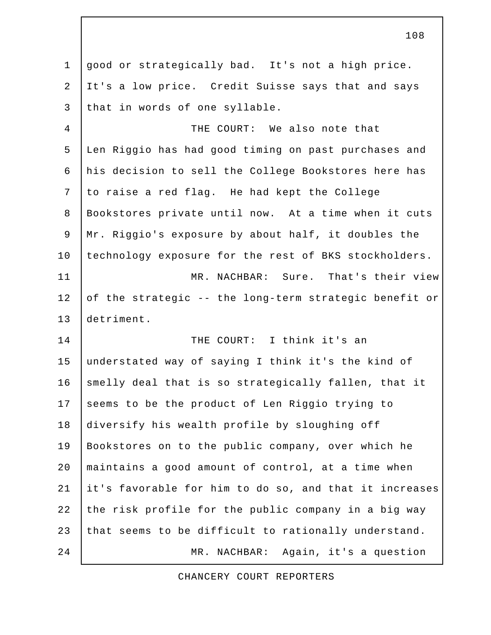1 good or strategically bad. It's not a high price. 2 It's a low price. Credit Suisse says that and says 3 that in words of one syllable.

 4 THE COURT: We also note that 5 Len Riggio has had good timing on past purchases and 6 his decision to sell the College Bookstores here has 7 to raise a red flag. He had kept the College 8 Bookstores private until now. At a time when it cuts 9 Mr. Riggio's exposure by about half, it doubles the 10 technology exposure for the rest of BKS stockholders. 11 MR. NACHBAR: Sure. That's their view 12 of the strategic -- the long-term strategic benefit or 13 detriment.

14 THE COURT: I think it's an 15 understated way of saying I think it's the kind of 16 smelly deal that is so strategically fallen, that it 17 seems to be the product of Len Riggio trying to 18 diversify his wealth profile by sloughing off 19 Bookstores on to the public company, over which he 20 maintains a good amount of control, at a time when 21 it's favorable for him to do so, and that it increases 22 the risk profile for the public company in a big way 23 that seems to be difficult to rationally understand. 24 | MR. NACHBAR: Again, it's a question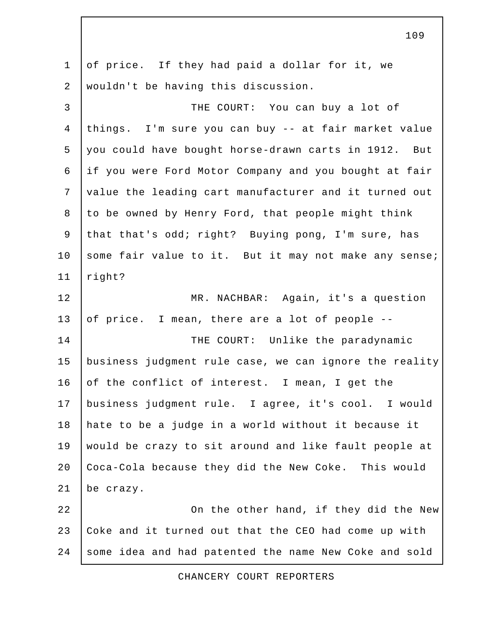1 of price. If they had paid a dollar for it, we 2 wouldn't be having this discussion. 3 THE COURT: You can buy a lot of 4 things. I'm sure you can buy -- at fair market value 5 you could have bought horse-drawn carts in 1912. But 6 if you were Ford Motor Company and you bought at fair 7 value the leading cart manufacturer and it turned out 8 to be owned by Henry Ford, that people might think 9 that that's odd; right? Buying pong, I'm sure, has 10 some fair value to it. But it may not make any sense; 11 right? 12 MR. NACHBAR: Again, it's a question 13 of price. I mean, there are a lot of people --14 THE COURT: Unlike the paradynamic 15 business judgment rule case, we can ignore the reality 16 of the conflict of interest. I mean, I get the 17 business judgment rule. I agree, it's cool. I would 18 hate to be a judge in a world without it because it 19 would be crazy to sit around and like fault people at 20 Coca-Cola because they did the New Coke. This would 21 be crazy. 22 | Cn the other hand, if they did the New 23 Coke and it turned out that the CEO had come up with 24 some idea and had patented the name New Coke and sold

CHANCERY COURT REPORTERS

109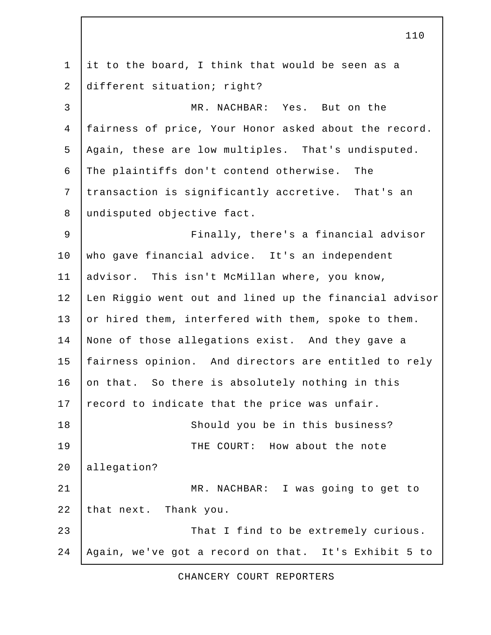1 it to the board, I think that would be seen as a 2 different situation; right? 3 MR. NACHBAR: Yes. But on the 4 fairness of price, Your Honor asked about the record. 5 Again, these are low multiples. That's undisputed. 6 The plaintiffs don't contend otherwise. The 7 transaction is significantly accretive. That's an 8 undisputed objective fact. 9 | Finally, there's a financial advisor 10 who gave financial advice. It's an independent 11 advisor. This isn't McMillan where, you know, 12 Len Riggio went out and lined up the financial advisor 13 or hired them, interfered with them, spoke to them. 14 None of those allegations exist. And they gave a 15 fairness opinion. And directors are entitled to rely 16 on that. So there is absolutely nothing in this  $17$  record to indicate that the price was unfair. 18 Should you be in this business? 19 THE COURT: How about the note 20 allegation? 21 | MR. NACHBAR: I was going to get to 22 that next. Thank you. 23 That I find to be extremely curious. 24 Again, we've got a record on that. It's Exhibit 5 to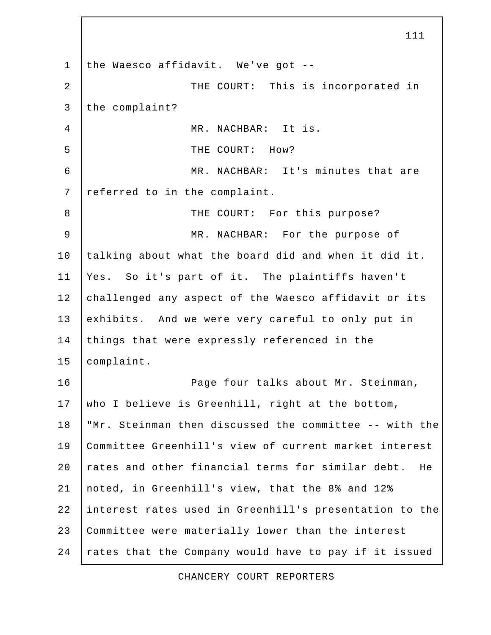1 the Waesco affidavit. We've got -- 2 | THE COURT: This is incorporated in 3 the complaint? 4 MR. NACHBAR: It is. 5 THE COURT: How? 6 MR. NACHBAR: It's minutes that are 7 referred to in the complaint. 8 | THE COURT: For this purpose? 9 MR. NACHBAR: For the purpose of 10 talking about what the board did and when it did it. 11 Yes. So it's part of it. The plaintiffs haven't 12 challenged any aspect of the Waesco affidavit or its 13 exhibits. And we were very careful to only put in 14 things that were expressly referenced in the 15 complaint. 16 | Rage four talks about Mr. Steinman, 17 who I believe is Greenhill, right at the bottom, 18 "Mr. Steinman then discussed the committee -- with the 19 Committee Greenhill's view of current market interest 20 rates and other financial terms for similar debt. He 21 noted, in Greenhill's view, that the 8% and 12% 22 interest rates used in Greenhill's presentation to the 23 Committee were materially lower than the interest 24 rates that the Company would have to pay if it issued

111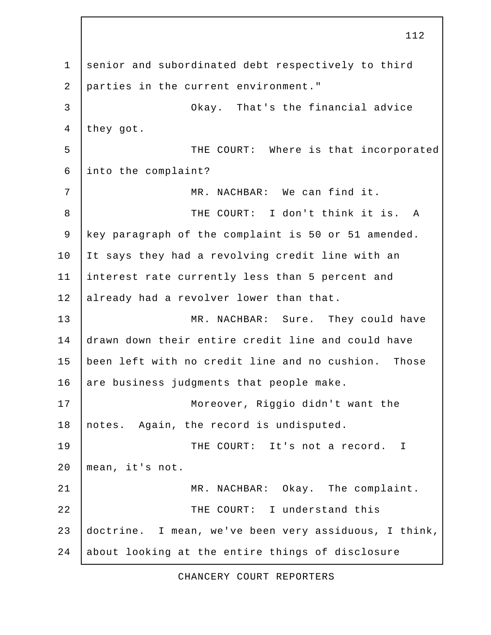1 senior and subordinated debt respectively to third 2 parties in the current environment." 3 Okay. That's the financial advice 4 they got. 5 | THE COURT: Where is that incorporated 6 into the complaint? 7 MR. NACHBAR: We can find it. 8 THE COURT: I don't think it is. A 9 key paragraph of the complaint is 50 or 51 amended. 10 It says they had a revolving credit line with an 11 interest rate currently less than 5 percent and 12 already had a revolver lower than that. 13 MR. NACHBAR: Sure. They could have 14 drawn down their entire credit line and could have 15 been left with no credit line and no cushion. Those 16 are business judgments that people make. 17 Moreover, Riggio didn't want the 18 | notes. Again, the record is undisputed. 19 THE COURT: It's not a record. I 20 mean, it's not. 21 | MR. NACHBAR: Okay. The complaint. 22 | THE COURT: I understand this 23 doctrine. I mean, we've been very assiduous, I think, 24 about looking at the entire things of disclosure

112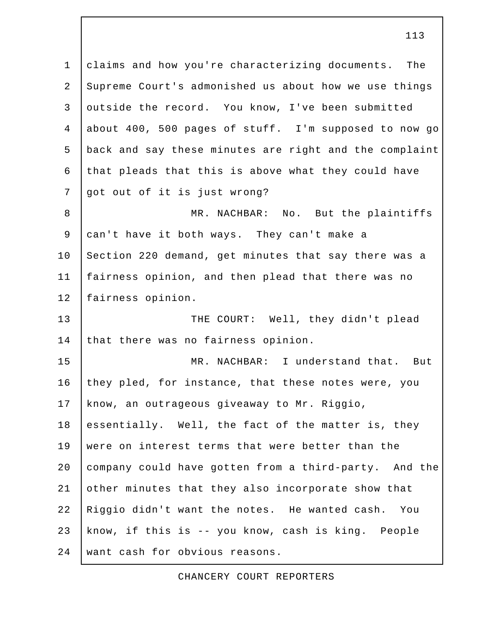1 claims and how you're characterizing documents. The 2 Supreme Court's admonished us about how we use things 3 outside the record. You know, I've been submitted 4 about 400, 500 pages of stuff. I'm supposed to now go 5 back and say these minutes are right and the complaint 6 that pleads that this is above what they could have 7 got out of it is just wrong? 8 MR. NACHBAR: No. But the plaintiffs 9 can't have it both ways. They can't make a 10 Section 220 demand, get minutes that say there was a 11 fairness opinion, and then plead that there was no 12 fairness opinion. 13 THE COURT: Well, they didn't plead 14 that there was no fairness opinion. 15 MR. NACHBAR: I understand that. But 16 they pled, for instance, that these notes were, you 17 know, an outrageous giveaway to Mr. Riggio, 18 essentially. Well, the fact of the matter is, they 19 were on interest terms that were better than the 20 company could have gotten from a third-party. And the 21 other minutes that they also incorporate show that 22 Riggio didn't want the notes. He wanted cash. You 23 know, if this is -- you know, cash is king. People 24 want cash for obvious reasons.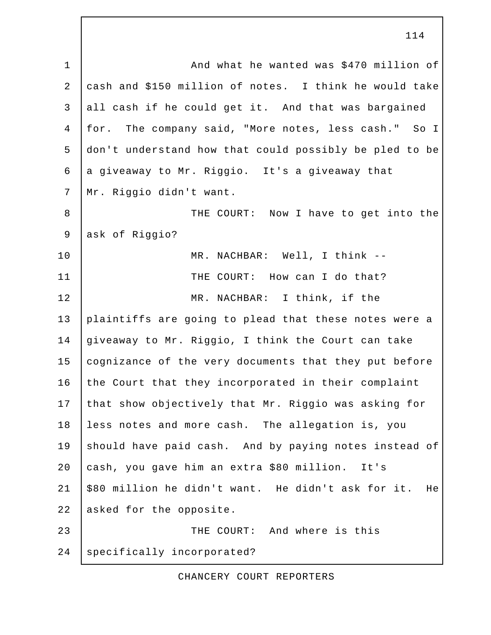1 | And what he wanted was \$470 million of 2 cash and \$150 million of notes. I think he would take 3 all cash if he could get it. And that was bargained 4 for. The company said, "More notes, less cash." So I 5 don't understand how that could possibly be pled to be 6 a giveaway to Mr. Riggio. It's a giveaway that 7 Mr. Riggio didn't want. 8 THE COURT: Now I have to get into the 9 ask of Riggio? 10 | MR. NACHBAR: Well, I think --11 | THE COURT: How can I do that? 12 MR. NACHBAR: I think, if the 13 plaintiffs are going to plead that these notes were a 14 giveaway to Mr. Riggio, I think the Court can take 15 cognizance of the very documents that they put before 16 the Court that they incorporated in their complaint 17 that show objectively that Mr. Riggio was asking for 18 less notes and more cash. The allegation is, you 19 should have paid cash. And by paying notes instead of 20 cash, you gave him an extra \$80 million. It's 21 \$80 million he didn't want. He didn't ask for it. He 22 asked for the opposite. 23 **THE COURT:** And where is this 24 | specifically incorporated?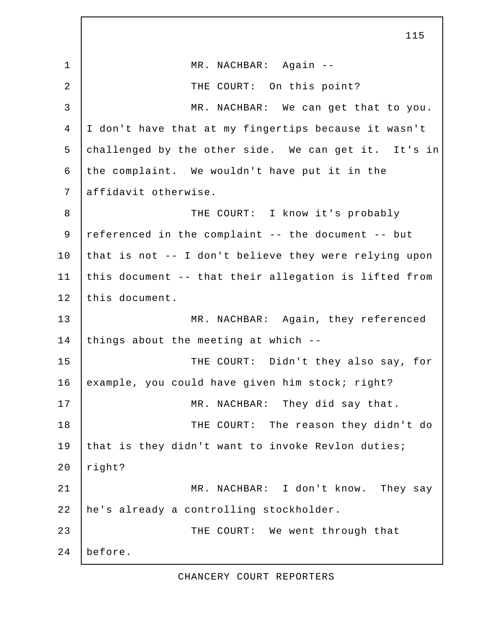1 | MR. NACHBAR: Again --2 | THE COURT: On this point? 3 MR. NACHBAR: We can get that to you. 4 I don't have that at my fingertips because it wasn't 5 challenged by the other side. We can get it. It's in 6 the complaint. We wouldn't have put it in the 7 affidavit otherwise. 8 | THE COURT: I know it's probably 9 referenced in the complaint -- the document -- but 10 that is not  $-$ - I don't believe they were relying upon 11 this document -- that their allegation is lifted from 12 this document. 13 MR. NACHBAR: Again, they referenced 14 things about the meeting at which  $-$ -15 THE COURT: Didn't they also say, for 16 example, you could have given him stock; right? 17 MR. NACHBAR: They did say that. 18 | THE COURT: The reason they didn't do 19 that is they didn't want to invoke Revlon duties;  $20$  right? 21 | MR. NACHBAR: I don't know. They say 22 he's already a controlling stockholder. 23 THE COURT: We went through that 24 before.

115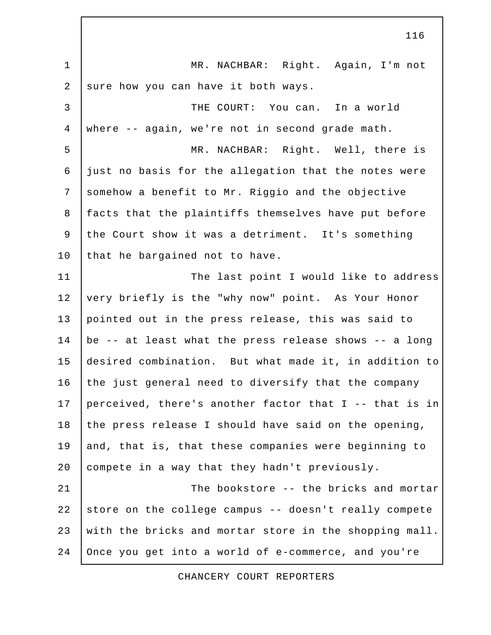|                | 116                                                    |
|----------------|--------------------------------------------------------|
| $\mathbf{1}$   | MR. NACHBAR: Right. Again, I'm not                     |
| $\overline{2}$ | sure how you can have it both ways.                    |
| $\mathsf{3}$   | THE COURT: You can. In a world                         |
| $\overline{4}$ | where -- again, we're not in second grade math.        |
| 5              | MR. NACHBAR: Right. Well, there is                     |
| 6              | just no basis for the allegation that the notes were   |
| $7\phantom{.}$ | somehow a benefit to Mr. Riggio and the objective      |
| $\,8\,$        | facts that the plaintiffs themselves have put before   |
| 9              | the Court show it was a detriment. It's something      |
| 10             | that he bargained not to have.                         |
| 11             | The last point I would like to address                 |
| 12             | very briefly is the "why now" point. As Your Honor     |
| 13             | pointed out in the press release, this was said to     |
| 14             | be -- at least what the press release shows -- a long  |
| 15             | desired combination. But what made it, in addition to  |
| 16             | the just general need to diversify that the company    |
| 17             | perceived, there's another factor that I -- that is in |
| 18             | the press release I should have said on the opening,   |
| 19             | and, that is, that these companies were beginning to   |
| 20             | compete in a way that they hadn't previously.          |
| 21             | The bookstore -- the bricks and mortar                 |
| 22             | store on the college campus -- doesn't really compete  |
| 23             | with the bricks and mortar store in the shopping mall. |
| 24             | Once you get into a world of e-commerce, and you're    |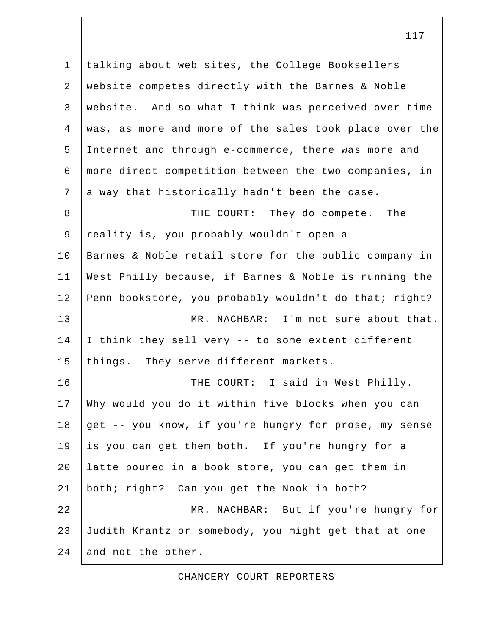1 talking about web sites, the College Booksellers 2 website competes directly with the Barnes & Noble 3 website. And so what I think was perceived over time 4 was, as more and more of the sales took place over the 5 Internet and through e-commerce, there was more and 6 more direct competition between the two companies, in  $7$  a way that historically hadn't been the case. 8 | THE COURT: They do compete. The 9 | reality is, you probably wouldn't open a 10 Barnes & Noble retail store for the public company in 11 West Philly because, if Barnes & Noble is running the 12 Penn bookstore, you probably wouldn't do that; right? 13 MR. NACHBAR: I'm not sure about that. 14 I think they sell very -- to some extent different 15 things. They serve different markets. 16 | THE COURT: I said in West Philly. 17 Why would you do it within five blocks when you can 18 get -- you know, if you're hungry for prose, my sense 19 is you can get them both. If you're hungry for a 20 latte poured in a book store, you can get them in 21 both; right? Can you get the Nook in both? 22 MR. NACHBAR: But if you're hungry for 23 Judith Krantz or somebody, you might get that at one 24 and not the other.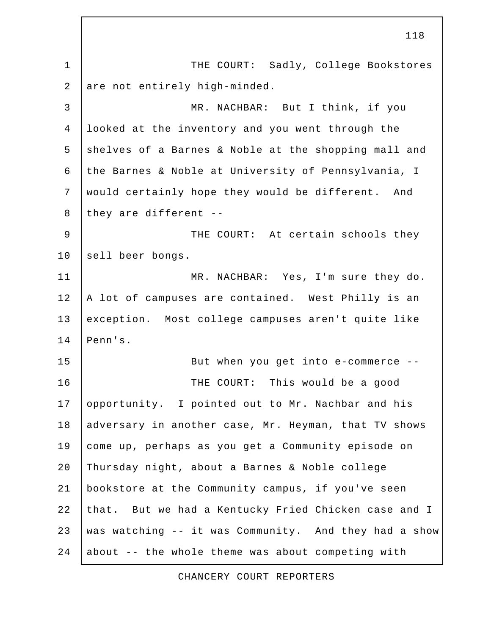118 1 | THE COURT: Sadly, College Bookstores 2 are not entirely high-minded. 3 MR. NACHBAR: But I think, if you 4 looked at the inventory and you went through the 5 shelves of a Barnes & Noble at the shopping mall and 6 the Barnes & Noble at University of Pennsylvania, I 7 would certainly hope they would be different. And 8 they are different  $-$ 9 | THE COURT: At certain schools they 10 sell beer bongs. 11 | MR. NACHBAR: Yes, I'm sure they do. 12 | A lot of campuses are contained. West Philly is an 13 exception. Most college campuses aren't quite like 14 Penn's. 15 | But when you get into e-commerce --16 THE COURT: This would be a good 17 opportunity. I pointed out to Mr. Nachbar and his 18 adversary in another case, Mr. Heyman, that TV shows 19 come up, perhaps as you get a Community episode on 20 Thursday night, about a Barnes & Noble college 21 bookstore at the Community campus, if you've seen 22 that. But we had a Kentucky Fried Chicken case and I 23 was watching -- it was Community. And they had a show  $24$  about -- the whole theme was about competing with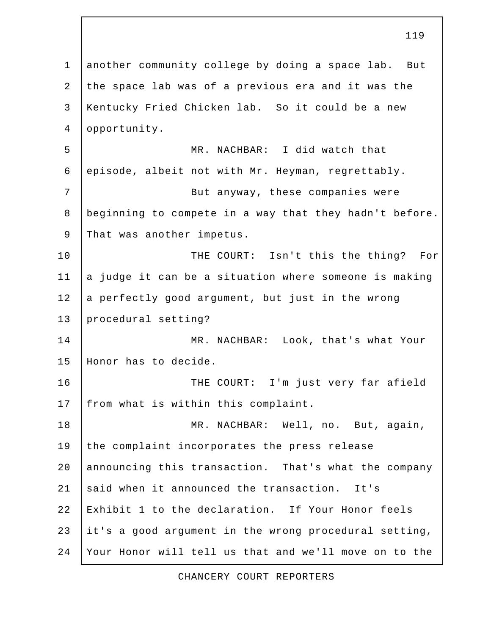1 another community college by doing a space lab. But 2 the space lab was of a previous era and it was the 3 Kentucky Fried Chicken lab. So it could be a new 4 opportunity. 5 MR. NACHBAR: I did watch that 6 episode, albeit not with Mr. Heyman, regrettably. 7 | Sut anyway, these companies were 8 beginning to compete in a way that they hadn't before. 9 That was another impetus. 10 | THE COURT: Isn't this the thing? For  $11$  a judge it can be a situation where someone is making 12 a perfectly good argument, but just in the wrong 13 procedural setting? 14 MR. NACHBAR: Look, that's what Your 15 Honor has to decide. 16 | THE COURT: I'm just very far afield 17 | from what is within this complaint. 18 MR. NACHBAR: Well, no. But, again, 19 the complaint incorporates the press release 20 announcing this transaction. That's what the company 21 said when it announced the transaction. It's 22 Exhibit 1 to the declaration. If Your Honor feels 23 it's a good argument in the wrong procedural setting, 24 Your Honor will tell us that and we'll move on to the

119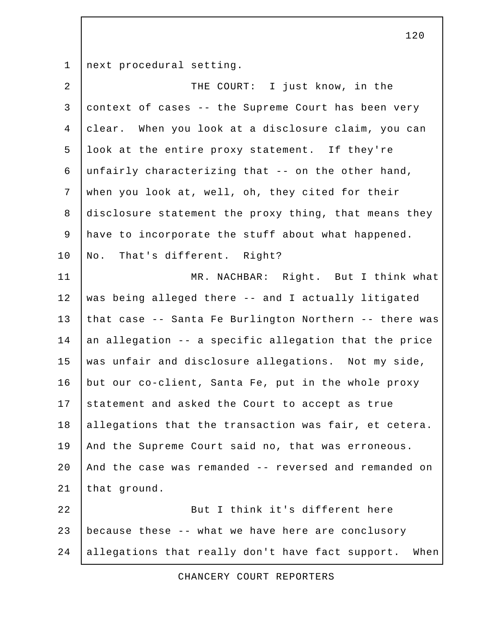1 next procedural setting.

| $\overline{a}$ | THE COURT: I just know, in the                           |
|----------------|----------------------------------------------------------|
| $\mathbf{3}$   | context of cases -- the Supreme Court has been very      |
| 4              | clear. When you look at a disclosure claim, you can      |
| 5              | look at the entire proxy statement. If they're           |
| 6              | unfairly characterizing that -- on the other hand,       |
| $\overline{7}$ | when you look at, well, oh, they cited for their         |
| 8              | disclosure statement the proxy thing, that means they    |
| 9              | have to incorporate the stuff about what happened.       |
| 10             | No. That's different. Right?                             |
| 11             | MR. NACHBAR: Right. But I think what                     |
| 12             | was being alleged there -- and I actually litigated      |
| 13             | that case -- Santa Fe Burlington Northern -- there was   |
| 14             | an allegation -- a specific allegation that the price    |
| 15             | was unfair and disclosure allegations. Not my side,      |
| 16             | but our co-client, Santa Fe, put in the whole proxy      |
| 17             | statement and asked the Court to accept as true          |
| 18             | allegations that the transaction was fair, et cetera.    |
| 19             | And the Supreme Court said no, that was erroneous.       |
| 20             | And the case was remanded -- reversed and remanded on    |
| 21             | that ground.                                             |
| 22             | But I think it's different here                          |
| 23             | because these -- what we have here are conclusory        |
| 24             | allegations that really don't have fact support.<br>When |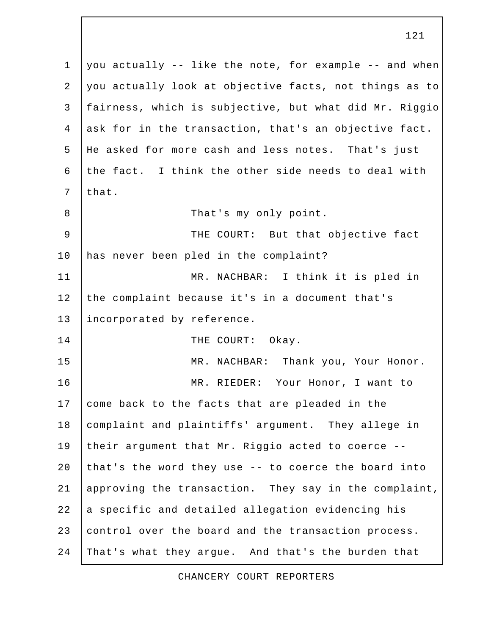1 you actually -- like the note, for example -- and when 2 you actually look at objective facts, not things as to 3 fairness, which is subjective, but what did Mr. Riggio 4 ask for in the transaction, that's an objective fact. 5 He asked for more cash and less notes. That's just 6 the fact. I think the other side needs to deal with  $7$  that. 8 | That's my only point. 9 | THE COURT: But that objective fact 10 has never been pled in the complaint? 11 MR. NACHBAR: I think it is pled in 12 the complaint because it's in a document that's 13 incorporated by reference. 14 THE COURT: Okay. 15 MR. NACHBAR: Thank you, Your Honor. 16 MR. RIEDER: Your Honor, I want to 17 come back to the facts that are pleaded in the 18 complaint and plaintiffs' argument. They allege in 19 their argument that Mr. Riggio acted to coerce -- 20 that's the word they use  $-$ - to coerce the board into 21 approving the transaction. They say in the complaint, 22 a specific and detailed allegation evidencing his 23 control over the board and the transaction process. 24 That's what they argue. And that's the burden that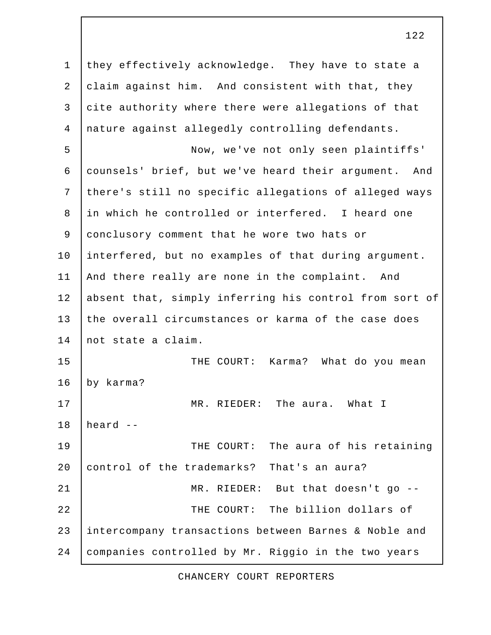1 they effectively acknowledge. They have to state a 2 claim against him. And consistent with that, they 3 cite authority where there were allegations of that 4 nature against allegedly controlling defendants. 5 Now, we've not only seen plaintiffs' 6 counsels' brief, but we've heard their argument. And 7 there's still no specific allegations of alleged ways 8 in which he controlled or interfered. I heard one 9 conclusory comment that he wore two hats or 10 interfered, but no examples of that during argument. 11 | And there really are none in the complaint. And 12 absent that, simply inferring his control from sort of 13 the overall circumstances or karma of the case does 14 not state a claim. 15 THE COURT: Karma? What do you mean 16 by karma? 17 MR. RIEDER: The aura. What I  $18$  | heard  $-$ 19 THE COURT: The aura of his retaining 20 control of the trademarks? That's an aura? 21 | MR. RIEDER: But that doesn't go --22 | THE COURT: The billion dollars of 23 intercompany transactions between Barnes & Noble and 24 companies controlled by Mr. Riggio in the two years

122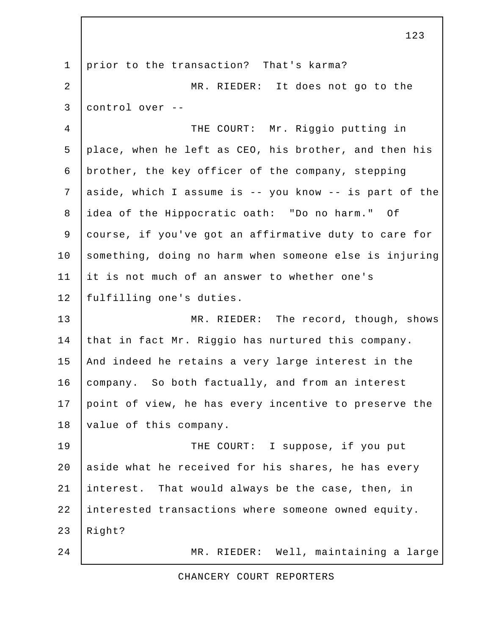1 prior to the transaction? That's karma? 2 MR. RIEDER: It does not go to the 3 control over -- 4 THE COURT: Mr. Riggio putting in 5 place, when he left as CEO, his brother, and then his 6 brother, the key officer of the company, stepping 7 aside, which I assume is -- you know -- is part of the 8 idea of the Hippocratic oath: "Do no harm." Of 9 course, if you've got an affirmative duty to care for 10 something, doing no harm when someone else is injuring 11 it is not much of an answer to whether one's 12 | fulfilling one's duties. 13 MR. RIEDER: The record, though, shows 14 that in fact Mr. Riggio has nurtured this company. 15 | And indeed he retains a very large interest in the 16 company. So both factually, and from an interest 17 point of view, he has every incentive to preserve the 18 | value of this company. 19 THE COURT: I suppose, if you put 20 aside what he received for his shares, he has every 21 interest. That would always be the case, then, in 22 interested transactions where someone owned equity.  $23$  Right? 24 MR. RIEDER: Well, maintaining a large

123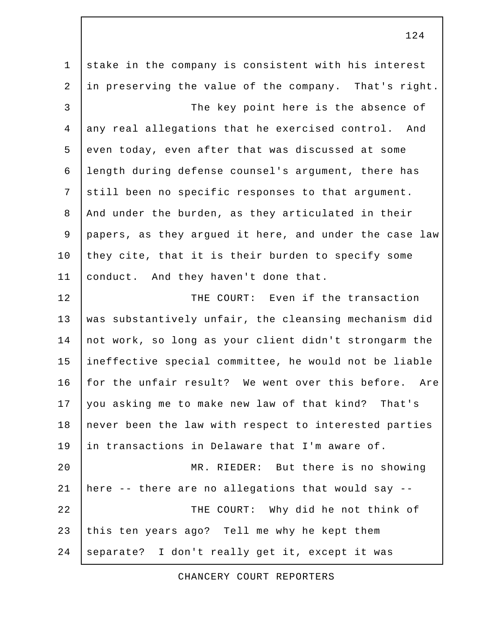1 stake in the company is consistent with his interest 2 in preserving the value of the company. That's right. 3 | The key point here is the absence of 4 any real allegations that he exercised control. And 5 even today, even after that was discussed at some 6 length during defense counsel's argument, there has 7 still been no specific responses to that argument. 8 And under the burden, as they articulated in their 9 papers, as they argued it here, and under the case law 10 they cite, that it is their burden to specify some 11 conduct. And they haven't done that. 12 | THE COURT: Even if the transaction 13 was substantively unfair, the cleansing mechanism did 14 not work, so long as your client didn't strongarm the 15 ineffective special committee, he would not be liable 16 for the unfair result? We went over this before. Are 17 you asking me to make new law of that kind? That's 18 never been the law with respect to interested parties 19 in transactions in Delaware that I'm aware of. 20 MR. RIEDER: But there is no showing 21 | here  $-$ - there are no allegations that would say  $-$ -22 | THE COURT: Why did he not think of 23 this ten years ago? Tell me why he kept them 24 separate? I don't really get it, except it was

CHANCERY COURT REPORTERS

124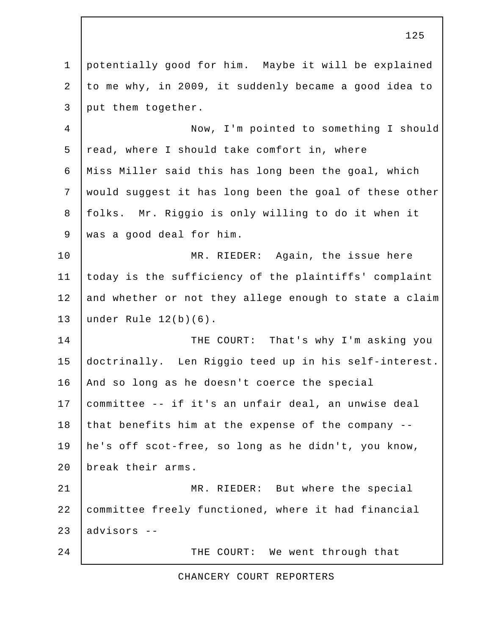1 potentially good for him. Maybe it will be explained 2 to me why, in 2009, it suddenly became a good idea to 3 put them together. 4 Now, I'm pointed to something I should  $5$  read, where I should take comfort in, where 6 Miss Miller said this has long been the goal, which 7 would suggest it has long been the goal of these other 8 folks. Mr. Riggio is only willing to do it when it 9 was a good deal for him. 10 | MR. RIEDER: Again, the issue here 11 today is the sufficiency of the plaintiffs' complaint 12 and whether or not they allege enough to state a claim 13 under Rule 12(b)(6). 14 THE COURT: That's why I'm asking you 15 doctrinally. Len Riggio teed up in his self-interest. 16 And so long as he doesn't coerce the special 17 committee -- if it's an unfair deal, an unwise deal 18 that benefits him at the expense of the company --19 he's off scot-free, so long as he didn't, you know, 20 break their arms. 21 MR. RIEDER: But where the special 22 committee freely functioned, where it had financial 23 advisors -- 24 THE COURT: We went through that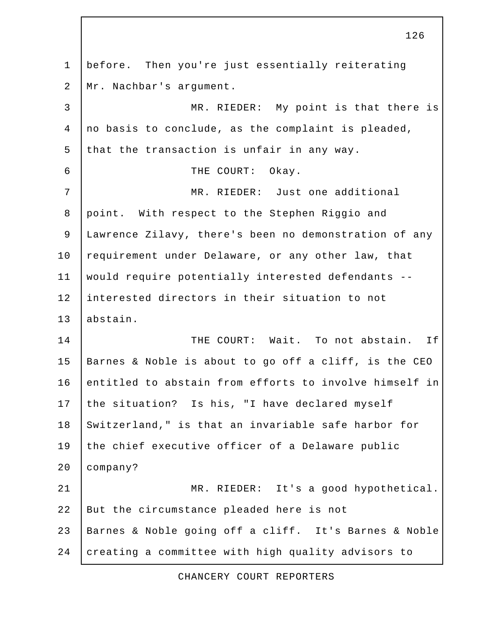1 before. Then you're just essentially reiterating 2 Mr. Nachbar's argument. 3 MR. RIEDER: My point is that there is 4 no basis to conclude, as the complaint is pleaded, 5 that the transaction is unfair in any way. 6 THE COURT: Okay. 7 MR. RIEDER: Just one additional 8 point. With respect to the Stephen Riggio and 9 Lawrence Zilavy, there's been no demonstration of any 10 requirement under Delaware, or any other law, that 11 would require potentially interested defendants -- 12 interested directors in their situation to not 13 abstain. 14 | THE COURT: Wait. To not abstain. If 15 Barnes & Noble is about to go off a cliff, is the CEO 16 entitled to abstain from efforts to involve himself in 17 the situation? Is his, "I have declared myself 18 Switzerland," is that an invariable safe harbor for 19 the chief executive officer of a Delaware public 20 company? 21 MR. RIEDER: It's a good hypothetical. 22 But the circumstance pleaded here is not 23 Barnes & Noble going off a cliff. It's Barnes & Noble 24 creating a committee with high quality advisors to

126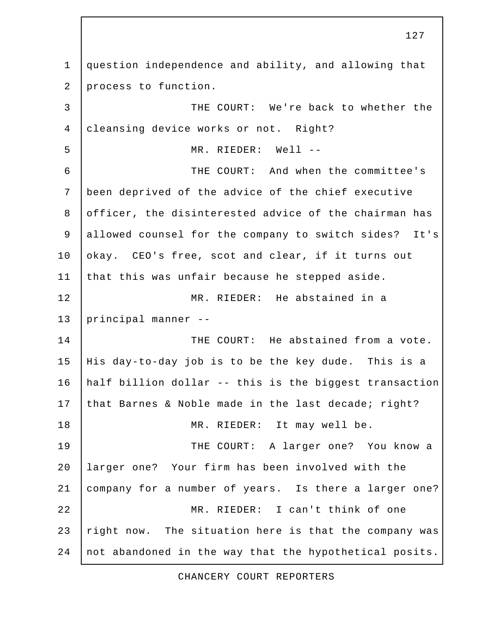1 question independence and ability, and allowing that 2 process to function. 3 THE COURT: We're back to whether the 4 cleansing device works or not. Right? 5 MR. RIEDER: Well -- 6 THE COURT: And when the committee's 7 been deprived of the advice of the chief executive 8 officer, the disinterested advice of the chairman has 9 allowed counsel for the company to switch sides? It's 10 okay. CEO's free, scot and clear, if it turns out 11 that this was unfair because he stepped aside. 12 MR. RIEDER: He abstained in a 13 principal manner -- 14 **THE COURT:** He abstained from a vote. 15 His day-to-day job is to be the key dude. This is a 16 half billion dollar -- this is the biggest transaction 17 that Barnes & Noble made in the last decade; right? 18 MR. RIEDER: It may well be. 19 THE COURT: A larger one? You know a 20 larger one? Your firm has been involved with the 21 company for a number of years. Is there a larger one? 22 MR. RIEDER: I can't think of one 23 right now. The situation here is that the company was 24 not abandoned in the way that the hypothetical posits.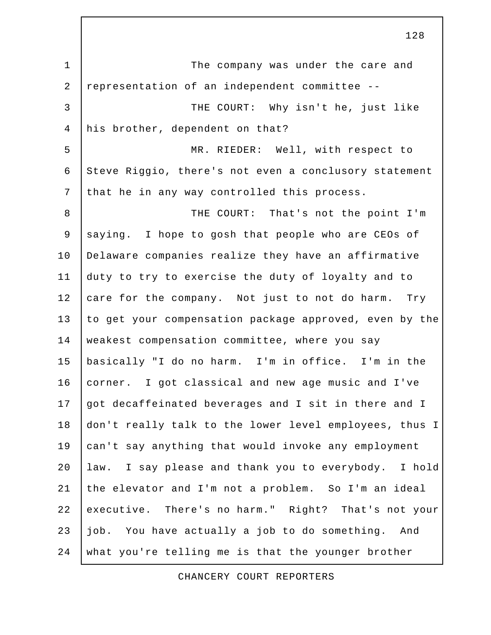1 | The company was under the care and 2 representation of an independent committee -- 3 | THE COURT: Why isn't he, just like 4 his brother, dependent on that? 5 MR. RIEDER: Well, with respect to 6 Steve Riggio, there's not even a conclusory statement 7 that he in any way controlled this process. 8 | THE COURT: That's not the point I'm 9 saying. I hope to gosh that people who are CEOs of 10 Delaware companies realize they have an affirmative 11 duty to try to exercise the duty of loyalty and to 12 care for the company. Not just to not do harm. Try 13 to get your compensation package approved, even by the 14 weakest compensation committee, where you say 15 basically "I do no harm. I'm in office. I'm in the 16 corner. I got classical and new age music and I've 17 got decaffeinated beverages and I sit in there and I 18 don't really talk to the lower level employees, thus I 19 can't say anything that would invoke any employment 20 law. I say please and thank you to everybody. I hold 21 the elevator and I'm not a problem. So I'm an ideal 22 executive. There's no harm." Right? That's not your 23 job. You have actually a job to do something. And 24 what you're telling me is that the younger brother

CHANCERY COURT REPORTERS

128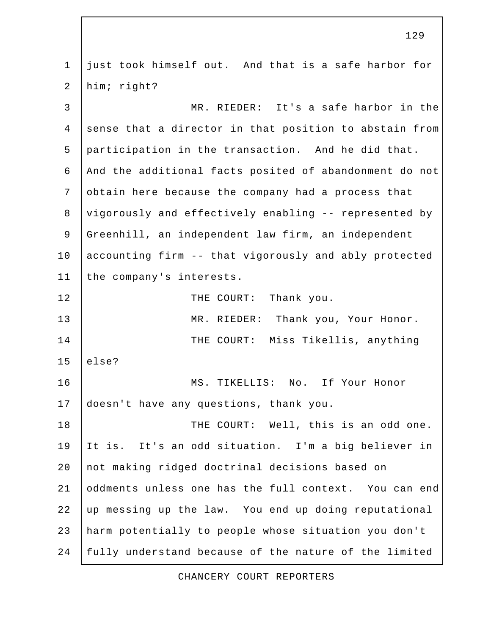1 just took himself out. And that is a safe harbor for 2 him; right? 3 MR. RIEDER: It's a safe harbor in the 4 sense that a director in that position to abstain from 5 participation in the transaction. And he did that. 6 And the additional facts posited of abandonment do not 7 obtain here because the company had a process that 8 vigorously and effectively enabling -- represented by 9 Greenhill, an independent law firm, an independent 10 accounting firm -- that vigorously and ably protected 11 the company's interests. 12 THE COURT: Thank you. 13 MR. RIEDER: Thank you, Your Honor. 14 | THE COURT: Miss Tikellis, anything  $15$  else? 16 MS. TIKELLIS: No. If Your Honor 17 doesn't have any questions, thank you. 18 | THE COURT: Well, this is an odd one. 19 It is. It's an odd situation. I'm a big believer in 20 not making ridged doctrinal decisions based on 21 oddments unless one has the full context. You can end 22 up messing up the law. You end up doing reputational 23 harm potentially to people whose situation you don't 24 fully understand because of the nature of the limited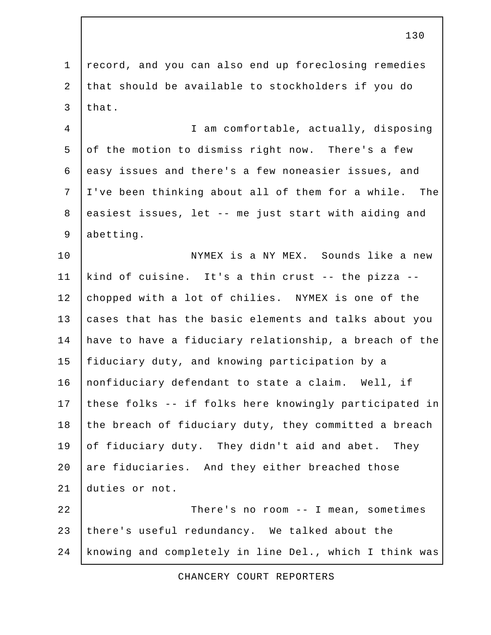1 record, and you can also end up foreclosing remedies 2 that should be available to stockholders if you do 3 that.

 4 I am comfortable, actually, disposing 5 of the motion to dismiss right now. There's a few 6 easy issues and there's a few noneasier issues, and 7 I've been thinking about all of them for a while. The 8 easiest issues, let -- me just start with aiding and 9 abetting.

10 | NYMEX is a NY MEX. Sounds like a new 11 kind of cuisine. It's a thin crust -- the pizza -- 12 chopped with a lot of chilies. NYMEX is one of the 13 cases that has the basic elements and talks about you 14 have to have a fiduciary relationship, a breach of the 15 fiduciary duty, and knowing participation by a 16 | nonfiduciary defendant to state a claim. Well, if 17 these folks -- if folks here knowingly participated in 18 the breach of fiduciary duty, they committed a breach 19 of fiduciary duty. They didn't aid and abet. They 20 are fiduciaries. And they either breached those 21 duties or not.

22 | There's no room -- I mean, sometimes 23 there's useful redundancy. We talked about the 24 knowing and completely in line Del., which I think was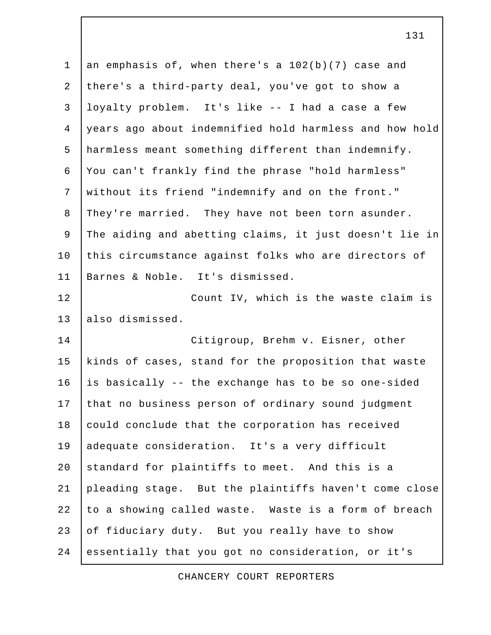1 an emphasis of, when there's a 102(b)(7) case and 2 there's a third-party deal, you've got to show a 3 loyalty problem. It's like -- I had a case a few 4 years ago about indemnified hold harmless and how hold 5 harmless meant something different than indemnify. 6 You can't frankly find the phrase "hold harmless" 7 without its friend "indemnify and on the front." 8 They're married. They have not been torn asunder. 9 The aiding and abetting claims, it just doesn't lie in 10 this circumstance against folks who are directors of 11 Barnes & Noble. It's dismissed. 12 Count IV, which is the waste claim is 13 also dismissed. 14 Citigroup, Brehm v. Eisner, other 15 kinds of cases, stand for the proposition that waste 16  $\vert$  is basically -- the exchange has to be so one-sided 17 that no business person of ordinary sound judgment 18 could conclude that the corporation has received 19 adequate consideration. It's a very difficult 20 standard for plaintiffs to meet. And this is a 21 pleading stage. But the plaintiffs haven't come close 22 to a showing called waste. Waste is a form of breach 23 of fiduciary duty. But you really have to show 24 essentially that you got no consideration, or it's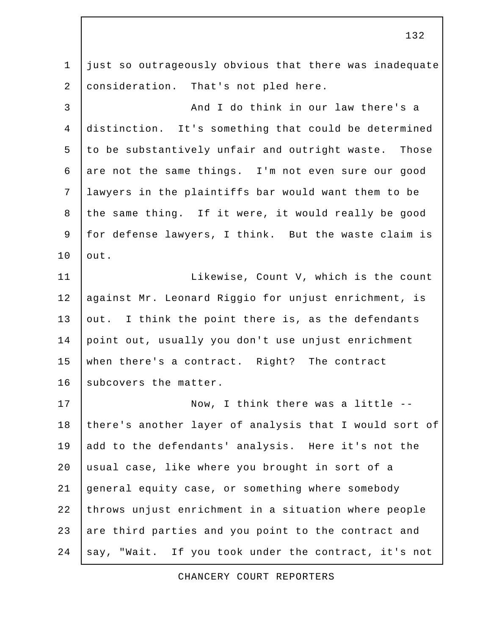1 just so outrageously obvious that there was inadequate 2 | consideration. That's not pled here.

3 | And I do think in our law there's a 4 distinction. It's something that could be determined 5 to be substantively unfair and outright waste. Those 6 are not the same things. I'm not even sure our good 7 lawyers in the plaintiffs bar would want them to be 8 the same thing. If it were, it would really be good 9 for defense lawyers, I think. But the waste claim is 10 | out.

11 | Likewise, Count V, which is the count 12 | against Mr. Leonard Riggio for unjust enrichment, is 13 out. I think the point there is, as the defendants 14 point out, usually you don't use unjust enrichment 15 when there's a contract. Right? The contract 16 subcovers the matter.

17 | Now, I think there was a little --18 there's another layer of analysis that I would sort of 19 add to the defendants' analysis. Here it's not the 20 usual case, like where you brought in sort of a 21 general equity case, or something where somebody 22 throws unjust enrichment in a situation where people 23 are third parties and you point to the contract and 24 say, "Wait. If you took under the contract, it's not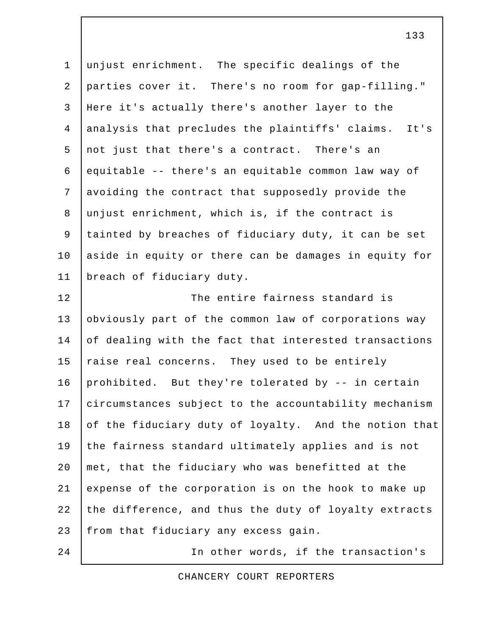1 unjust enrichment. The specific dealings of the 2 parties cover it. There's no room for gap-filling." 3 Here it's actually there's another layer to the 4 analysis that precludes the plaintiffs' claims. It's 5 not just that there's a contract. There's an 6 equitable -- there's an equitable common law way of 7 avoiding the contract that supposedly provide the 8 unjust enrichment, which is, if the contract is 9 tainted by breaches of fiduciary duty, it can be set 10 aside in equity or there can be damages in equity for 11 breach of fiduciary duty. 12 The entire fairness standard is

13 obviously part of the common law of corporations way 14 of dealing with the fact that interested transactions 15  $raise real concerns. They used to be entirely$ 16 prohibited. But they're tolerated by -- in certain 17 circumstances subject to the accountability mechanism 18 of the fiduciary duty of loyalty. And the notion that 19 the fairness standard ultimately applies and is not 20 met, that the fiduciary who was benefitted at the 21 expense of the corporation is on the hook to make up 22 the difference, and thus the duty of loyalty extracts 23 from that fiduciary any excess gain.

24 | The other words, if the transaction's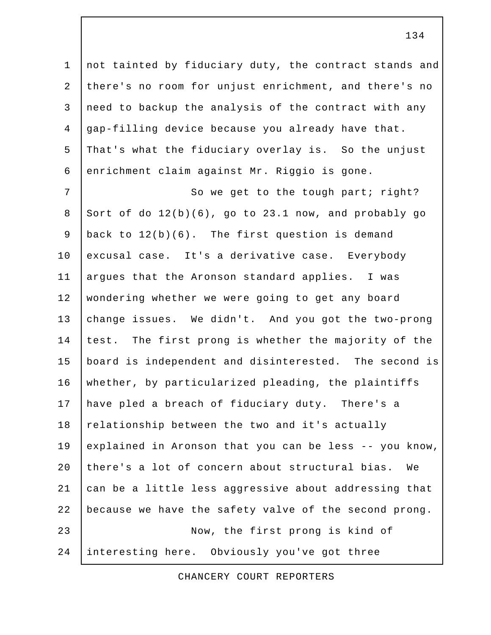1 not tainted by fiduciary duty, the contract stands and 2 there's no room for unjust enrichment, and there's no 3 need to backup the analysis of the contract with any 4 gap-filling device because you already have that. 5 That's what the fiduciary overlay is. So the unjust 6 enrichment claim against Mr. Riggio is gone.

7 | So we get to the tough part; right? 8 Sort of do  $12(b)(6)$ , go to 23.1 now, and probably go 9 back to 12(b)(6). The first question is demand 10 excusal case. It's a derivative case. Everybody 11 argues that the Aronson standard applies. I was 12 wondering whether we were going to get any board 13 change issues. We didn't. And you got the two-prong 14 test. The first prong is whether the majority of the 15 board is independent and disinterested. The second is 16 | whether, by particularized pleading, the plaintiffs 17 have pled a breach of fiduciary duty. There's a 18 relationship between the two and it's actually 19 explained in Aronson that you can be less -- you know, 20 there's a lot of concern about structural bias. We 21 can be a little less aggressive about addressing that 22 because we have the safety valve of the second prong. 23 Now, the first prong is kind of 24 interesting here. Obviously you've got three

CHANCERY COURT REPORTERS

134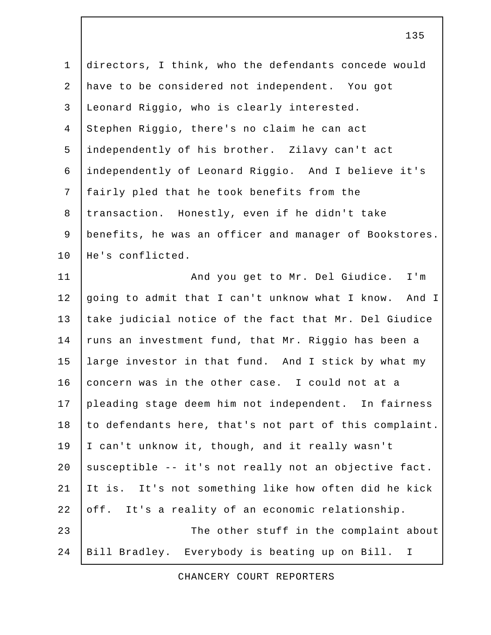1 directors, I think, who the defendants concede would 2 have to be considered not independent. You got 3 Leonard Riggio, who is clearly interested. 4 Stephen Riggio, there's no claim he can act 5 independently of his brother. Zilavy can't act 6 independently of Leonard Riggio. And I believe it's 7 fairly pled that he took benefits from the 8 transaction. Honestly, even if he didn't take 9 | benefits, he was an officer and manager of Bookstores. 10 He's conflicted. 11 | And you get to Mr. Del Giudice. I'm 12 going to admit that I can't unknow what I know. And I 13 take judicial notice of the fact that Mr. Del Giudice 14 runs an investment fund, that Mr. Riggio has been a 15 large investor in that fund. And I stick by what my 16 concern was in the other case. I could not at a 17 pleading stage deem him not independent. In fairness 18 to defendants here, that's not part of this complaint. 19 I can't unknow it, though, and it really wasn't 20 susceptible -- it's not really not an objective fact. 21 It is. It's not something like how often did he kick 22 off. It's a reality of an economic relationship. 23 The other stuff in the complaint about 24 Bill Bradley. Everybody is beating up on Bill. I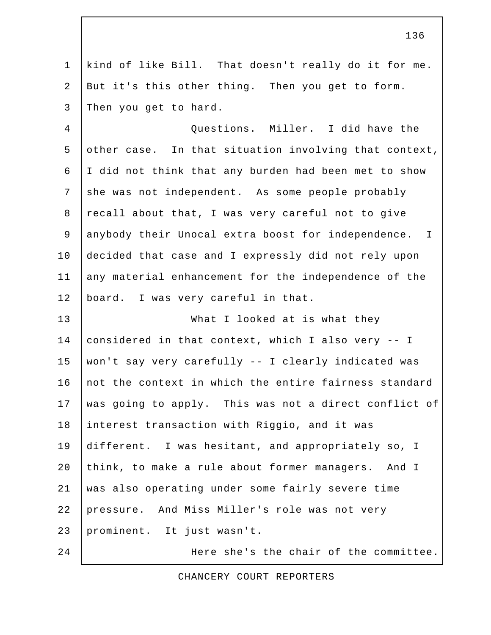1 kind of like Bill. That doesn't really do it for me. 2 But it's this other thing. Then you get to form. 3 Then you get to hard.

 4 Questions. Miller. I did have the 5 other case. In that situation involving that context, 6 I did not think that any burden had been met to show 7 she was not independent. As some people probably 8 recall about that, I was very careful not to give 9 anybody their Unocal extra boost for independence. I 10 decided that case and I expressly did not rely upon 11 any material enhancement for the independence of the 12 | board. I was very careful in that.

13 What I looked at is what they 14 considered in that context, which I also very -- I 15 won't say very carefully -- I clearly indicated was 16 not the context in which the entire fairness standard 17 was going to apply. This was not a direct conflict of 18 interest transaction with Riggio, and it was 19 different. I was hesitant, and appropriately so, I 20 think, to make a rule about former managers. And I 21 was also operating under some fairly severe time 22 pressure. And Miss Miller's role was not very 23 prominent. It just wasn't.

24 Here she's the chair of the committee.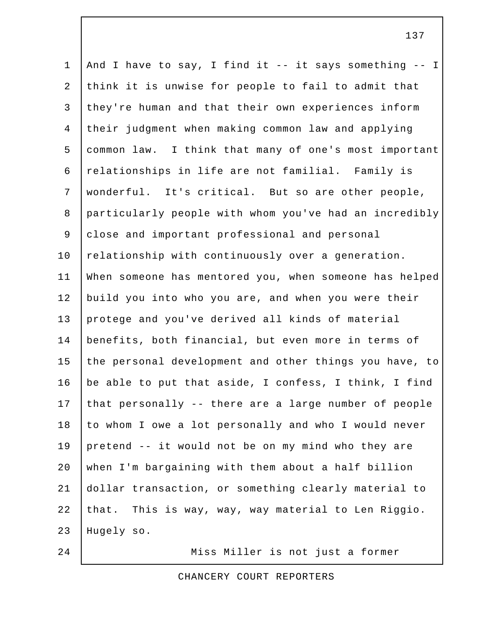1 And I have to say, I find it -- it says something -- I 2 think it is unwise for people to fail to admit that 3 they're human and that their own experiences inform 4 their judgment when making common law and applying 5 common law. I think that many of one's most important 6 relationships in life are not familial. Family is 7 wonderful. It's critical. But so are other people, 8 particularly people with whom you've had an incredibly 9 close and important professional and personal 10 relationship with continuously over a generation. 11 When someone has mentored you, when someone has helped 12 build you into who you are, and when you were their 13 protege and you've derived all kinds of material 14 benefits, both financial, but even more in terms of 15 the personal development and other things you have, to 16 | be able to put that aside, I confess, I think, I find 17 that personally -- there are a large number of people 18 to whom I owe a lot personally and who I would never 19 pretend -- it would not be on my mind who they are 20 when I'm bargaining with them about a half billion 21 dollar transaction, or something clearly material to 22 that. This is way, way, way material to Len Riggio. 23 Hugely so.

24 | Miss Miller is not just a former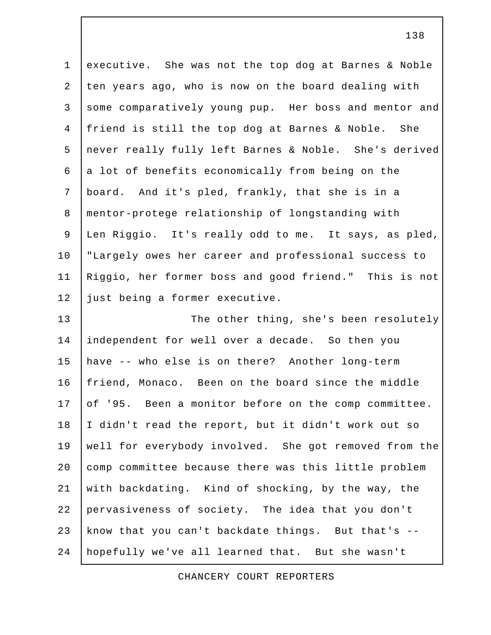1 executive. She was not the top dog at Barnes & Noble 2 ten years ago, who is now on the board dealing with 3 some comparatively young pup. Her boss and mentor and 4 friend is still the top dog at Barnes & Noble. She 5 never really fully left Barnes & Noble. She's derived  $6$  a lot of benefits economically from being on the 7 board. And it's pled, frankly, that she is in a 8 mentor-protege relationship of longstanding with 9 Len Riggio. It's really odd to me. It says, as pled, 10 "Largely owes her career and professional success to 11 Riggio, her former boss and good friend." This is not 12 just being a former executive. 13 | The other thing, she's been resolutely 14 independent for well over a decade. So then you 15 have -- who else is on there? Another long-term

16 friend, Monaco. Been on the board since the middle 17 of '95. Been a monitor before on the comp committee. 18 I didn't read the report, but it didn't work out so 19 well for everybody involved. She got removed from the 20 comp committee because there was this little problem 21 with backdating. Kind of shocking, by the way, the 22 pervasiveness of society. The idea that you don't 23 know that you can't backdate things. But that's -- 24 hopefully we've all learned that. But she wasn't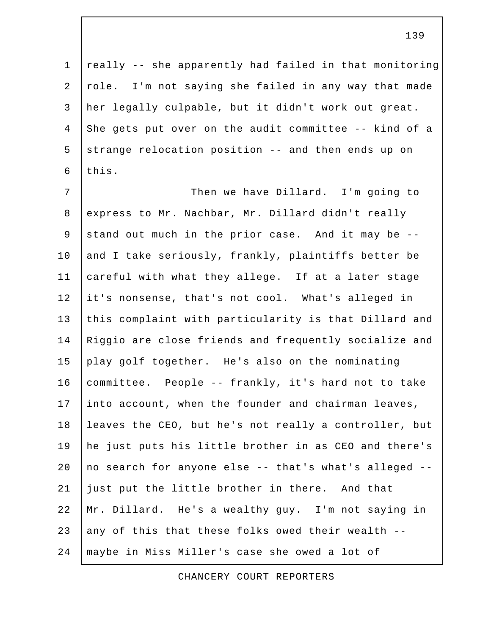1 really -- she apparently had failed in that monitoring 2 role. I'm not saying she failed in any way that made 3 her legally culpable, but it didn't work out great. 4 She gets put over on the audit committee -- kind of a  $5$  strange relocation position -- and then ends up on  $6$  this.

7 | Then we have Dillard. I'm going to 8 express to Mr. Nachbar, Mr. Dillard didn't really 9 stand out much in the prior case. And it may be  $-$ -10 and I take seriously, frankly, plaintiffs better be 11 careful with what they allege. If at a later stage 12 it's nonsense, that's not cool. What's alleged in 13 this complaint with particularity is that Dillard and 14 | Riggio are close friends and frequently socialize and 15 play golf together. He's also on the nominating 16 committee. People -- frankly, it's hard not to take 17 into account, when the founder and chairman leaves, 18 leaves the CEO, but he's not really a controller, but 19 he just puts his little brother in as CEO and there's 20 | no search for anyone else  $-$ - that's what's alleged  $-$ -21 just put the little brother in there. And that 22 Mr. Dillard. He's a wealthy guy. I'm not saying in 23 any of this that these folks owed their wealth --24 maybe in Miss Miller's case she owed a lot of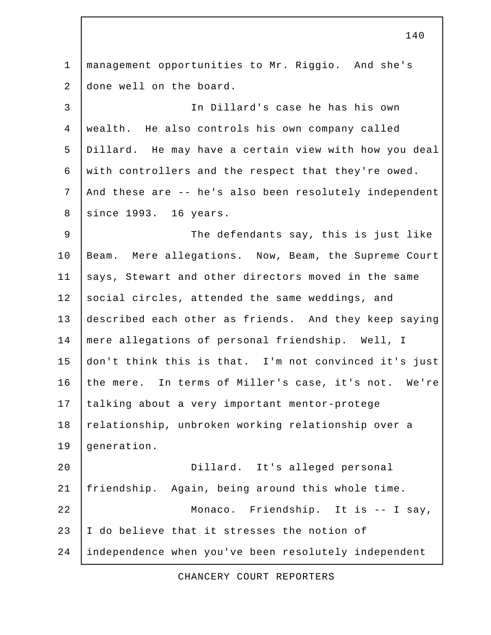1 management opportunities to Mr. Riggio. And she's 2 done well on the board. 3 In Dillard's case he has his own 4 wealth. He also controls his own company called 5 Dillard. He may have a certain view with how you deal 6 with controllers and the respect that they're owed. 7 And these are -- he's also been resolutely independent 8 | since 1993. 16 years. 9 | The defendants say, this is just like 10 Beam. Mere allegations. Now, Beam, the Supreme Court 11 says, Stewart and other directors moved in the same 12 social circles, attended the same weddings, and 13 described each other as friends. And they keep saying 14 mere allegations of personal friendship. Well, I 15 don't think this is that. I'm not convinced it's just 16 the mere. In terms of Miller's case, it's not. We're 17 talking about a very important mentor-protege 18 relationship, unbroken working relationship over a 19 generation. 20 Dillard. It's alleged personal 21 friendship. Again, being around this whole time. 22 Monaco. Friendship. It is -- I say, 23 I do believe that it stresses the notion of 24 independence when you've been resolutely independent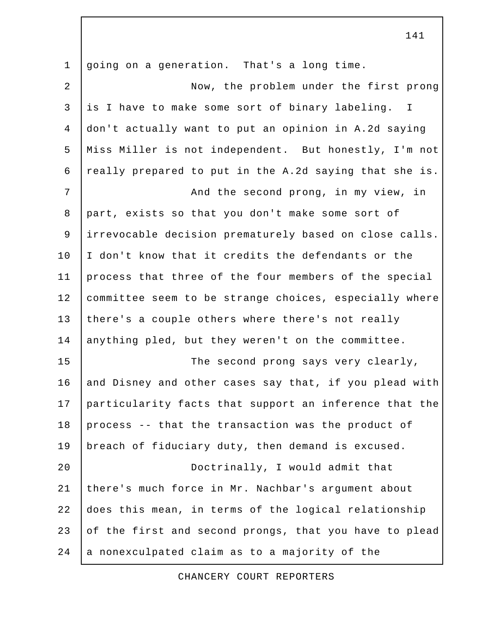1 going on a generation. That's a long time. 2 Now, the problem under the first prong 3 is I have to make some sort of binary labeling. I 4 don't actually want to put an opinion in A.2d saying 5 Miss Miller is not independent. But honestly, I'm not 6 really prepared to put in the A.2d saying that she is. 7 | Constant Policia and the second prong, in my view, in 8 part, exists so that you don't make some sort of 9 irrevocable decision prematurely based on close calls. 10 I don't know that it credits the defendants or the 11 process that three of the four members of the special 12 committee seem to be strange choices, especially where 13 there's a couple others where there's not really 14 anything pled, but they weren't on the committee. 15 The second prong says very clearly, 16 and Disney and other cases say that, if you plead with 17 particularity facts that support an inference that the 18 process -- that the transaction was the product of 19 breach of fiduciary duty, then demand is excused. 20 Doctrinally, I would admit that 21 there's much force in Mr. Nachbar's argument about 22 does this mean, in terms of the logical relationship 23 of the first and second prongs, that you have to plead 24 a nonexculpated claim as to a majority of the

CHANCERY COURT REPORTERS

141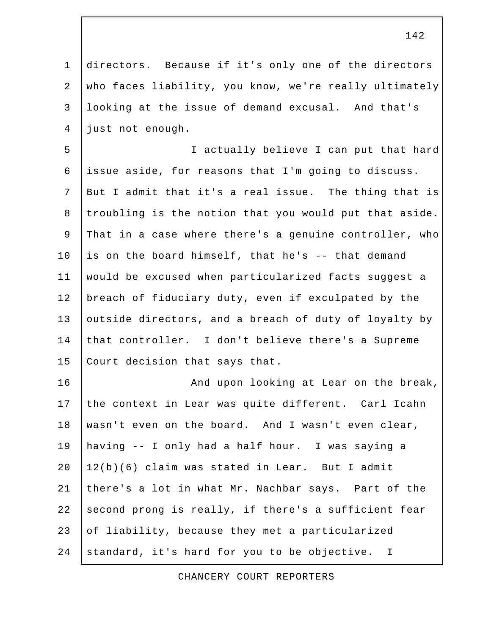1 directors. Because if it's only one of the directors 2 who faces liability, you know, we're really ultimately 3 looking at the issue of demand excusal. And that's 4 just not enough.

 5 I actually believe I can put that hard 6 issue aside, for reasons that I'm going to discuss. 7 But I admit that it's a real issue. The thing that is 8 troubling is the notion that you would put that aside. 9 That in a case where there's a genuine controller, who 10 is on the board himself, that he's  $-$ - that demand 11 would be excused when particularized facts suggest a 12 breach of fiduciary duty, even if exculpated by the 13 outside directors, and a breach of duty of loyalty by 14 that controller. I don't believe there's a Supreme 15 Court decision that says that.

16 | Kand upon looking at Lear on the break, 17 the context in Lear was quite different. Carl Icahn 18 wasn't even on the board. And I wasn't even clear, 19 having -- I only had a half hour. I was saying a  $20$   $\vert$   $12(b)$  (6) claim was stated in Lear. But I admit 21 there's a lot in what Mr. Nachbar says. Part of the 22 second prong is really, if there's a sufficient fear 23 of liability, because they met a particularized 24 standard, it's hard for you to be objective. I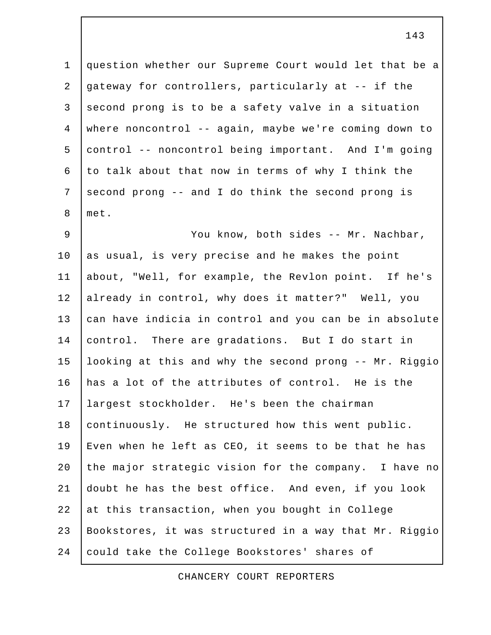1 question whether our Supreme Court would let that be a 2 gateway for controllers, particularly at -- if the  $3$  second prong is to be a safety valve in a situation 4 where noncontrol -- again, maybe we're coming down to 5 control -- noncontrol being important. And I'm going 6 to talk about that now in terms of why I think the 7 second prong -- and I do think the second prong is 8 met.

 9 You know, both sides -- Mr. Nachbar, 10 as usual, is very precise and he makes the point 11 about, "Well, for example, the Revlon point. If he's 12 already in control, why does it matter?" Well, you 13 can have indicia in control and you can be in absolute 14 control. There are gradations. But I do start in 15 looking at this and why the second prong -- Mr. Riggio 16 has a lot of the attributes of control. He is the 17 largest stockholder. He's been the chairman 18 continuously. He structured how this went public. 19 Even when he left as CEO, it seems to be that he has 20 the major strategic vision for the company. I have no 21 doubt he has the best office. And even, if you look 22 at this transaction, when you bought in College 23 Bookstores, it was structured in a way that Mr. Riggio 24 could take the College Bookstores' shares of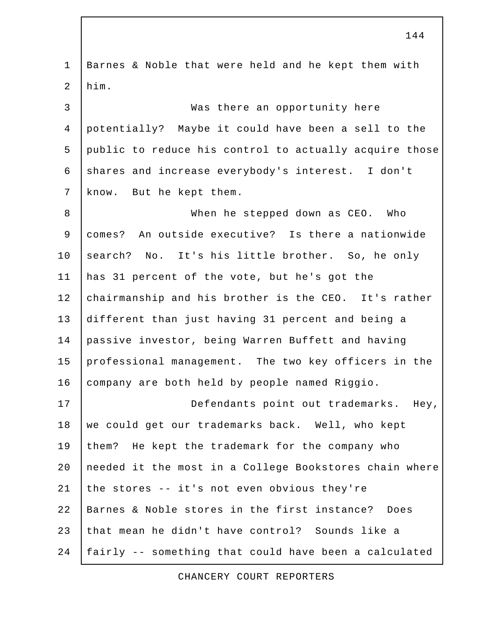1 Barnes & Noble that were held and he kept them with 2 him. 3 Was there an opportunity here 4 potentially? Maybe it could have been a sell to the 5 public to reduce his control to actually acquire those 6 shares and increase everybody's interest. I don't 7 | know. But he kept them. 8 When he stepped down as CEO. Who 9 comes? An outside executive? Is there a nationwide 10 search? No. It's his little brother. So, he only 11 has 31 percent of the vote, but he's got the 12 chairmanship and his brother is the CEO. It's rather 13 different than just having 31 percent and being a 14 passive investor, being Warren Buffett and having 15 professional management. The two key officers in the 16 company are both held by people named Riggio. 17 Defendants point out trademarks. Hey, 18 we could get our trademarks back. Well, who kept 19 them? He kept the trademark for the company who 20 needed it the most in a College Bookstores chain where 21 the stores  $-$  it's not even obvious they're 22 Barnes & Noble stores in the first instance? Does 23 that mean he didn't have control? Sounds like a 24 fairly -- something that could have been a calculated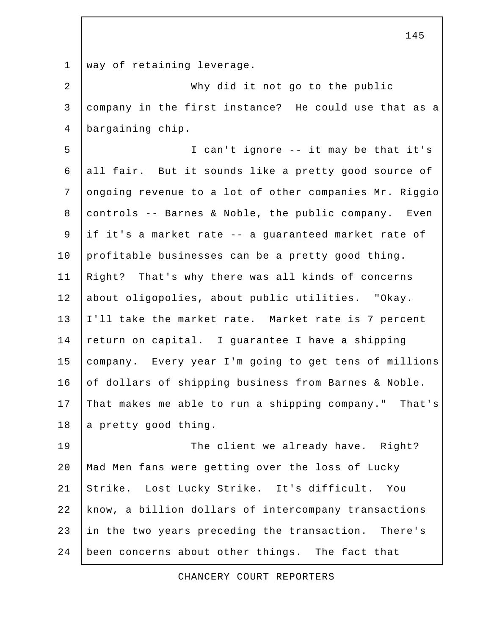1 way of retaining leverage. 2 Why did it not go to the public 3 company in the first instance? He could use that as a 4 bargaining chip. 5 I can't ignore -- it may be that it's 6 all fair. But it sounds like a pretty good source of 7 ongoing revenue to a lot of other companies Mr. Riggio 8 controls -- Barnes & Noble, the public company. Even 9 if it's a market rate -- a guaranteed market rate of 10 profitable businesses can be a pretty good thing. 11 Right? That's why there was all kinds of concerns 12 about oligopolies, about public utilities. "Okay. 13 I'll take the market rate. Market rate is 7 percent 14 return on capital. I guarantee I have a shipping 15 company. Every year I'm going to get tens of millions 16 of dollars of shipping business from Barnes & Noble. 17 That makes me able to run a shipping company." That's 18 a pretty good thing. 19 The client we already have. Right? 20 Mad Men fans were getting over the loss of Lucky 21 Strike. Lost Lucky Strike. It's difficult. You 22 know, a billion dollars of intercompany transactions 23 in the two years preceding the transaction. There's 24 been concerns about other things. The fact that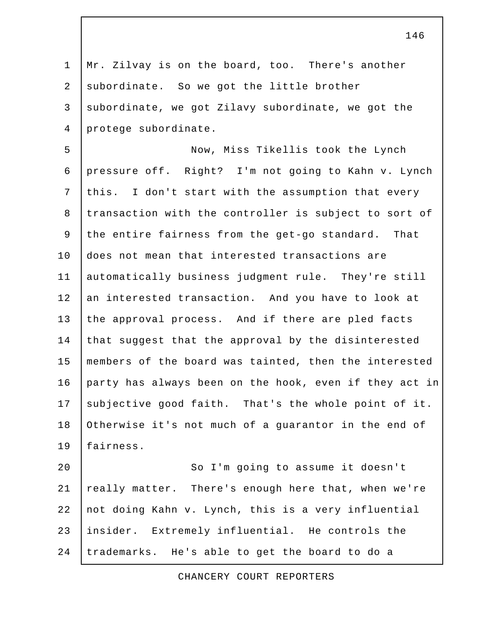1 | Mr. Zilvay is on the board, too. There's another 2 subordinate. So we got the little brother 3 subordinate, we got Zilavy subordinate, we got the 4 protege subordinate. 5 Now, Miss Tikellis took the Lynch

 6 pressure off. Right? I'm not going to Kahn v. Lynch 7 this. I don't start with the assumption that every 8 transaction with the controller is subject to sort of 9 the entire fairness from the get-go standard. That 10 does not mean that interested transactions are 11 automatically business judgment rule. They're still 12 an interested transaction. And you have to look at 13 the approval process. And if there are pled facts 14 that suggest that the approval by the disinterested 15 members of the board was tainted, then the interested 16 party has always been on the hook, even if they act in 17 subjective good faith. That's the whole point of it. 18 Otherwise it's not much of a guarantor in the end of 19 fairness.

20 | So I'm going to assume it doesn't 21 | really matter. There's enough here that, when we're 22 not doing Kahn v. Lynch, this is a very influential 23 insider. Extremely influential. He controls the 24 trademarks. He's able to get the board to do a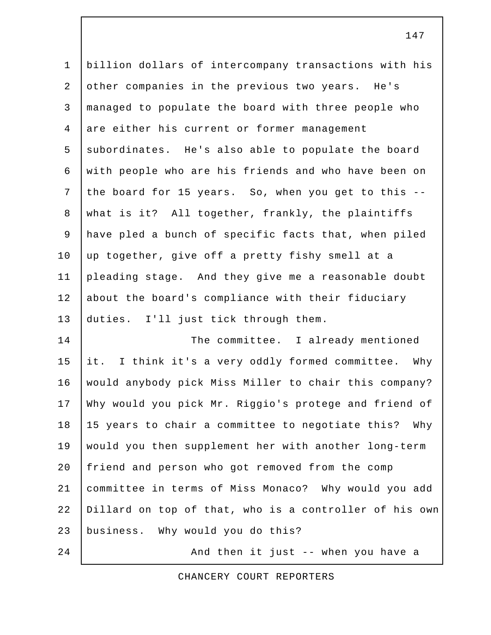1 billion dollars of intercompany transactions with his 2 other companies in the previous two years. He's 3 managed to populate the board with three people who 4 are either his current or former management 5 subordinates. He's also able to populate the board 6 with people who are his friends and who have been on 7 the board for 15 years. So, when you get to this -- 8 what is it? All together, frankly, the plaintiffs 9 have pled a bunch of specific facts that, when piled 10 up together, give off a pretty fishy smell at a 11 pleading stage. And they give me a reasonable doubt 12 about the board's compliance with their fiduciary 13 duties. I'll just tick through them. 14 The committee. I already mentioned 15 it. I think it's a very oddly formed committee. Why

16 would anybody pick Miss Miller to chair this company? 17 Why would you pick Mr. Riggio's protege and friend of 18 15 years to chair a committee to negotiate this? Why 19 would you then supplement her with another long-term 20 friend and person who got removed from the comp 21 committee in terms of Miss Monaco? Why would you add 22 Dillard on top of that, who is a controller of his own 23 business. Why would you do this?

24 | And then it just -- when you have a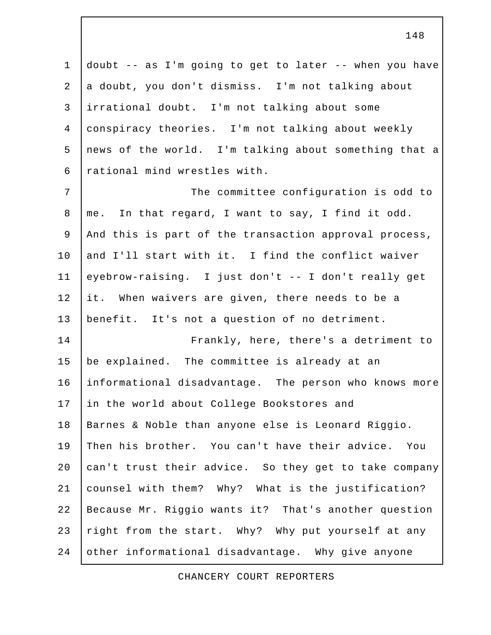1 doubt -- as I'm going to get to later -- when you have 2 a doubt, you don't dismiss. I'm not talking about 3 irrational doubt. I'm not talking about some 4 conspiracy theories. I'm not talking about weekly 5 news of the world. I'm talking about something that a 6 rational mind wrestles with. 7 | The committee configuration is odd to 8 me. In that regard, I want to say, I find it odd. 9 And this is part of the transaction approval process, 10 and I'll start with it. I find the conflict waiver 11 eyebrow-raising. I just don't -- I don't really get 12 it. When waivers are given, there needs to be a 13 benefit. It's not a question of no detriment. 14 Frankly, here, there's a detriment to 15 be explained. The committee is already at an 16 informational disadvantage. The person who knows more 17 in the world about College Bookstores and 18 | Barnes & Noble than anyone else is Leonard Riggio. 19 Then his brother. You can't have their advice. You

20 can't trust their advice. So they get to take company 21 counsel with them? Why? What is the justification? 22 Because Mr. Riggio wants it? That's another question 23 right from the start. Why? Why put yourself at any 24 other informational disadvantage. Why give anyone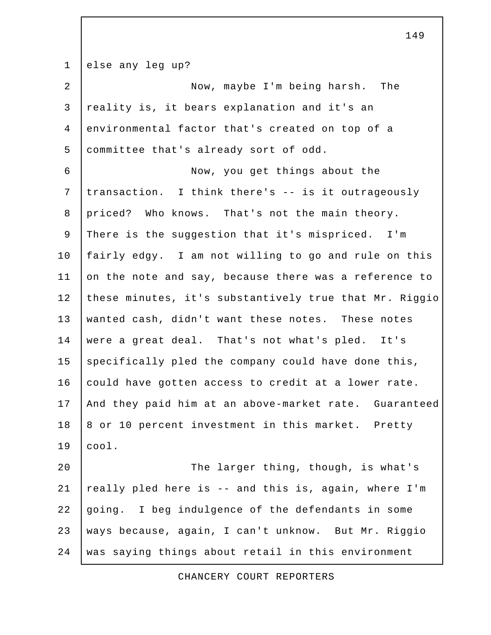1 else any leg up? 2 Now, maybe I'm being harsh. The 3 reality is, it bears explanation and it's an 4 environmental factor that's created on top of a 5 committee that's already sort of odd. 6 Now, you get things about the 7 transaction. I think there's -- is it outrageously 8 priced? Who knows. That's not the main theory. 9 There is the suggestion that it's mispriced. I'm 10 fairly edgy. I am not willing to go and rule on this 11 on the note and say, because there was a reference to 12 these minutes, it's substantively true that Mr. Riggio 13 wanted cash, didn't want these notes. These notes 14 were a great deal. That's not what's pled. It's  $15$  specifically pled the company could have done this, 16 could have gotten access to credit at a lower rate. 17 And they paid him at an above-market rate. Guaranteed 18 | 8 or 10 percent investment in this market. Pretty 19 cool. 20 The larger thing, though, is what's 21 | really pled here is  $-$  and this is, again, where I'm 22 going. I beg indulgence of the defendants in some 23 | ways because, again, I can't unknow. But Mr. Riggio 24 was saying things about retail in this environment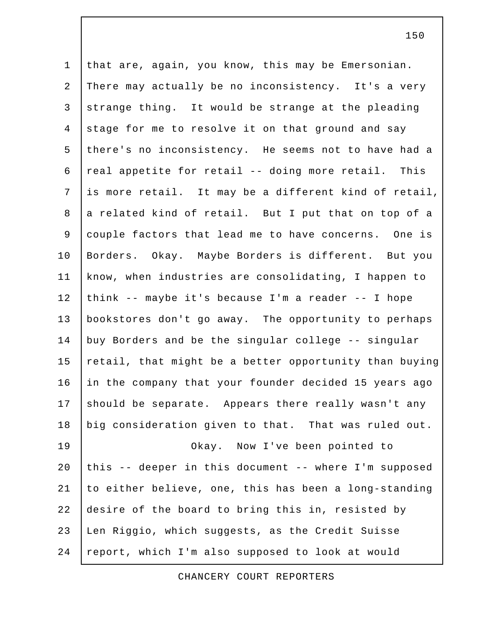1 that are, again, you know, this may be Emersonian. 2 There may actually be no inconsistency. It's a very 3 strange thing. It would be strange at the pleading 4 stage for me to resolve it on that ground and say 5 there's no inconsistency. He seems not to have had a 6  $|$  real appetite for retail -- doing more retail. This 7 is more retail. It may be a different kind of retail, 8 a related kind of retail. But I put that on top of a 9 couple factors that lead me to have concerns. One is 10 Borders. Okay. Maybe Borders is different. But you 11 know, when industries are consolidating, I happen to 12 think -- maybe it's because I'm a reader -- I hope 13 bookstores don't go away. The opportunity to perhaps 14 buy Borders and be the singular college -- singular 15 retail, that might be a better opportunity than buying 16 in the company that your founder decided 15 years ago 17 should be separate. Appears there really wasn't any 18 big consideration given to that. That was ruled out. 19 Okay. Now I've been pointed to 20 this -- deeper in this document -- where I'm supposed 21 to either believe, one, this has been a long-standing 22 desire of the board to bring this in, resisted by 23 Len Riggio, which suggests, as the Credit Suisse 24 report, which I'm also supposed to look at would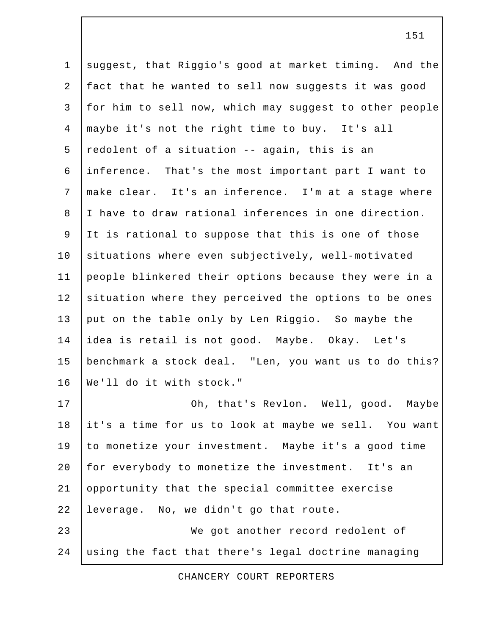1 suggest, that Riggio's good at market timing. And the 2 fact that he wanted to sell now suggests it was good 3 for him to sell now, which may suggest to other people 4 maybe it's not the right time to buy. It's all 5 redolent of a situation  $-$ - again, this is an 6 inference. That's the most important part I want to 7 make clear. It's an inference. I'm at a stage where 8 I have to draw rational inferences in one direction. 9 It is rational to suppose that this is one of those 10 situations where even subjectively, well-motivated 11 people blinkered their options because they were in a 12 situation where they perceived the options to be ones 13 put on the table only by Len Riggio. So maybe the 14 idea is retail is not good. Maybe. Okay. Let's 15 benchmark a stock deal. "Len, you want us to do this? 16 We'll do it with stock." 17 | Ch, that's Revlon. Well, good. Maybe 18 it's a time for us to look at maybe we sell. You want 19 to monetize your investment. Maybe it's a good time 20 for everybody to monetize the investment. It's an 21 opportunity that the special committee exercise 22 leverage. No, we didn't go that route. 23 We got another record redolent of

CHANCERY COURT REPORTERS

24 using the fact that there's legal doctrine managing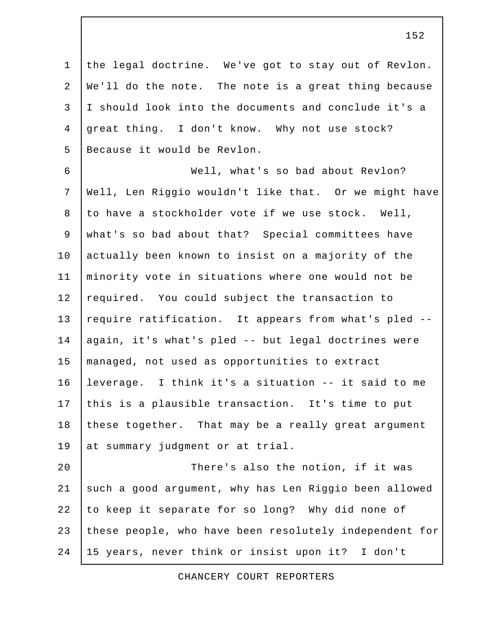1 the legal doctrine. We've got to stay out of Revlon. 2 We'll do the note. The note is a great thing because 3 I should look into the documents and conclude it's a 4 great thing. I don't know. Why not use stock? 5 Because it would be Revlon.

 6 Well, what's so bad about Revlon? 7 Well, Len Riggio wouldn't like that. Or we might have 8 to have a stockholder vote if we use stock. Well, 9 what's so bad about that? Special committees have 10 actually been known to insist on a majority of the 11 minority vote in situations where one would not be 12 required. You could subject the transaction to 13 require ratification. It appears from what's pled --14 | again, it's what's pled -- but legal doctrines were 15 managed, not used as opportunities to extract 16 leverage. I think it's a situation -- it said to me 17 this is a plausible transaction. It's time to put 18 these together. That may be a really great argument 19 at summary judgment or at trial.

20 | There's also the notion, if it was 21 | such a good argument, why has Len Riggio been allowed 22 to keep it separate for so long? Why did none of 23 these people, who have been resolutely independent for 24 15 years, never think or insist upon it? I don't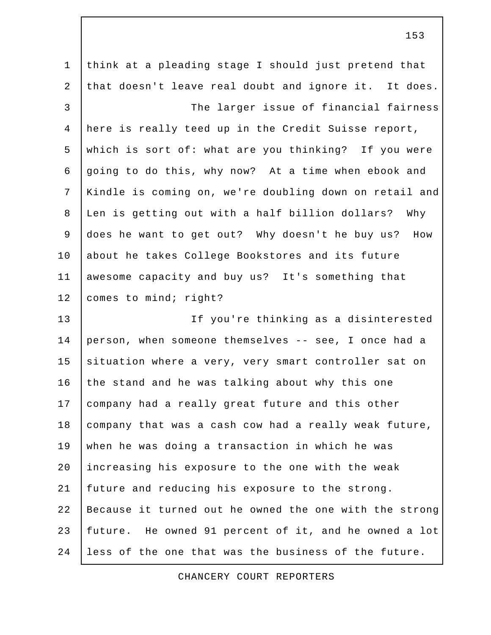1 think at a pleading stage I should just pretend that 2 that doesn't leave real doubt and ignore it. It does. 3 The larger issue of financial fairness 4 here is really teed up in the Credit Suisse report, 5 which is sort of: what are you thinking? If you were 6 going to do this, why now? At a time when ebook and 7 Kindle is coming on, we're doubling down on retail and 8 Len is getting out with a half billion dollars? Why 9 does he want to get out? Why doesn't he buy us? How 10 about he takes College Bookstores and its future 11 awesome capacity and buy us? It's something that 12 | comes to mind; right? 13 If you're thinking as a disinterested 14 person, when someone themselves -- see, I once had a 15 situation where a very, very smart controller sat on 16 the stand and he was talking about why this one 17 company had a really great future and this other 18 company that was a cash cow had a really weak future, 19 when he was doing a transaction in which he was 20 increasing his exposure to the one with the weak 21 future and reducing his exposure to the strong. 22 Because it turned out he owned the one with the strong 23 future. He owned 91 percent of it, and he owned a lot 24 less of the one that was the business of the future.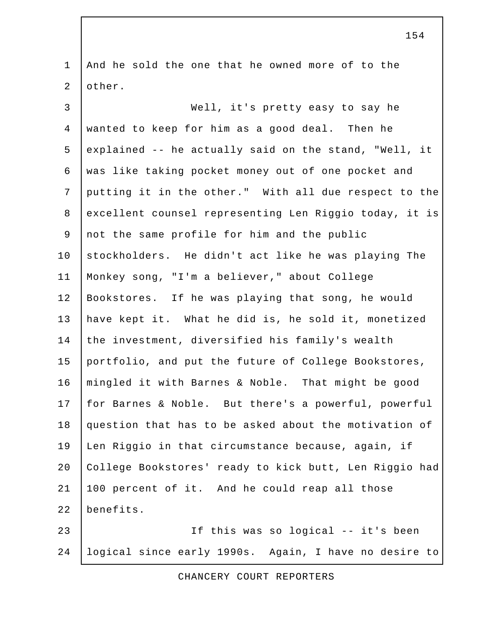1 And he sold the one that he owned more of to the 2 other. 3 Well, it's pretty easy to say he 4 wanted to keep for him as a good deal. Then he 5 explained  $-$  he actually said on the stand, "Well, it 6 was like taking pocket money out of one pocket and 7 putting it in the other." With all due respect to the 8 excellent counsel representing Len Riggio today, it is 9 not the same profile for him and the public 10 stockholders. He didn't act like he was playing The 11 Monkey song, "I'm a believer," about College 12 Bookstores. If he was playing that song, he would 13 have kept it. What he did is, he sold it, monetized 14 the investment, diversified his family's wealth 15 portfolio, and put the future of College Bookstores, 16 mingled it with Barnes & Noble. That might be good 17 for Barnes & Noble. But there's a powerful, powerful 18 question that has to be asked about the motivation of 19 Len Riggio in that circumstance because, again, if 20 College Bookstores' ready to kick butt, Len Riggio had 21 100 percent of it. And he could reap all those 22 benefits. 23 If this was so logical -- it's been 24 logical since early 1990s. Again, I have no desire to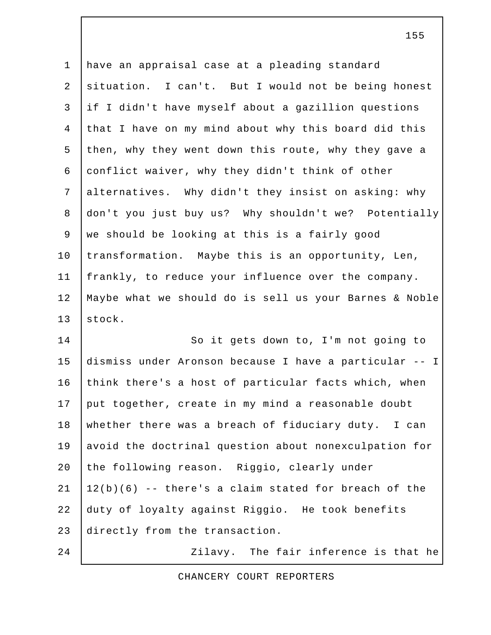1 have an appraisal case at a pleading standard 2 situation. I can't. But I would not be being honest 3 if I didn't have myself about a gazillion questions 4 that I have on my mind about why this board did this 5 then, why they went down this route, why they gave a 6 conflict waiver, why they didn't think of other 7 alternatives. Why didn't they insist on asking: why 8 don't you just buy us? Why shouldn't we? Potentially 9 we should be looking at this is a fairly good 10 transformation. Maybe this is an opportunity, Len, 11 frankly, to reduce your influence over the company. 12 Maybe what we should do is sell us your Barnes & Noble 13 stock.

14 So it gets down to, I'm not going to 15 dismiss under Aronson because I have a particular -- I 16 think there's a host of particular facts which, when 17 put together, create in my mind a reasonable doubt 18 whether there was a breach of fiduciary duty. I can 19 avoid the doctrinal question about nonexculpation for 20 the following reason. Riggio, clearly under  $21 \mid 12(b)(6)$  -- there's a claim stated for breach of the 22 duty of loyalty against Riggio. He took benefits 23 directly from the transaction. 24 | Zilavy. The fair inference is that he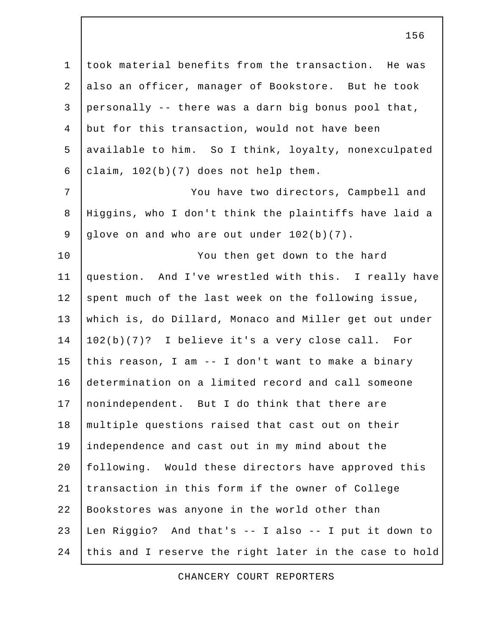1 took material benefits from the transaction. He was 2 also an officer, manager of Bookstore. But he took 3 personally  $-$  there was a darn big bonus pool that, 4 but for this transaction, would not have been 5 | available to him. So I think, loyalty, nonexculpated 6  $clain, 102(b)(7)$  does not help them.

7 | You have two directors, Campbell and 8 Higgins, who I don't think the plaintiffs have laid a 9 glove on and who are out under 102(b)(7).

10 | You then get down to the hard 11 question. And I've wrestled with this. I really have 12 spent much of the last week on the following issue, 13 which is, do Dillard, Monaco and Miller get out under 14 102(b)(7)? I believe it's a very close call. For 15 this reason, I am  $-$  I don't want to make a binary 16 determination on a limited record and call someone 17 | nonindependent. But I do think that there are 18 multiple questions raised that cast out on their 19 independence and cast out in my mind about the 20 | following. Would these directors have approved this 21 transaction in this form if the owner of College 22 Bookstores was anyone in the world other than 23 Len Riggio? And that's -- I also -- I put it down to 24 this and I reserve the right later in the case to hold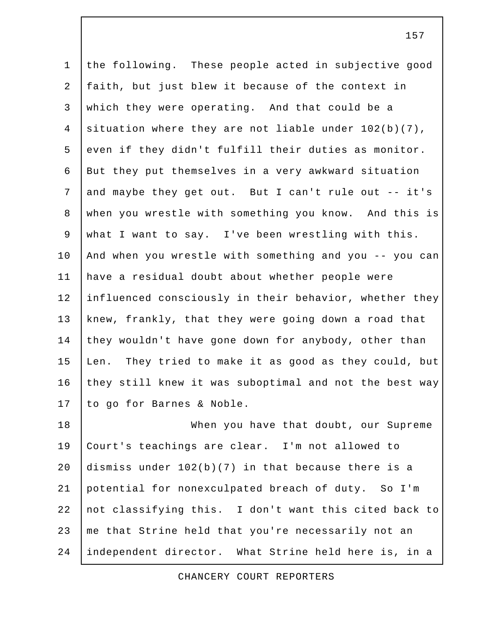1 the following. These people acted in subjective good 2 faith, but just blew it because of the context in 3 which they were operating. And that could be a 4 situation where they are not liable under 102(b)(7), 5 even if they didn't fulfill their duties as monitor. 6 But they put themselves in a very awkward situation 7 and maybe they get out. But I can't rule out -- it's 8 when you wrestle with something you know. And this is 9 what I want to say. I've been wrestling with this. 10 And when you wrestle with something and you -- you can 11 have a residual doubt about whether people were 12 influenced consciously in their behavior, whether they 13 knew, frankly, that they were going down a road that 14 they wouldn't have gone down for anybody, other than 15 Len. They tried to make it as good as they could, but 16 they still knew it was suboptimal and not the best way 17 to go for Barnes & Noble. 18 When you have that doubt, our Supreme 19 Court's teachings are clear. I'm not allowed to 20 dismiss under  $102(b)(7)$  in that because there is a 21 potential for nonexculpated breach of duty. So I'm

22 not classifying this. I don't want this cited back to 23 | me that Strine held that you're necessarily not an 24 independent director. What Strine held here is, in a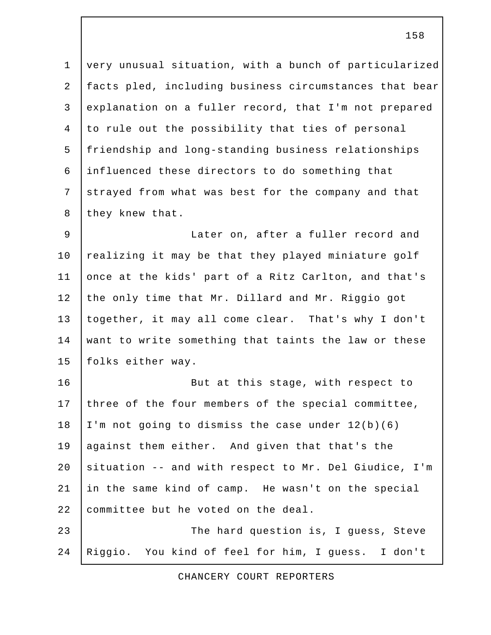1 very unusual situation, with a bunch of particularized 2 facts pled, including business circumstances that bear 3 explanation on a fuller record, that I'm not prepared 4 to rule out the possibility that ties of personal 5 friendship and long-standing business relationships 6 influenced these directors to do something that 7 strayed from what was best for the company and that 8 they knew that.

 9 Later on, after a fuller record and 10  $r_{\text{e}}$  realizing it may be that they played miniature golf 11 once at the kids' part of a Ritz Carlton, and that's 12 the only time that Mr. Dillard and Mr. Riggio got 13 together, it may all come clear. That's why I don't 14 want to write something that taints the law or these 15 folks either way.

16 | Rut at this stage, with respect to 17 three of the four members of the special committee, 18 | I'm not going to dismiss the case under  $12(b)(6)$ 19 against them either. And given that that's the 20 situation -- and with respect to Mr. Del Giudice, I'm 21 in the same kind of camp. He wasn't on the special 22 committee but he voted on the deal. 23 The hard question is, I quess, Steve

24 Riggio. You kind of feel for him, I guess. I don't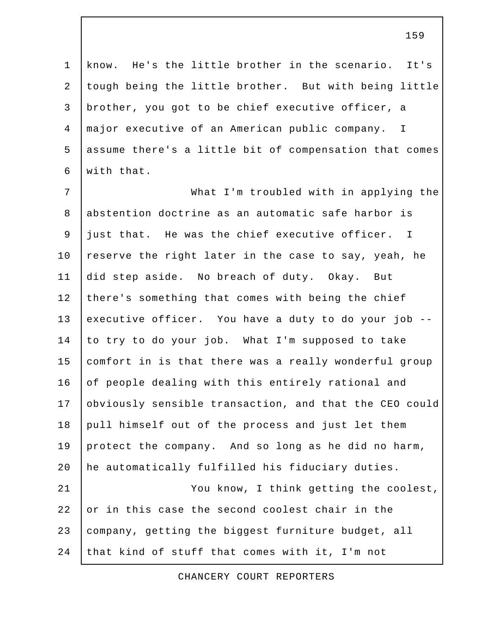1 know. He's the little brother in the scenario. It's 2 tough being the little brother. But with being little 3 brother, you got to be chief executive officer, a 4 major executive of an American public company. I 5 assume there's a little bit of compensation that comes 6 with that.

 7 What I'm troubled with in applying the 8 abstention doctrine as an automatic safe harbor is 9 just that. He was the chief executive officer. I 10 reserve the right later in the case to say, yeah, he 11 did step aside. No breach of duty. Okay. But 12 there's something that comes with being the chief 13 executive officer. You have a duty to do your job -- 14 to try to do your job. What I'm supposed to take 15 comfort in is that there was a really wonderful group 16 of people dealing with this entirely rational and 17 obviously sensible transaction, and that the CEO could 18 pull himself out of the process and just let them 19 protect the company. And so long as he did no harm, 20 he automatically fulfilled his fiduciary duties. 21 | You know, I think getting the coolest, 22 or in this case the second coolest chair in the 23 company, getting the biggest furniture budget, all 24 that kind of stuff that comes with it, I'm not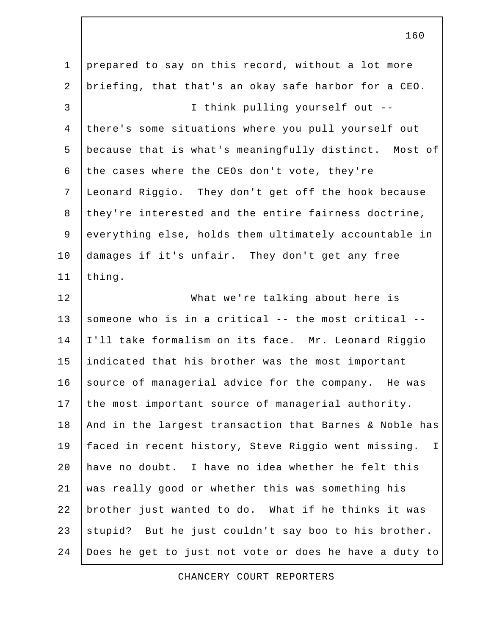1 prepared to say on this record, without a lot more 2 briefing, that that's an okay safe harbor for a CEO. 3 I think pulling yourself out -- 4 there's some situations where you pull yourself out 5 because that is what's meaningfully distinct. Most of 6 the cases where the CEOs don't vote, they're 7 Leonard Riggio. They don't get off the hook because 8 they're interested and the entire fairness doctrine, 9 everything else, holds them ultimately accountable in 10 damages if it's unfair. They don't get any free 11 | thing. 12 What we're talking about here is 13 someone who is in a critical  $-$ - the most critical  $-$ -14 I'll take formalism on its face. Mr. Leonard Riggio 15 indicated that his brother was the most important 16 source of managerial advice for the company. He was 17 the most important source of managerial authority. 18 | And in the largest transaction that Barnes & Noble has 19 faced in recent history, Steve Riggio went missing. I 20 have no doubt. I have no idea whether he felt this 21 was really good or whether this was something his 22 brother just wanted to do. What if he thinks it was 23 stupid? But he just couldn't say boo to his brother. 24 Does he get to just not vote or does he have a duty to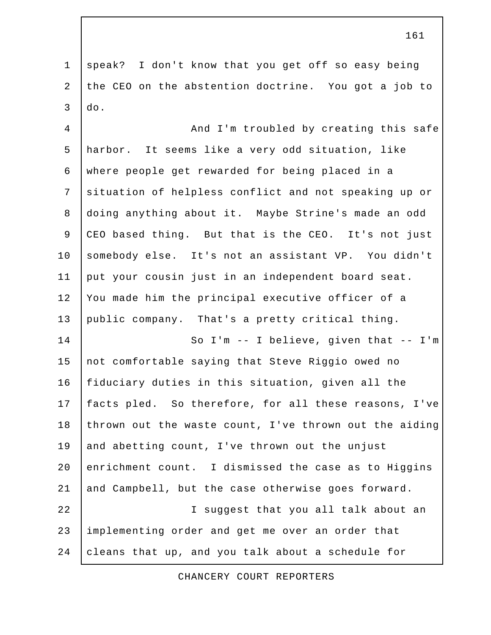1 speak? I don't know that you get off so easy being 2 the CEO on the abstention doctrine. You got a job to  $3$   $\overline{d}$ .

4 | And I'm troubled by creating this safe 5 harbor. It seems like a very odd situation, like 6 where people get rewarded for being placed in a 7 situation of helpless conflict and not speaking up or 8 doing anything about it. Maybe Strine's made an odd 9 CEO based thing. But that is the CEO. It's not just 10 somebody else. It's not an assistant VP. You didn't 11 put your cousin just in an independent board seat. 12 You made him the principal executive officer of a 13 public company. That's a pretty critical thing. 14 | So I'm -- I believe, qiven that -- I'm 15 not comfortable saying that Steve Riggio owed no 16 | fiduciary duties in this situation, given all the 17 facts pled. So therefore, for all these reasons, I've

18 thrown out the waste count, I've thrown out the aiding 19 and abetting count, I've thrown out the unjust 20 enrichment count. I dismissed the case as to Higgins 21 and Campbell, but the case otherwise goes forward. 22 I suggest that you all talk about an 23 implementing order and get me over an order that 24 cleans that up, and you talk about a schedule for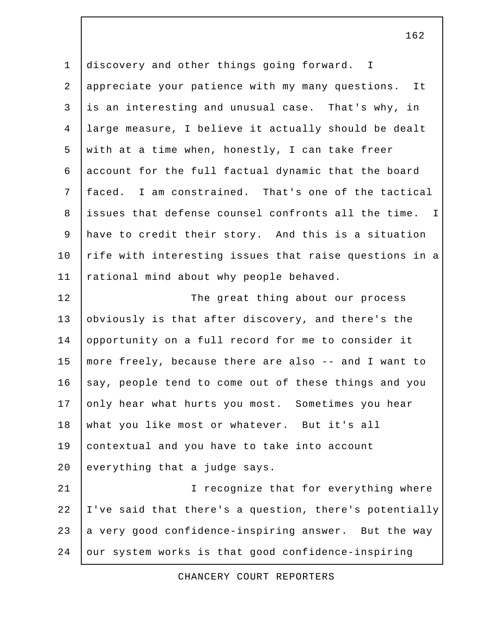1 discovery and other things going forward. I 2 appreciate your patience with my many questions. It 3 is an interesting and unusual case. That's why, in 4 large measure, I believe it actually should be dealt 5 with at a time when, honestly, I can take freer 6 account for the full factual dynamic that the board 7 faced. I am constrained. That's one of the tactical 8 issues that defense counsel confronts all the time. I 9 have to credit their story. And this is a situation 10 | rife with interesting issues that raise questions in a 11 | rational mind about why people behaved. 12 The great thing about our process 13 obviously is that after discovery, and there's the 14 opportunity on a full record for me to consider it 15 more freely, because there are also -- and I want to 16 say, people tend to come out of these things and you 17 only hear what hurts you most. Sometimes you hear 18 what you like most or whatever. But it's all 19 contextual and you have to take into account  $20$  everything that a judge says. 21 | Construction I recognize that for everything where 22 I've said that there's a question, there's potentially

24 our system works is that good confidence-inspiring

23 a very good confidence-inspiring answer. But the way

CHANCERY COURT REPORTERS

162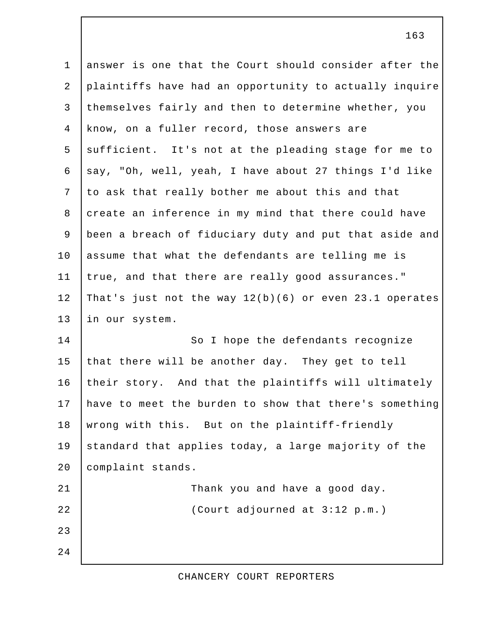1 answer is one that the Court should consider after the 2 plaintiffs have had an opportunity to actually inquire 3 themselves fairly and then to determine whether, you 4 know, on a fuller record, those answers are  $5$  sufficient. It's not at the pleading stage for me to 6 say, "Oh, well, yeah, I have about 27 things I'd like 7 to ask that really bother me about this and that 8 create an inference in my mind that there could have 9 been a breach of fiduciary duty and put that aside and 10 assume that what the defendants are telling me is 11 true, and that there are really good assurances." 12 That's just not the way 12(b)(6) or even 23.1 operates 13 in our system. 14 So I hope the defendants recognize 15 that there will be another day. They get to tell 16 their story. And that the plaintiffs will ultimately 17 have to meet the burden to show that there's something 18 wrong with this. But on the plaintiff-friendly 19 | standard that applies today, a large majority of the 20 | complaint stands. 21 | Thank you and have a good day. 22 (Court adjourned at 3:12 p.m.) 23 24